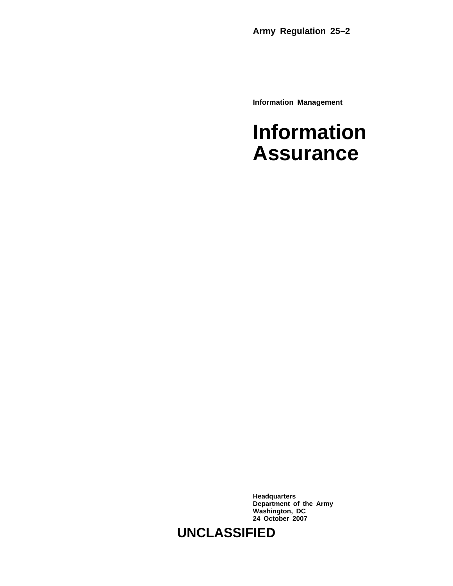**Information Management**

# **Information Assurance**

**Headquarters Department of the Army Washington, DC 24 October 2007**

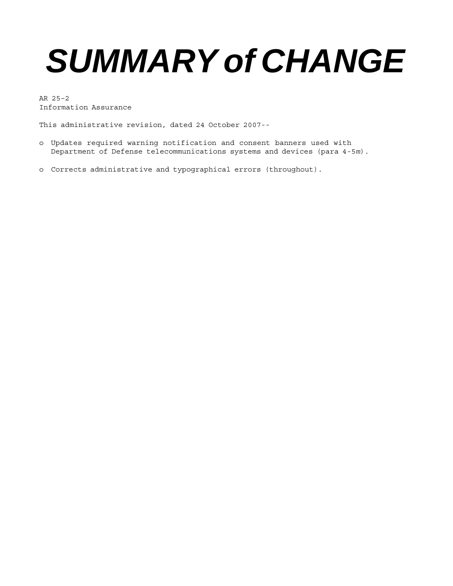# *SUMMARY of CHANGE*

AR 25–2 Information Assurance

This administrative revision, dated 24 October 2007--

- o Updates required warning notification and consent banners used with Department of Defense telecommunications systems and devices (para 4-5*m*).
- o Corrects administrative and typographical errors (throughout).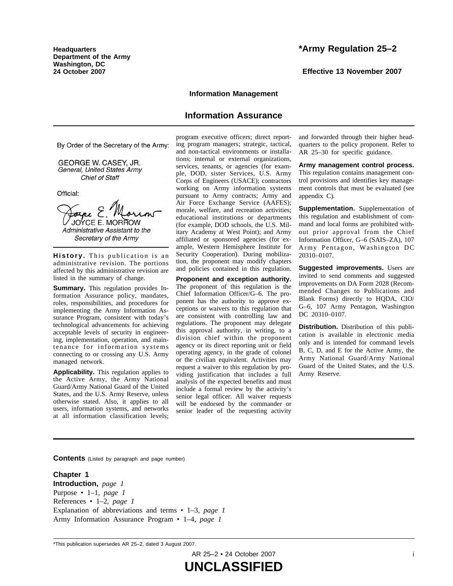**Headquarters Department of the Army Washington, DC 24 October 2007**

# **\*Army Regulation 25–2**

**Effective 13 November 2007**

# **Information Management**

# **Information Assurance**

By Order of the Secretary of the Army:

GEORGE W. CASEY, JR. General, United States Army **Chief of Staff** 

Official:

Joyce E. JOYCE E. MORROW Administrative Assistant to the Secretary of the Army

**History.** This publication is an administrative revision. The portions affected by this administrative revision are listed in the summary of change.

**Summary.** This regulation provides Information Assurance policy, mandates, roles, responsibilities, and procedures for implementing the Army Information Assurance Program, consistent with today's technological advancements for achieving acceptable levels of security in engineering, implementation, operation, and maintenance for information systems connecting to or crossing any U.S. Army managed network.

**Applicability.** This regulation applies to the Active Army, the Army National Guard/Army National Guard of the United States, and the U.S. Army Reserve, unless otherwise stated. Also, it applies to all users, information systems, and networks at all information classification levels;

program executive officers; direct reporting program managers; strategic, tactical, and non-tactical environments or installations; internal or external organizations, services, tenants, or agencies (for example, DOD, sister Services, U.S. Army Corps of Engineers (USACE); contractors working on Army information systems pursuant to Army contracts; Army and Air Force Exchange Service (AAFES); morale, welfare, and recreation activities; educational institutions or departments (for example, DOD schools, the U.S. Military Academy at West Point); and Army affiliated or sponsored agencies (for example, Western Hemisphere Institute for Security Cooperation). During mobilization, the proponent may modify chapters and policies contained in this regulation.

**Proponent and exception authority.** The proponent of this regulation is the Chief Information Officer/G–6. The proponent has the authority to approve exceptions or waivers to this regulation that are consistent with controlling law and regulations. The proponent may delegate this approval authority, in writing, to a division chief within the proponent agency or its direct reporting unit or field operating agency, in the grade of colonel or the civilian equivalent. Activities may request a waiver to this regulation by providing justification that includes a full analysis of the expected benefits and must include a formal review by the activity's senior legal officer. All waiver requests will be endorsed by the commander or senior leader of the requesting activity

and forwarded through their higher headquarters to the policy proponent. Refer to AR 25–30 for specific guidance.

**Army management control process.** This regulation contains management con-

trol provisions and identifies key management controls that must be evaluated (see appendix C).

**Supplementation.** Supplementation of this regulation and establishment of command and local forms are prohibited without prior approval from the Chief Information Officer, G–6 (SAIS–ZA), 107 Army Pentagon, Washington DC 20310–0107.

**Suggested improvements.** Users are invited to send comments and suggested improvements on DA Form 2028 (Recommended Changes to Publications and Blank Forms) directly to HODA, CIO/ G-6, 107 Army Pentagon, Washington DC 20310–0107.

**Distribution.** Distribution of this publication is available in electronic media only and is intended for command levels B, C, D, and E for the Active Army, the Army National Guard/Army National Guard of the United States, and the U.S. Army Reserve.

**Contents** (Listed by paragraph and page number)

**Chapter 1 Introduction,** *page 1* Purpose • 1–1, *page 1* References • 1–2, *page 1* Explanation of abbreviations and terms • 1–3, *page 1* Army Information Assurance Program • 1–4, *page 1*

<sup>\*</sup>This publication supersedes AR 25–2, dated 3 August 2007.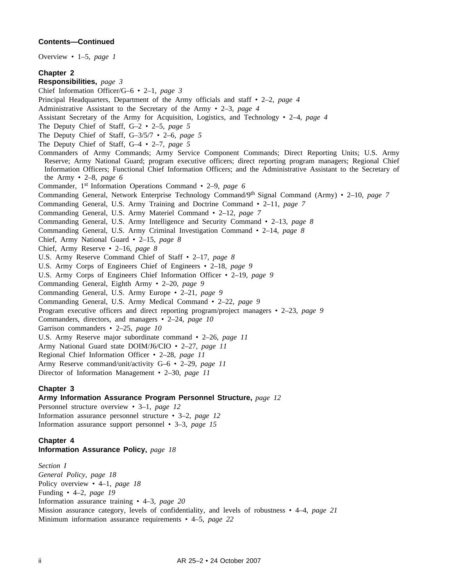# **Contents—Continued**

Overview • 1–5, *page 1*

# **Chapter 2**

**Responsibilities,** *page 3*

Chief Information Officer/G–6 • 2–1, *page 3*

Principal Headquarters, Department of the Army officials and staff • 2–2, *page 4*

Administrative Assistant to the Secretary of the Army • 2–3, *page 4*

Assistant Secretary of the Army for Acquisition, Logistics, and Technology • 2–4, *page 4*

The Deputy Chief of Staff, G–2 • 2–5, *page 5*

The Deputy Chief of Staff, G–3/5/7 • 2–6, *page 5*

The Deputy Chief of Staff, G–4 • 2–7, *page 5*

Commanders of Army Commands; Army Service Component Commands; Direct Reporting Units; U.S. Army Reserve; Army National Guard; program executive officers; direct reporting program managers; Regional Chief Information Officers; Functional Chief Information Officers; and the Administrative Assistant to the Secretary of the Army • 2–8, *page 6*

Commander, 1st Information Operations Command • 2–9, *page 6*

Commanding General, Network Enterprise Technology Command/9th Signal Command (Army) • 2–10, *page 7*

Commanding General, U.S. Army Training and Doctrine Command • 2–11, *page 7*

Commanding General, U.S. Army Materiel Command • 2–12, *page 7*

Commanding General, U.S. Army Intelligence and Security Command • 2–13, *page 8*

Commanding General, U.S. Army Criminal Investigation Command • 2–14, *page 8*

Chief, Army National Guard • 2–15, *page 8*

Chief, Army Reserve • 2–16, *page 8*

U.S. Army Reserve Command Chief of Staff • 2–17, *page 8*

U.S. Army Corps of Engineers Chief of Engineers • 2–18, *page 9*

U.S. Army Corps of Engineers Chief Information Officer • 2–19, *page 9*

Commanding General, Eighth Army • 2–20, *page 9*

Commanding General, U.S. Army Europe • 2–21, *page 9*

Commanding General, U.S. Army Medical Command • 2–22, *page 9*

Program executive officers and direct reporting program/project managers • 2–23, *page 9*

Commanders, directors, and managers • 2–24, *page 10*

Garrison commanders • 2–25, *page 10*

U.S. Army Reserve major subordinate command • 2–26, *page 11*

Army National Guard state DOIM/J6/CIO • 2–27, *page 11*

Regional Chief Information Officer • 2–28, *page 11*

Army Reserve command/unit/activity G–6 • 2–29, *page 11*

Director of Information Management • 2–30, *page 11*

# **Chapter 3**

# **Army Information Assurance Program Personnel Structure,** *page 12*

Personnel structure overview • 3–1, *page 12* Information assurance personnel structure • 3–2, *page 12* Information assurance support personnel • 3–3, *page 15*

# **Chapter 4**

**Information Assurance Policy,** *page 18*

*Section I General Policy, page 18* Policy overview • 4–1, *page 18* Funding • 4–2, *page 19* Information assurance training • 4–3, *page 20* Mission assurance category, levels of confidentiality, and levels of robustness • 4–4, *page 21* Minimum information assurance requirements • 4–5, *page 22*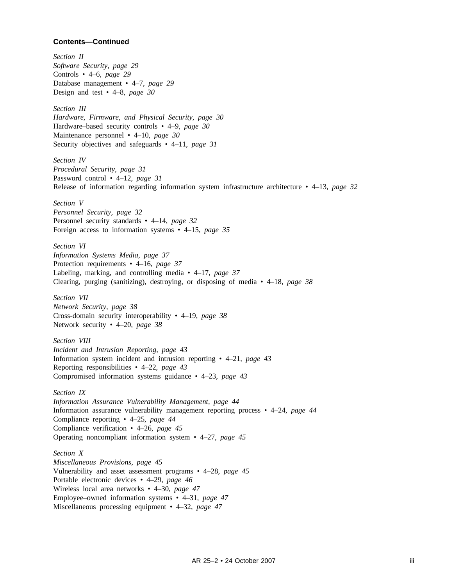# **Contents—Continued**

*Section II Software Security, page 29* Controls • 4–6, *page 29* Database management • 4–7, *page 29* Design and test • 4–8, *page 30 Section III Hardware, Firmware, and Physical Security, page 30* Hardware–based security controls • 4–9, *page 30* Maintenance personnel • 4–10, *page 30* Security objectives and safeguards • 4–11, *page 31 Section IV Procedural Security, page 31* Password control • 4–12, *page 31* Release of information regarding information system infrastructure architecture • 4–13, *page 32 Section V Personnel Security, page 32* Personnel security standards • 4–14, *page 32* Foreign access to information systems • 4–15, *page 35 Section VI Information Systems Media, page 37* Protection requirements • 4–16, *page 37* Labeling, marking, and controlling media • 4–17, *page 37* Clearing, purging (sanitizing), destroying, or disposing of media • 4–18, *page 38 Section VII Network Security, page 38* Cross-domain security interoperability • 4–19, *page 38* Network security • 4–20, *page 38 Section VIII Incident and Intrusion Reporting, page 43* Information system incident and intrusion reporting • 4–21, *page 43* Reporting responsibilities • 4–22, *page 43* Compromised information systems guidance • 4–23, *page 43 Section IX Information Assurance Vulnerability Management, page 44* Information assurance vulnerability management reporting process • 4–24, *page 44* Compliance reporting • 4–25, *page 44* Compliance verification • 4–26, *page 45* Operating noncompliant information system • 4–27, *page 45 Section X Miscellaneous Provisions, page 45* Vulnerability and asset assessment programs • 4–28, *page 45* Portable electronic devices • 4–29, *page 46* Wireless local area networks • 4–30, *page 47* Employee–owned information systems • 4–31, *page 47* Miscellaneous processing equipment • 4–32, *page 47*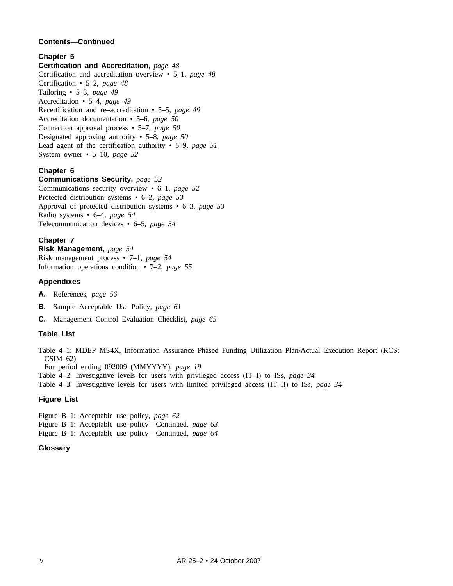# **Contents—Continued**

# **Chapter 5**

**Certification and Accreditation,** *page 48* Certification and accreditation overview • 5–1, *page 48* Certification • 5–2, *page 48* Tailoring • 5–3, *page 49* Accreditation • 5–4, *page 49* Recertification and re–accreditation • 5–5, *page 49* Accreditation documentation • 5–6, *page 50* Connection approval process • 5–7, *page 50* Designated approving authority • 5–8, *page 50* Lead agent of the certification authority • 5–9, *page 51* System owner • 5–10, *page 52*

# **Chapter 6**

**Communications Security,** *page 52* Communications security overview • 6–1, *page 52* Protected distribution systems • 6–2, *page 53* Approval of protected distribution systems • 6–3, *page 53* Radio systems • 6–4, *page 54* Telecommunication devices • 6–5, *page 54*

# **Chapter 7**

**Risk Management,** *page 54* Risk management process • 7–1, *page 54* Information operations condition • 7–2, *page 55*

# **Appendixes**

- **A.** References, *page 56*
- **B.** Sample Acceptable Use Policy, *page 61*
- **C.** Management Control Evaluation Checklist, *page 65*

# **Table List**

Table 4–1: MDEP MS4X, Information Assurance Phased Funding Utilization Plan/Actual Execution Report (RCS: CSIM–62)

For period ending 092009 (MMYYYY), *page 19*

Table 4–2: Investigative levels for users with privileged access (IT–I) to ISs, *page 34*

Table 4–3: Investigative levels for users with limited privileged access (IT–II) to ISs, *page 34*

# **Figure List**

Figure B–1: Acceptable use policy, *page 62*

- Figure B–1: Acceptable use policy—Continued, *page 63*
- Figure B–1: Acceptable use policy—Continued, *page 64*

# **Glossary**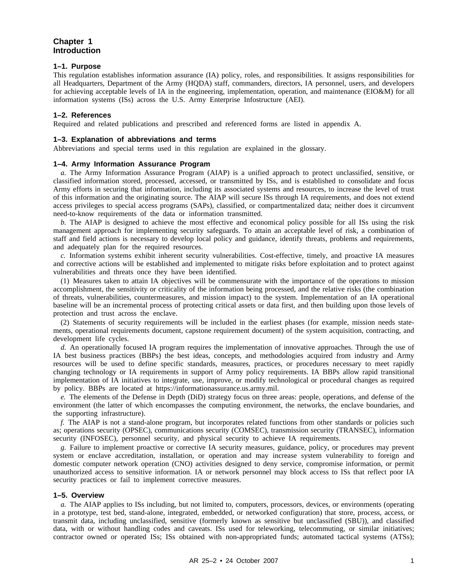# **Chapter 1 Introduction**

# **1–1. Purpose**

This regulation establishes information assurance (IA) policy, roles, and responsibilities. It assigns responsibilities for all Headquarters, Department of the Army (HQDA) staff, commanders, directors, IA personnel, users, and developers for achieving acceptable levels of IA in the engineering, implementation, operation, and maintenance (EIO&M) for all information systems (ISs) across the U.S. Army Enterprise Infostructure (AEI).

# **1–2. References**

Required and related publications and prescribed and referenced forms are listed in appendix A.

#### **1–3. Explanation of abbreviations and terms**

Abbreviations and special terms used in this regulation are explained in the glossary.

#### **1–4. Army Information Assurance Program**

*a.* The Army Information Assurance Program (AIAP) is a unified approach to protect unclassified, sensitive, or classified information stored, processed, accessed, or transmitted by ISs, and is established to consolidate and focus Army efforts in securing that information, including its associated systems and resources, to increase the level of trust of this information and the originating source. The AIAP will secure ISs through IA requirements, and does not extend access privileges to special access programs (SAPs), classified, or compartmentalized data; neither does it circumvent need-to-know requirements of the data or information transmitted.

*b.* The AIAP is designed to achieve the most effective and economical policy possible for all ISs using the risk management approach for implementing security safeguards. To attain an acceptable level of risk, a combination of staff and field actions is necessary to develop local policy and guidance, identify threats, problems and requirements, and adequately plan for the required resources.

*c.* Information systems exhibit inherent security vulnerabilities. Cost-effective, timely, and proactive IA measures and corrective actions will be established and implemented to mitigate risks before exploitation and to protect against vulnerabilities and threats once they have been identified.

(1) Measures taken to attain IA objectives will be commensurate with the importance of the operations to mission accomplishment, the sensitivity or criticality of the information being processed, and the relative risks (the combination of threats, vulnerabilities, countermeasures, and mission impact) to the system. Implementation of an IA operational baseline will be an incremental process of protecting critical assets or data first, and then building upon those levels of protection and trust across the enclave.

(2) Statements of security requirements will be included in the earliest phases (for example, mission needs statements, operational requirements document, capstone requirement document) of the system acquisition, contracting, and development life cycles.

*d.* An operationally focused IA program requires the implementation of innovative approaches. Through the use of IA best business practices (BBPs) the best ideas, concepts, and methodologies acquired from industry and Army resources will be used to define specific standards, measures, practices, or procedures necessary to meet rapidly changing technology or IA requirements in support of Army policy requirements. IA BBPs allow rapid transitional implementation of IA initiatives to integrate, use, improve, or modify technological or procedural changes as required by policy. BBPs are located at https://informationassurance.us.army.mil.

*e.* The elements of the Defense in Depth (DiD) strategy focus on three areas: people, operations, and defense of the environment (the latter of which encompasses the computing environment, the networks, the enclave boundaries, and the supporting infrastructure).

*f.* The AIAP is not a stand-alone program, but incorporates related functions from other standards or policies such as; operations security (OPSEC), communications security (COMSEC), transmission security (TRANSEC), information security (INFOSEC), personnel security, and physical security to achieve IA requirements.

*g.* Failure to implement proactive or corrective IA security measures, guidance, policy, or procedures may prevent system or enclave accreditation, installation, or operation and may increase system vulnerability to foreign and domestic computer network operation (CNO) activities designed to deny service, compromise information, or permit unauthorized access to sensitive information. IA or network personnel may block access to ISs that reflect poor IA security practices or fail to implement corrective measures.

#### **1–5. Overview**

*a.* The AIAP applies to ISs including, but not limited to, computers, processors, devices, or environments (operating in a prototype, test bed, stand-alone, integrated, embedded, or networked configuration) that store, process, access, or transmit data, including unclassified, sensitive (formerly known as sensitive but unclassified (SBU)), and classified data, with or without handling codes and caveats. ISs used for teleworking, telecommuting, or similar initiatives; contractor owned or operated ISs; ISs obtained with non-appropriated funds; automated tactical systems (ATSs);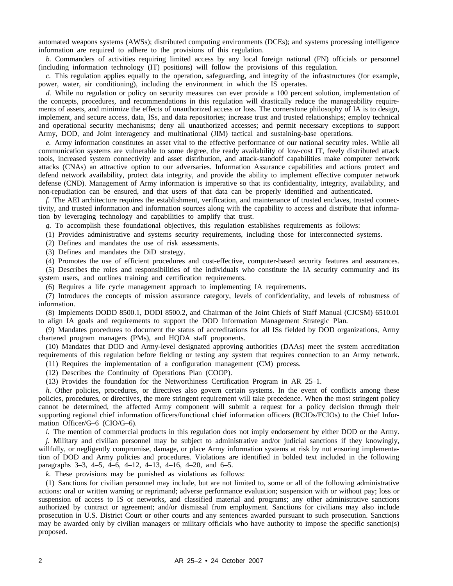automated weapons systems (AWSs); distributed computing environments (DCEs); and systems processing intelligence information are required to adhere to the provisions of this regulation.

*b.* Commanders of activities requiring limited access by any local foreign national (FN) officials or personnel (including information technology (IT) positions) will follow the provisions of this regulation.

*c.* This regulation applies equally to the operation, safeguarding, and integrity of the infrastructures (for example, power, water, air conditioning), including the environment in which the IS operates.

*d.* While no regulation or policy on security measures can ever provide a 100 percent solution, implementation of the concepts, procedures, and recommendations in this regulation will drastically reduce the manageability requirements of assets, and minimize the effects of unauthorized access or loss. The cornerstone philosophy of IA is to design, implement, and secure access, data, ISs, and data repositories; increase trust and trusted relationships; employ technical and operational security mechanisms; deny all unauthorized accesses; and permit necessary exceptions to support Army, DOD, and Joint interagency and multinational (JIM) tactical and sustaining-base operations.

*e.* Army information constitutes an asset vital to the effective performance of our national security roles. While all communication systems are vulnerable to some degree, the ready availability of low-cost IT, freely distributed attack tools, increased system connectivity and asset distribution, and attack-standoff capabilities make computer network attacks (CNAs) an attractive option to our adversaries. Information Assurance capabilities and actions protect and defend network availability, protect data integrity, and provide the ability to implement effective computer network defense (CND). Management of Army information is imperative so that its confidentiality, integrity, availability, and non-repudiation can be ensured, and that users of that data can be properly identified and authenticated.

*f.* The AEI architecture requires the establishment, verification, and maintenance of trusted enclaves, trusted connectivity, and trusted information and information sources along with the capability to access and distribute that information by leveraging technology and capabilities to amplify that trust.

*g.* To accomplish these foundational objectives, this regulation establishes requirements as follows:

(1) Provides administrative and systems security requirements, including those for interconnected systems.

(2) Defines and mandates the use of risk assessments.

(3) Defines and mandates the DiD strategy.

(4) Promotes the use of efficient procedures and cost-effective, computer-based security features and assurances.

(5) Describes the roles and responsibilities of the individuals who constitute the IA security community and its system users, and outlines training and certification requirements.

(6) Requires a life cycle management approach to implementing IA requirements.

(7) Introduces the concepts of mission assurance category, levels of confidentiality, and levels of robustness of information.

(8) Implements DODD 8500.1, DODI 8500.2, and Chairman of the Joint Chiefs of Staff Manual (CJCSM) 6510.01 to align IA goals and requirements to support the DOD Information Management Strategic Plan.

(9) Mandates procedures to document the status of accreditations for all ISs fielded by DOD organizations, Army chartered program managers (PMs), and HQDA staff proponents.

(10) Mandates that DOD and Army-level designated approving authorities (DAAs) meet the system accreditation requirements of this regulation before fielding or testing any system that requires connection to an Army network. (11) Requires the implementation of a configuration management (CM) process.

(12) Describes the Continuity of Operations Plan (COOP).

(13) Provides the foundation for the Networthiness Certification Program in AR 25–1.

*h.* Other policies, procedures, or directives also govern certain systems. In the event of conflicts among these policies, procedures, or directives, the more stringent requirement will take precedence. When the most stringent policy cannot be determined, the affected Army component will submit a request for a policy decision through their supporting regional chief information officers/functional chief information officers (RCIOs/FCIOs) to the Chief Information Officer/G–6 (CIO/G–6).

*i.* The mention of commercial products in this regulation does not imply endorsement by either DOD or the Army.

*j.* Military and civilian personnel may be subject to administrative and/or judicial sanctions if they knowingly, willfully, or negligently compromise, damage, or place Army information systems at risk by not ensuring implementation of DOD and Army policies and procedures. Violations are identified in bolded text included in the following paragraphs 3–3, 4–5, 4–6, 4–12, 4–13, 4–16, 4–20, and 6–5.

*k.* These provisions may be punished as violations as follows:

(1) Sanctions for civilian personnel may include, but are not limited to, some or all of the following administrative actions: oral or written warning or reprimand; adverse performance evaluation; suspension with or without pay; loss or suspension of access to IS or networks, and classified material and programs; any other administrative sanctions authorized by contract or agreement; and/or dismissal from employment. Sanctions for civilians may also include prosecution in U.S. District Court or other courts and any sentences awarded pursuant to such prosecution. Sanctions may be awarded only by civilian managers or military officials who have authority to impose the specific sanction(s) proposed.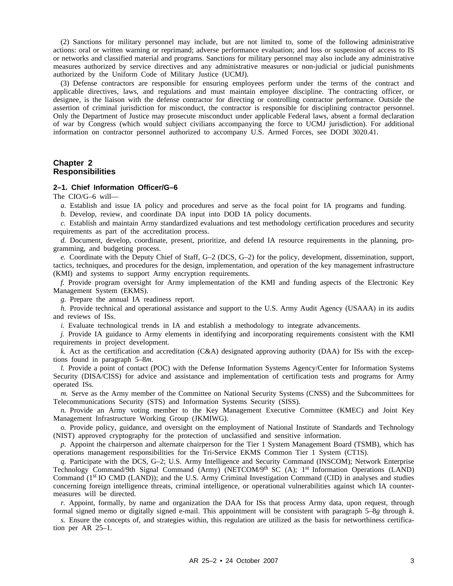(2) Sanctions for military personnel may include, but are not limited to, some of the following administrative actions: oral or written warning or reprimand; adverse performance evaluation; and loss or suspension of access to IS or networks and classified material and programs. Sanctions for military personnel may also include any administrative measures authorized by service directives and any administrative measures or non-judicial or judicial punishments authorized by the Uniform Code of Military Justice (UCMJ).

(3) Defense contractors are responsible for ensuring employees perform under the terms of the contract and applicable directives, laws, and regulations and must maintain employee discipline. The contracting officer, or designee, is the liaison with the defense contractor for directing or controlling contractor performance. Outside the assertion of criminal jurisdiction for misconduct, the contractor is responsible for disciplining contractor personnel. Only the Department of Justice may prosecute misconduct under applicable Federal laws, absent a formal declaration of war by Congress (which would subject civilians accompanying the force to UCMJ jurisdiction). For additional information on contractor personnel authorized to accompany U.S. Armed Forces, see DODI 3020.41.

# **Chapter 2 Responsibilities**

#### **2–1. Chief Information Officer/G–6**

The CIO/G–6 will—

*a.* Establish and issue IA policy and procedures and serve as the focal point for IA programs and funding.

*b.* Develop, review, and coordinate DA input into DOD IA policy documents.

*c.* Establish and maintain Army standardized evaluations and test methodology certification procedures and security requirements as part of the accreditation process.

*d.* Document, develop, coordinate, present, prioritize, and defend IA resource requirements in the planning, programming, and budgeting process.

*e.* Coordinate with the Deputy Chief of Staff, G–2 (DCS, G–2) for the policy, development, dissemination, support, tactics, techniques, and procedures for the design, implementation, and operation of the key management infrastructure (KMI) and systems to support Army encryption requirements.

*f.* Provide program oversight for Army implementation of the KMI and funding aspects of the Electronic Key Management System (EKMS).

*g.* Prepare the annual IA readiness report.

*h.* Provide technical and operational assistance and support to the U.S. Army Audit Agency (USAAA) in its audits and reviews of ISs.

*i.* Evaluate technological trends in IA and establish a methodology to integrate advancements.

*j.* Provide IA guidance to Army elements in identifying and incorporating requirements consistent with the KMI requirements in project development.

*k.* Act as the certification and accreditation (C&A) designated approving authority (DAA) for ISs with the exceptions found in paragraph 5–8*m*.

*l.* Provide a point of contact (POC) with the Defense Information Systems Agency/Center for Information Systems Security (DISA/CISS) for advice and assistance and implementation of certification tests and programs for Army operated ISs.

*m.* Serve as the Army member of the Committee on National Security Systems (CNSS) and the Subcommittees for Telecommunications Security (STS) and Information Systems Security (SISS).

*n.* Provide an Army voting member to the Key Management Executive Committee (KMEC) and Joint Key Management Infrastructure Working Group (JKMIWG).

*o.* Provide policy, guidance, and oversight on the employment of National Institute of Standards and Technology (NIST) approved cryptography for the protection of unclassified and sensitive information.

*p.* Appoint the chairperson and alternate chairperson for the Tier 1 System Management Board (TSMB), which has operations management responsibilities for the Tri-Service EKMS Common Tier 1 System (CT1S).

*q.* Participate with the DCS, G–2; U.S. Army Intelligence and Security Command (INSCOM); Network Enterprise Technology Command/9th Signal Command (Army) (NETCOM/9<sup>th</sup> SC (A); 1<sup>st</sup> Information Operations (LAND) Command (1<sup>st</sup> IO CMD (LAND)); and the U.S. Army Criminal Investigation Command (CID) in analyses and studies concerning foreign intelligence threats, criminal intelligence, or operational vulnerabilities against which IA countermeasures will be directed.

*r.* Appoint, formally, by name and organization the DAA for ISs that process Army data, upon request, through formal signed memo or digitally signed e-mail. This appointment will be consistent with paragraph 5–8*g* through *k*.

*s.* Ensure the concepts of, and strategies within, this regulation are utilized as the basis for networthiness certification per AR 25–1.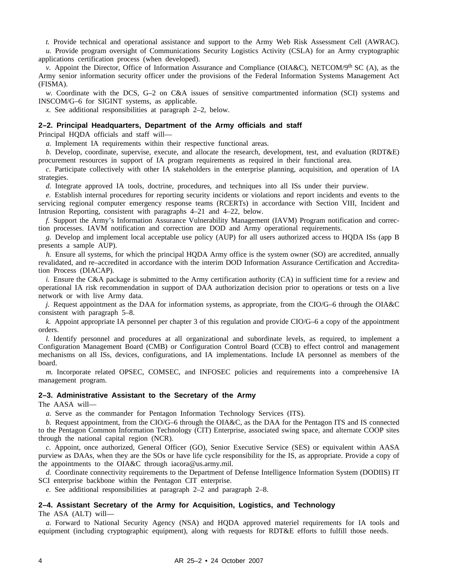*t.* Provide technical and operational assistance and support to the Army Web Risk Assessment Cell (AWRAC).

*u.* Provide program oversight of Communications Security Logistics Activity (CSLA) for an Army cryptographic applications certification process (when developed).

*v.* Appoint the Director, Office of Information Assurance and Compliance (OIA&C), NETCOM/9<sup>th</sup> SC (A), as the Army senior information security officer under the provisions of the Federal Information Systems Management Act (FISMA).

*w.* Coordinate with the DCS, G–2 on C&A issues of sensitive compartmented information (SCI) systems and INSCOM/G–6 for SIGINT systems, as applicable.

*x.* See additional responsibilities at paragraph 2–2, below.

#### **2–2. Principal Headquarters, Department of the Army officials and staff**

Principal HQDA officials and staff will—

*a.* Implement IA requirements within their respective functional areas.

*b.* Develop, coordinate, supervise, execute, and allocate the research, development, test, and evaluation (RDT&E) procurement resources in support of IA program requirements as required in their functional area.

*c.* Participate collectively with other IA stakeholders in the enterprise planning, acquisition, and operation of IA strategies.

*d.* Integrate approved IA tools, doctrine, procedures, and techniques into all ISs under their purview.

*e.* Establish internal procedures for reporting security incidents or violations and report incidents and events to the servicing regional computer emergency response teams (RCERTs) in accordance with Section VIII, Incident and Intrusion Reporting, consistent with paragraphs 4–21 and 4–22, below.

*f.* Support the Army's Information Assurance Vulnerability Management (IAVM) Program notification and correction processes. IAVM notification and correction are DOD and Army operational requirements.

*g.* Develop and implement local acceptable use policy (AUP) for all users authorized access to HQDA ISs (app B presents a sample AUP).

*h.* Ensure all systems, for which the principal HQDA Army office is the system owner (SO) are accredited, annually revalidated, and re–accredited in accordance with the interim DOD Information Assurance Certification and Accreditation Process (DIACAP).

*i.* Ensure the C&A package is submitted to the Army certification authority (CA) in sufficient time for a review and operational IA risk recommendation in support of DAA authorization decision prior to operations or tests on a live network or with live Army data.

*j.* Request appointment as the DAA for information systems, as appropriate, from the CIO/G–6 through the OIA&C consistent with paragraph 5–8.

*k.* Appoint appropriate IA personnel per chapter 3 of this regulation and provide CIO/G–6 a copy of the appointment orders.

*l.* Identify personnel and procedures at all organizational and subordinate levels, as required, to implement a Configuration Management Board (CMB) or Configuration Control Board (CCB) to effect control and management mechanisms on all ISs, devices, configurations, and IA implementations. Include IA personnel as members of the board.

*m.* Incorporate related OPSEC, COMSEC, and INFOSEC policies and requirements into a comprehensive IA management program.

# **2–3. Administrative Assistant to the Secretary of the Army**

The AASA will—

*a.* Serve as the commander for Pentagon Information Technology Services (ITS).

*b.* Request appointment, from the CIO/G–6 through the OIA&C, as the DAA for the Pentagon ITS and IS connected to the Pentagon Common Information Technology (CIT) Enterprise, associated swing space, and alternate COOP sites through the national capital region (NCR).

*c.* Appoint, once authorized, General Officer (GO), Senior Executive Service (SES) or equivalent within AASA purview as DAAs, when they are the SOs or have life cycle responsibility for the IS, as appropriate. Provide a copy of the appointments to the OIA&C through iacora@us.army.mil.

*d.* Coordinate connectivity requirements to the Department of Defense Intelligence Information System (DODIIS) IT SCI enterprise backbone within the Pentagon CIT enterprise.

*e.* See additional responsibilities at paragraph 2–2 and paragraph 2–8.

### **2–4. Assistant Secretary of the Army for Acquisition, Logistics, and Technology** The ASA (ALT) will—

*a.* Forward to National Security Agency (NSA) and HQDA approved materiel requirements for IA tools and equipment (including cryptographic equipment), along with requests for RDT&E efforts to fulfill those needs.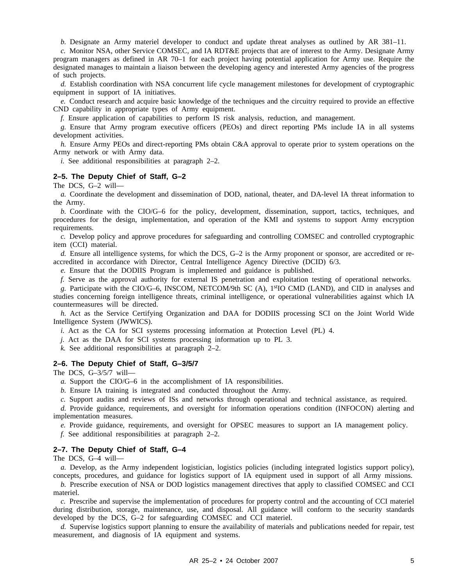*b.* Designate an Army materiel developer to conduct and update threat analyses as outlined by AR 381–11.

*c.* Monitor NSA, other Service COMSEC, and IA RDT&E projects that are of interest to the Army. Designate Army program managers as defined in AR 70–1 for each project having potential application for Army use. Require the designated manages to maintain a liaison between the developing agency and interested Army agencies of the progress of such projects.

*d.* Establish coordination with NSA concurrent life cycle management milestones for development of cryptographic equipment in support of IA initiatives.

*e.* Conduct research and acquire basic knowledge of the techniques and the circuitry required to provide an effective CND capability in appropriate types of Army equipment.

*f.* Ensure application of capabilities to perform IS risk analysis, reduction, and management.

*g.* Ensure that Army program executive officers (PEOs) and direct reporting PMs include IA in all systems development activities.

*h.* Ensure Army PEOs and direct-reporting PMs obtain C&A approval to operate prior to system operations on the Army network or with Army data.

*i.* See additional responsibilities at paragraph 2–2.

# **2–5. The Deputy Chief of Staff, G–2**

The DCS, G–2 will—

*a.* Coordinate the development and dissemination of DOD, national, theater, and DA-level IA threat information to the Army.

*b.* Coordinate with the CIO/G–6 for the policy, development, dissemination, support, tactics, techniques, and procedures for the design, implementation, and operation of the KMI and systems to support Army encryption requirements.

*c.* Develop policy and approve procedures for safeguarding and controlling COMSEC and controlled cryptographic item (CCI) material.

*d.* Ensure all intelligence systems, for which the DCS, G–2 is the Army proponent or sponsor, are accredited or reaccredited in accordance with Director, Central Intelligence Agency Directive (DCID) 6/3.

*e.* Ensure that the DODIIS Program is implemented and guidance is published.

*f.* Serve as the approval authority for external IS penetration and exploitation testing of operational networks.

*g.* Participate with the CIO/G–6, INSCOM, NETCOM/9th SC (A), 1stIO CMD (LAND), and CID in analyses and studies concerning foreign intelligence threats, criminal intelligence, or operational vulnerabilities against which IA countermeasures will be directed.

*h.* Act as the Service Certifying Organization and DAA for DODIIS processing SCI on the Joint World Wide Intelligence System (JWWICS).

*i.* Act as the CA for SCI systems processing information at Protection Level (PL) 4.

*j.* Act as the DAA for SCI systems processing information up to PL 3.

*k.* See additional responsibilities at paragraph 2–2.

# **2–6. The Deputy Chief of Staff, G–3/5/7**

The DCS, G–3/5/7 will—

*a.* Support the CIO/G–6 in the accomplishment of IA responsibilities.

*b.* Ensure IA training is integrated and conducted throughout the Army.

*c.* Support audits and reviews of ISs and networks through operational and technical assistance, as required.

*d.* Provide guidance, requirements, and oversight for information operations condition (INFOCON) alerting and implementation measures.

*e.* Provide guidance, requirements, and oversight for OPSEC measures to support an IA management policy.

*f.* See additional responsibilities at paragraph 2–2.

#### **2–7. The Deputy Chief of Staff, G–4**

The DCS, G–4 will—

*a.* Develop, as the Army independent logistician, logistics policies (including integrated logistics support policy), concepts, procedures, and guidance for logistics support of IA equipment used in support of all Army missions.

*b.* Prescribe execution of NSA or DOD logistics management directives that apply to classified COMSEC and CCI materiel.

*c.* Prescribe and supervise the implementation of procedures for property control and the accounting of CCI materiel during distribution, storage, maintenance, use, and disposal. All guidance will conform to the security standards developed by the DCS, G–2 for safeguarding COMSEC and CCI materiel.

*d.* Supervise logistics support planning to ensure the availability of materials and publications needed for repair, test measurement, and diagnosis of IA equipment and systems.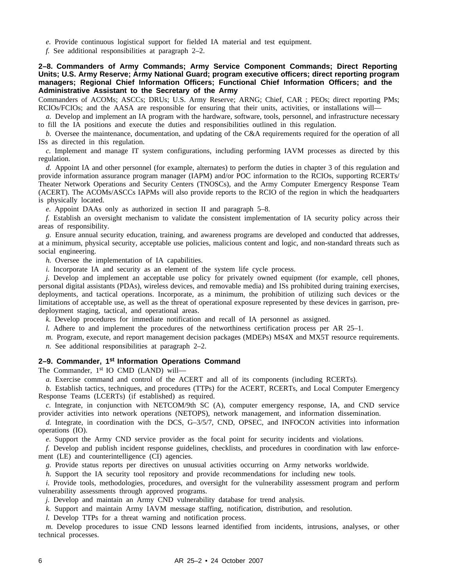*e.* Provide continuous logistical support for fielded IA material and test equipment.

*f.* See additional responsibilities at paragraph 2–2.

### **2–8. Commanders of Army Commands; Army Service Component Commands; Direct Reporting Units; U.S. Army Reserve; Army National Guard; program executive officers; direct reporting program managers; Regional Chief Information Officers; Functional Chief Information Officers; and the Administrative Assistant to the Secretary of the Army**

Commanders of ACOMs; ASCCs; DRUs; U.S. Army Reserve; ARNG; Chief, CAR ; PEOs; direct reporting PMs; RCIOs/FCIOs; and the AASA are responsible for ensuring that their units, activities, or installations will—

*a.* Develop and implement an IA program with the hardware, software, tools, personnel, and infrastructure necessary to fill the IA positions and execute the duties and responsibilities outlined in this regulation.

*b.* Oversee the maintenance, documentation, and updating of the C&A requirements required for the operation of all ISs as directed in this regulation.

*c.* Implement and manage IT system configurations, including performing IAVM processes as directed by this regulation.

*d.* Appoint IA and other personnel (for example, alternates) to perform the duties in chapter 3 of this regulation and provide information assurance program manager (IAPM) and/or POC information to the RCIOs, supporting RCERTs/ Theater Network Operations and Security Centers (TNOSCs), and the Army Computer Emergency Response Team (ACERT). The ACOMs/ASCCs IAPMs will also provide reports to the RCIO of the region in which the headquarters is physically located.

*e.* Appoint DAAs only as authorized in section II and paragraph 5–8.

*f.* Establish an oversight mechanism to validate the consistent implementation of IA security policy across their areas of responsibility.

*g.* Ensure annual security education, training, and awareness programs are developed and conducted that addresses, at a minimum, physical security, acceptable use policies, malicious content and logic, and non-standard threats such as social engineering.

*h.* Oversee the implementation of IA capabilities.

*i.* Incorporate IA and security as an element of the system life cycle process.

*j.* Develop and implement an acceptable use policy for privately owned equipment (for example, cell phones, personal digital assistants (PDAs), wireless devices, and removable media) and ISs prohibited during training exercises, deployments, and tactical operations. Incorporate, as a minimum, the prohibition of utilizing such devices or the limitations of acceptable use, as well as the threat of operational exposure represented by these devices in garrison, predeployment staging, tactical, and operational areas.

*k.* Develop procedures for immediate notification and recall of IA personnel as assigned.

*l.* Adhere to and implement the procedures of the networthiness certification process per AR 25–1.

*m.* Program, execute, and report management decision packages (MDEPs) MS4X and MX5T resource requirements. *n.* See additional responsibilities at paragraph 2–2.

# **2–9. Commander, 1st Information Operations Command**

The Commander, 1<sup>st</sup> IO CMD (LAND) will-

*a.* Exercise command and control of the ACERT and all of its components (including RCERTs).

*b.* Establish tactics, techniques, and procedures (TTPs) for the ACERT, RCERTs, and Local Computer Emergency Response Teams (LCERTs) (if established) as required.

*c.* Integrate, in conjunction with NETCOM/9th SC (A), computer emergency response, IA, and CND service provider activities into network operations (NETOPS), network management, and information dissemination.

*d.* Integrate, in coordination with the DCS, G–3/5/7, CND, OPSEC, and INFOCON activities into information operations (IO).

*e.* Support the Army CND service provider as the focal point for security incidents and violations.

*f.* Develop and publish incident response guidelines, checklists, and procedures in coordination with law enforcement (LE) and counterintelligence (CI) agencies.

*g.* Provide status reports per directives on unusual activities occurring on Army networks worldwide.

*h.* Support the IA security tool repository and provide recommendations for including new tools.

*i.* Provide tools, methodologies, procedures, and oversight for the vulnerability assessment program and perform vulnerability assessments through approved programs.

*j.* Develop and maintain an Army CND vulnerability database for trend analysis.

*k.* Support and maintain Army IAVM message staffing, notification, distribution, and resolution.

*l.* Develop TTPs for a threat warning and notification process.

*m.* Develop procedures to issue CND lessons learned identified from incidents, intrusions, analyses, or other technical processes.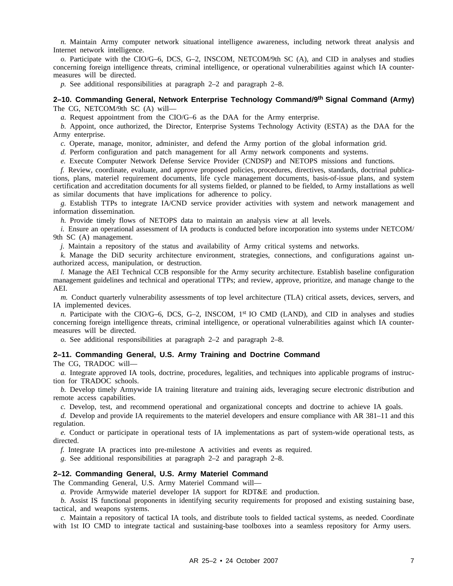*n.* Maintain Army computer network situational intelligence awareness, including network threat analysis and Internet network intelligence.

*o.* Participate with the CIO/G–6, DCS, G–2, INSCOM, NETCOM/9th SC (A), and CID in analyses and studies concerning foreign intelligence threats, criminal intelligence, or operational vulnerabilities against which IA countermeasures will be directed.

*p.* See additional responsibilities at paragraph 2–2 and paragraph 2–8.

# **2–10. Commanding General, Network Enterprise Technology Command/9th Signal Command (Army)** The CG, NETCOM/9th SC (A) will—

*a.* Request appointment from the CIO/G–6 as the DAA for the Army enterprise.

*b.* Appoint, once authorized, the Director, Enterprise Systems Technology Activity (ESTA) as the DAA for the Army enterprise.

*c.* Operate, manage, monitor, administer, and defend the Army portion of the global information grid.

*d.* Perform configuration and patch management for all Army network components and systems.

*e.* Execute Computer Network Defense Service Provider (CNDSP) and NETOPS missions and functions.

*f.* Review, coordinate, evaluate, and approve proposed policies, procedures, directives, standards, doctrinal publications, plans, materiel requirement documents, life cycle management documents, basis-of-issue plans, and system certification and accreditation documents for all systems fielded, or planned to be fielded, to Army installations as well as similar documents that have implications for adherence to policy.

*g.* Establish TTPs to integrate IA/CND service provider activities with system and network management and information dissemination.

*h.* Provide timely flows of NETOPS data to maintain an analysis view at all levels.

*i.* Ensure an operational assessment of IA products is conducted before incorporation into systems under NETCOM/ 9th SC (A) management.

*j.* Maintain a repository of the status and availability of Army critical systems and networks.

*k*. Manage the DiD security architecture environment, strategies, connections, and configurations against unauthorized access, manipulation, or destruction.

*l.* Manage the AEI Technical CCB responsible for the Army security architecture. Establish baseline configuration management guidelines and technical and operational TTPs; and review, approve, prioritize, and manage change to the AEI.

*m.* Conduct quarterly vulnerability assessments of top level architecture (TLA) critical assets, devices, servers, and IA implemented devices.

*n.* Participate with the CIO/G–6, DCS, G–2, INSCOM, 1st IO CMD (LAND), and CID in analyses and studies concerning foreign intelligence threats, criminal intelligence, or operational vulnerabilities against which IA countermeasures will be directed.

*o.* See additional responsibilities at paragraph 2–2 and paragraph 2–8.

#### **2–11. Commanding General, U.S. Army Training and Doctrine Command**

The CG, TRADOC will—

*a.* Integrate approved IA tools, doctrine, procedures, legalities, and techniques into applicable programs of instruction for TRADOC schools.

*b.* Develop timely Armywide IA training literature and training aids, leveraging secure electronic distribution and remote access capabilities.

*c.* Develop, test, and recommend operational and organizational concepts and doctrine to achieve IA goals.

*d.* Develop and provide IA requirements to the materiel developers and ensure compliance with AR 381–11 and this regulation.

*e.* Conduct or participate in operational tests of IA implementations as part of system-wide operational tests, as directed.

*f.* Integrate IA practices into pre-milestone A activities and events as required.

*g.* See additional responsibilities at paragraph 2–2 and paragraph 2–8.

#### **2–12. Commanding General, U.S. Army Materiel Command**

The Commanding General, U.S. Army Materiel Command will—

*a.* Provide Armywide materiel developer IA support for RDT&E and production.

*b.* Assist IS functional proponents in identifying security requirements for proposed and existing sustaining base, tactical, and weapons systems.

*c.* Maintain a repository of tactical IA tools, and distribute tools to fielded tactical systems, as needed. Coordinate with 1st IO CMD to integrate tactical and sustaining-base toolboxes into a seamless repository for Army users.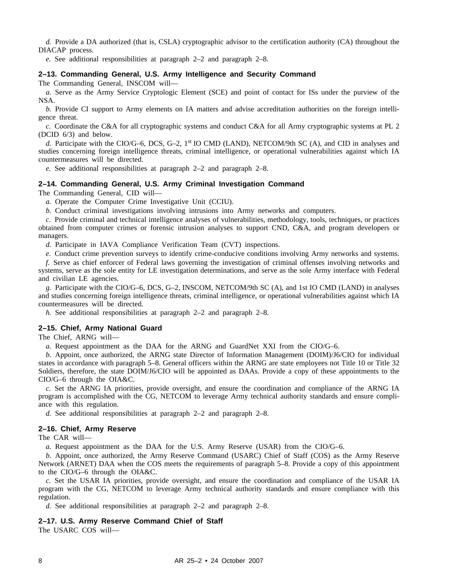*d.* Provide a DA authorized (that is, CSLA) cryptographic advisor to the certification authority (CA) throughout the DIACAP process.

*e.* See additional responsibilities at paragraph 2–2 and paragraph 2–8.

# **2–13. Commanding General, U.S. Army Intelligence and Security Command**

The Commanding General, INSCOM will—

*a.* Serve as the Army Service Cryptologic Element (SCE) and point of contact for ISs under the purview of the NSA.

*b.* Provide CI support to Army elements on IA matters and advise accreditation authorities on the foreign intelligence threat.

*c.* Coordinate the C&A for all cryptographic systems and conduct C&A for all Army cryptographic systems at PL 2 (DCID 6/3) and below.

*d.* Participate with the CIO/G–6, DCS, G–2, 1<sup>st</sup> IO CMD (LAND), NETCOM/9th SC (A), and CID in analyses and studies concerning foreign intelligence threats, criminal intelligence, or operational vulnerabilities against which IA countermeasures will be directed.

*e.* See additional responsibilities at paragraph 2–2 and paragraph 2–8.

#### **2–14. Commanding General, U.S. Army Criminal Investigation Command**

The Commanding General, CID will—

*a.* Operate the Computer Crime Investigative Unit (CCIU).

*b.* Conduct criminal investigations involving intrusions into Army networks and computers.

*c.* Provide criminal and technical intelligence analyses of vulnerabilities, methodology, tools, techniques, or practices obtained from computer crimes or forensic intrusion analyses to support CND, C&A, and program developers or managers.

*d.* Participate in IAVA Compliance Verification Team (CVT) inspections.

*e.* Conduct crime prevention surveys to identify crime-conducive conditions involving Army networks and systems.

*f.* Serve as chief enforcer of Federal laws governing the investigation of criminal offenses involving networks and systems, serve as the sole entity for LE investigation determinations, and serve as the sole Army interface with Federal and civilian LE agencies.

*g.* Participate with the CIO/G–6, DCS, G–2, INSCOM, NETCOM/9th SC (A), and 1st IO CMD (LAND) in analyses and studies concerning foreign intelligence threats, criminal intelligence, or operational vulnerabilities against which IA countermeasures will be directed.

*h.* See additional responsibilities at paragraph 2–2 and paragraph 2–8.

#### **2–15. Chief, Army National Guard**

The Chief, ARNG will—

*a.* Request appointment as the DAA for the ARNG and GuardNet XXI from the CIO/G–6.

*b.* Appoint, once authorized, the ARNG state Director of Information Management (DOIM)/J6/CIO for individual states in accordance with paragraph 5–8. General officers within the ARNG are state employees not Title 10 or Title 32 Soldiers, therefore, the state DOIM/J6/CIO will be appointed as DAAs. Provide a copy of these appointments to the CIO/G–6 through the OIA&C.

*c.* Set the ARNG IA priorities, provide oversight, and ensure the coordination and compliance of the ARNG IA program is accomplished with the CG, NETCOM to leverage Army technical authority standards and ensure compliance with this regulation.

*d.* See additional responsibilities at paragraph 2–2 and paragraph 2–8.

# **2–16. Chief, Army Reserve**

The CAR will—

*a.* Request appointment as the DAA for the U.S. Army Reserve (USAR) from the CIO/G–6.

*b.* Appoint, once authorized, the Army Reserve Command (USARC) Chief of Staff (COS) as the Army Reserve Network (ARNET) DAA when the COS meets the requirements of paragraph 5–8. Provide a copy of this appointment to the CIO/G–6 through the OIA&C.

*c.* Set the USAR IA priorities, provide oversight, and ensure the coordination and compliance of the USAR IA program with the CG, NETCOM to leverage Army technical authority standards and ensure compliance with this regulation.

*d.* See additional responsibilities at paragraph 2–2 and paragraph 2–8.

# **2–17. U.S. Army Reserve Command Chief of Staff**

The USARC COS will—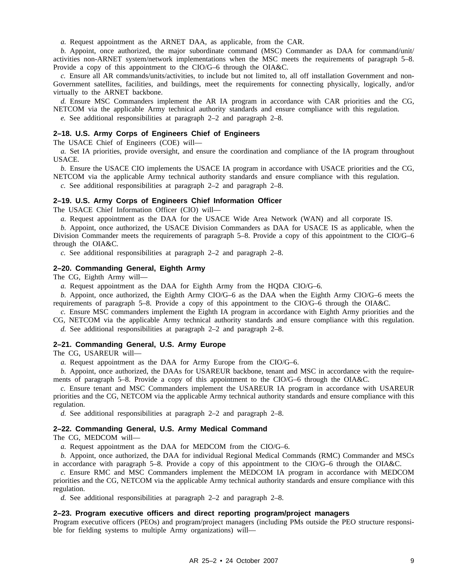*a.* Request appointment as the ARNET DAA, as applicable, from the CAR.

*b.* Appoint, once authorized, the major subordinate command (MSC) Commander as DAA for command/unit/ activities non-ARNET system/network implementations when the MSC meets the requirements of paragraph 5–8. Provide a copy of this appointment to the CIO/G–6 through the OIA&C.

*c.* Ensure all AR commands/units/activities, to include but not limited to, all off installation Government and non-Government satellites, facilities, and buildings, meet the requirements for connecting physically, logically, and/or virtually to the ARNET backbone.

*d.* Ensure MSC Commanders implement the AR IA program in accordance with CAR priorities and the CG, NETCOM via the applicable Army technical authority standards and ensure compliance with this regulation.

*e.* See additional responsibilities at paragraph 2–2 and paragraph 2–8.

# **2–18. U.S. Army Corps of Engineers Chief of Engineers**

The USACE Chief of Engineers (COE) will—

*a.* Set IA priorities, provide oversight, and ensure the coordination and compliance of the IA program throughout USACE.

*b.* Ensure the USACE CIO implements the USACE IA program in accordance with USACE priorities and the CG, NETCOM via the applicable Army technical authority standards and ensure compliance with this regulation.

*c.* See additional responsibilities at paragraph 2–2 and paragraph 2–8.

# **2–19. U.S. Army Corps of Engineers Chief Information Officer**

The USACE Chief Information Officer (CIO) will—

*a.* Request appointment as the DAA for the USACE Wide Area Network (WAN) and all corporate IS.

*b.* Appoint, once authorized, the USACE Division Commanders as DAA for USACE IS as applicable, when the Division Commander meets the requirements of paragraph 5–8. Provide a copy of this appointment to the CIO/G–6 through the OIA&C.

*c.* See additional responsibilities at paragraph 2–2 and paragraph 2–8.

# **2–20. Commanding General, Eighth Army**

The CG, Eighth Army will—

*a.* Request appointment as the DAA for Eighth Army from the HQDA CIO/G–6.

*b.* Appoint, once authorized, the Eighth Army CIO/G–6 as the DAA when the Eighth Army CIO/G–6 meets the requirements of paragraph 5–8. Provide a copy of this appointment to the CIO/G–6 through the OIA&C.

*c.* Ensure MSC commanders implement the Eighth IA program in accordance with Eighth Army priorities and the CG, NETCOM via the applicable Army technical authority standards and ensure compliance with this regulation.

*d.* See additional responsibilities at paragraph 2–2 and paragraph 2–8.

#### **2–21. Commanding General, U.S. Army Europe**

The CG, USAREUR will—

*a.* Request appointment as the DAA for Army Europe from the CIO/G–6.

*b.* Appoint, once authorized, the DAAs for USAREUR backbone, tenant and MSC in accordance with the requirements of paragraph 5–8. Provide a copy of this appointment to the CIO/G–6 through the OIA&C.

*c.* Ensure tenant and MSC Commanders implement the USAREUR IA program in accordance with USAREUR priorities and the CG, NETCOM via the applicable Army technical authority standards and ensure compliance with this regulation.

*d.* See additional responsibilities at paragraph 2–2 and paragraph 2–8.

#### **2–22. Commanding General, U.S. Army Medical Command**

The CG, MEDCOM will—

*a.* Request appointment as the DAA for MEDCOM from the CIO/G–6.

*b.* Appoint, once authorized, the DAA for individual Regional Medical Commands (RMC) Commander and MSCs in accordance with paragraph 5–8. Provide a copy of this appointment to the CIO/G–6 through the OIA&C.

*c.* Ensure RMC and MSC Commanders implement the MEDCOM IA program in accordance with MEDCOM priorities and the CG, NETCOM via the applicable Army technical authority standards and ensure compliance with this regulation.

*d.* See additional responsibilities at paragraph 2–2 and paragraph 2–8.

# **2–23. Program executive officers and direct reporting program/project managers**

Program executive officers (PEOs) and program/project managers (including PMs outside the PEO structure responsible for fielding systems to multiple Army organizations) will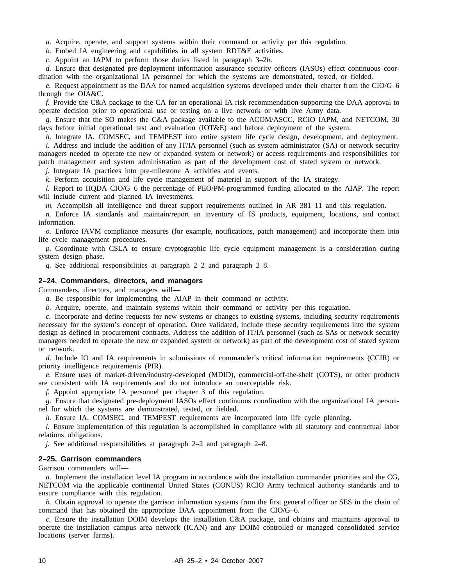*a.* Acquire, operate, and support systems within their command or activity per this regulation.

*b.* Embed IA engineering and capabilities in all system RDT&E activities.

*c.* Appoint an IAPM to perform those duties listed in paragraph 3–2*b*.

*d.* Ensure that designated pre-deployment information assurance security officers (IASOs) effect continuous coordination with the organizational IA personnel for which the systems are demonstrated, tested, or fielded.

*e.* Request appointment as the DAA for named acquisition systems developed under their charter from the CIO/G–6 through the OIA&C.

*f.* Provide the C&A package to the CA for an operational IA risk recommendation supporting the DAA approval to operate decision prior to operational use or testing on a live network or with live Army data.

*g.* Ensure that the SO makes the C&A package available to the ACOM/ASCC, RCIO IAPM, and NETCOM, 30 days before initial operational test and evaluation (IOT&E) and before deployment of the system.

*h.* Integrate IA, COMSEC, and TEMPEST into entire system life cycle design, development, and deployment.

*i.* Address and include the addition of any IT/IA personnel (such as system administrator (SA) or network security managers needed to operate the new or expanded system or network) or access requirements and responsibilities for patch management and system administration as part of the development cost of stated system or network.

*j.* Integrate IA practices into pre-milestone A activities and events.

*k.* Perform acquisition and life cycle management of materiel in support of the IA strategy.

*l.* Report to HQDA CIO/G–6 the percentage of PEO/PM-programmed funding allocated to the AIAP. The report will include current and planned IA investments.

*m.* Accomplish all intelligence and threat support requirements outlined in AR 381–11 and this regulation.

*n*. Enforce IA standards and maintain/report an inventory of IS products, equipment, locations, and contact information.

*o.* Enforce IAVM compliance measures (for example, notifications, patch management) and incorporate them into life cycle management procedures.

*p.* Coordinate with CSLA to ensure cryptographic life cycle equipment management is a consideration during system design phase.

*q.* See additional responsibilities at paragraph 2–2 and paragraph 2–8.

# **2–24. Commanders, directors, and managers**

Commanders, directors, and managers will—

*a.* Be responsible for implementing the AIAP in their command or activity.

*b.* Acquire, operate, and maintain systems within their command or activity per this regulation.

*c.* Incorporate and define requests for new systems or changes to existing systems, including security requirements necessary for the system's concept of operation. Once validated, include these security requirements into the system design as defined in procurement contracts. Address the addition of IT/IA personnel (such as SAs or network security managers needed to operate the new or expanded system or network) as part of the development cost of stated system or network.

*d.* Include IO and IA requirements in submissions of commander's critical information requirements (CCIR) or priority intelligence requirements (PIR).

*e.* Ensure uses of market-driven/industry-developed (MDID), commercial-off-the-shelf (COTS), or other products are consistent with IA requirements and do not introduce an unacceptable risk.

*f.* Appoint appropriate IA personnel per chapter 3 of this regulation.

*g.* Ensure that designated pre-deployment IASOs effect continuous coordination with the organizational IA personnel for which the systems are demonstrated, tested, or fielded.

*h.* Ensure IA, COMSEC, and TEMPEST requirements are incorporated into life cycle planning.

*i.* Ensure implementation of this regulation is accomplished in compliance with all statutory and contractual labor relations obligations.

*j.* See additional responsibilities at paragraph 2–2 and paragraph 2–8.

# **2–25. Garrison commanders**

Garrison commanders will—

*a.* Implement the installation level IA program in accordance with the installation commander priorities and the CG, NETCOM via the applicable continental United States (CONUS) RCIO Army technical authority standards and to ensure compliance with this regulation.

*b.* Obtain approval to operate the garrison information systems from the first general officer or SES in the chain of command that has obtained the appropriate DAA appointment from the CIO/G–6.

*c.* Ensure the installation DOIM develops the installation C&A package, and obtains and maintains approval to operate the installation campus area network (ICAN) and any DOIM controlled or managed consolidated service locations (server farms).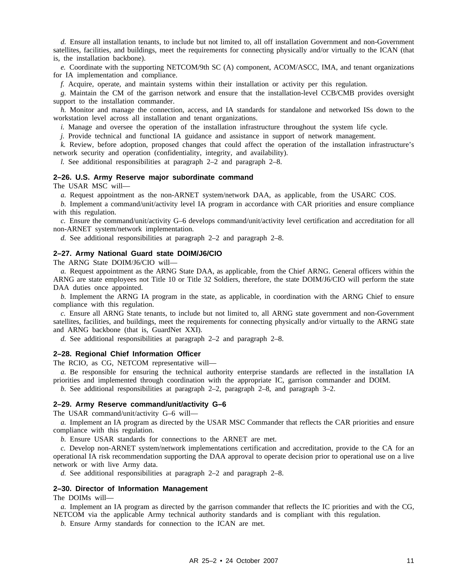*d.* Ensure all installation tenants, to include but not limited to, all off installation Government and non-Government satellites, facilities, and buildings, meet the requirements for connecting physically and/or virtually to the ICAN (that is, the installation backbone).

*e.* Coordinate with the supporting NETCOM/9th SC (A) component, ACOM/ASCC, IMA, and tenant organizations for IA implementation and compliance.

*f.* Acquire, operate, and maintain systems within their installation or activity per this regulation.

*g.* Maintain the CM of the garrison network and ensure that the installation-level CCB/CMB provides oversight support to the installation commander.

*h.* Monitor and manage the connection, access, and IA standards for standalone and networked ISs down to the workstation level across all installation and tenant organizations.

*i.* Manage and oversee the operation of the installation infrastructure throughout the system life cycle.

*j.* Provide technical and functional IA guidance and assistance in support of network management.

*k.* Review, before adoption, proposed changes that could affect the operation of the installation infrastructure's network security and operation (confidentiality, integrity, and availability).

*l.* See additional responsibilities at paragraph 2–2 and paragraph 2–8.

#### **2–26. U.S. Army Reserve major subordinate command**

The USAR MSC will—

*a.* Request appointment as the non-ARNET system/network DAA, as applicable, from the USARC COS.

*b.* Implement a command/unit/activity level IA program in accordance with CAR priorities and ensure compliance with this regulation.

*c.* Ensure the command/unit/activity G–6 develops command/unit/activity level certification and accreditation for all non-ARNET system/network implementation.

*d.* See additional responsibilities at paragraph 2–2 and paragraph 2–8.

# **2–27. Army National Guard state DOIM/J6/CIO**

The ARNG State DOIM/J6/CIO will—

*a.* Request appointment as the ARNG State DAA, as applicable, from the Chief ARNG. General officers within the ARNG are state employees not Title 10 or Title 32 Soldiers, therefore, the state DOIM/J6/CIO will perform the state DAA duties once appointed.

*b.* Implement the ARNG IA program in the state, as applicable, in coordination with the ARNG Chief to ensure compliance with this regulation.

*c.* Ensure all ARNG State tenants, to include but not limited to, all ARNG state government and non-Government satellites, facilities, and buildings, meet the requirements for connecting physically and/or virtually to the ARNG state and ARNG backbone (that is, GuardNet XXI).

*d.* See additional responsibilities at paragraph 2–2 and paragraph 2–8.

### **2–28. Regional Chief Information Officer**

The RCIO, as CG, NETCOM representative will—

*a.* Be responsible for ensuring the technical authority enterprise standards are reflected in the installation IA priorities and implemented through coordination with the appropriate IC, garrison commander and DOIM.

*b.* See additional responsibilities at paragraph 2–2, paragraph 2–8, and paragraph 3–2.

# **2–29. Army Reserve command/unit/activity G–6**

The USAR command/unit/activity G–6 will—

*a.* Implement an IA program as directed by the USAR MSC Commander that reflects the CAR priorities and ensure compliance with this regulation.

*b.* Ensure USAR standards for connections to the ARNET are met.

*c.* Develop non-ARNET system/network implementations certification and accreditation, provide to the CA for an operational IA risk recommendation supporting the DAA approval to operate decision prior to operational use on a live network or with live Army data.

*d.* See additional responsibilities at paragraph 2–2 and paragraph 2–8.

# **2–30. Director of Information Management**

The DOIMs will—

*a.* Implement an IA program as directed by the garrison commander that reflects the IC priorities and with the CG, NETCOM via the applicable Army technical authority standards and is compliant with this regulation.

*b.* Ensure Army standards for connection to the ICAN are met.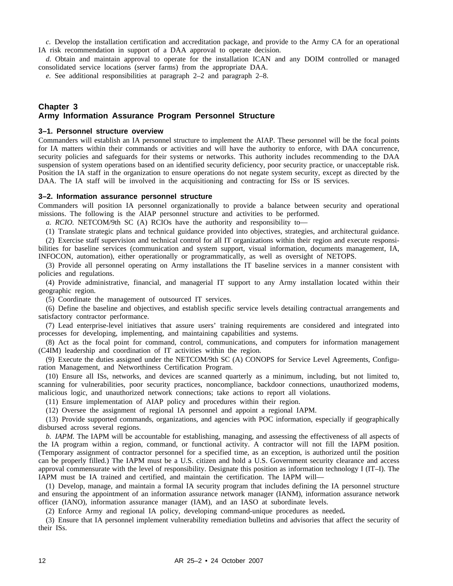*c.* Develop the installation certification and accreditation package, and provide to the Army CA for an operational IA risk recommendation in support of a DAA approval to operate decision.

*d.* Obtain and maintain approval to operate for the installation ICAN and any DOIM controlled or managed consolidated service locations (server farms) from the appropriate DAA.

*e.* See additional responsibilities at paragraph 2–2 and paragraph 2–8.

# **Chapter 3 Army Information Assurance Program Personnel Structure**

#### **3–1. Personnel structure overview**

Commanders will establish an IA personnel structure to implement the AIAP. These personnel will be the focal points for IA matters within their commands or activities and will have the authority to enforce, with DAA concurrence, security policies and safeguards for their systems or networks. This authority includes recommending to the DAA suspension of system operations based on an identified security deficiency, poor security practice, or unacceptable risk. Position the IA staff in the organization to ensure operations do not negate system security, except as directed by the DAA. The IA staff will be involved in the acquisitioning and contracting for ISs or IS services.

#### **3–2. Information assurance personnel structure**

Commanders will position IA personnel organizationally to provide a balance between security and operational missions. The following is the AIAP personnel structure and activities to be performed.

*a. RCIO.* NETCOM/9th SC (A) RCIOs have the authority and responsibility to—

(1) Translate strategic plans and technical guidance provided into objectives, strategies, and architectural guidance.

(2) Exercise staff supervision and technical control for all IT organizations within their region and execute responsibilities for baseline services (communication and system support, visual information, documents management, IA, INFOCON, automation), either operationally or programmatically, as well as oversight of NETOPS.

(3) Provide all personnel operating on Army installations the IT baseline services in a manner consistent with policies and regulations.

(4) Provide administrative, financial, and managerial IT support to any Army installation located within their geographic region.

(5) Coordinate the management of outsourced IT services.

(6) Define the baseline and objectives, and establish specific service levels detailing contractual arrangements and satisfactory contractor performance.

(7) Lead enterprise-level initiatives that assure users' training requirements are considered and integrated into processes for developing, implementing, and maintaining capabilities and systems.

(8) Act as the focal point for command, control, communications, and computers for information management (C4IM) leadership and coordination of IT activities within the region.

(9) Execute the duties assigned under the NETCOM/9th SC (A) CONOPS for Service Level Agreements, Configuration Management, and Networthiness Certification Program.

(10) Ensure all ISs, networks, and devices are scanned quarterly as a minimum, including, but not limited to, scanning for vulnerabilities, poor security practices, noncompliance, backdoor connections, unauthorized modems, malicious logic, and unauthorized network connections; take actions to report all violations.

(11) Ensure implementation of AIAP policy and procedures within their region.

(12) Oversee the assignment of regional IA personnel and appoint a regional IAPM.

(13) Provide supported commands, organizations, and agencies with POC information, especially if geographically disbursed across several regions.

*b. IAPM.* The IAPM will be accountable for establishing, managing, and assessing the effectiveness of all aspects of the IA program within a region, command, or functional activity. A contractor will not fill the IAPM position. (Temporary assignment of contractor personnel for a specified time, as an exception, is authorized until the position can be properly filled.) The IAPM must be a U.S. citizen and hold a U.S. Government security clearance and access approval commensurate with the level of responsibility. Designate this position as information technology I (IT–I). The IAPM must be IA trained and certified, and maintain the certification. The IAPM will—

(1) Develop, manage, and maintain a formal IA security program that includes defining the IA personnel structure and ensuring the appointment of an information assurance network manager (IANM), information assurance network officer (IANO), information assurance manager (IAM), and an IASO at subordinate levels.

(2) Enforce Army and regional IA policy, developing command-unique procedures as needed**.**

(3) Ensure that IA personnel implement vulnerability remediation bulletins and advisories that affect the security of their ISs.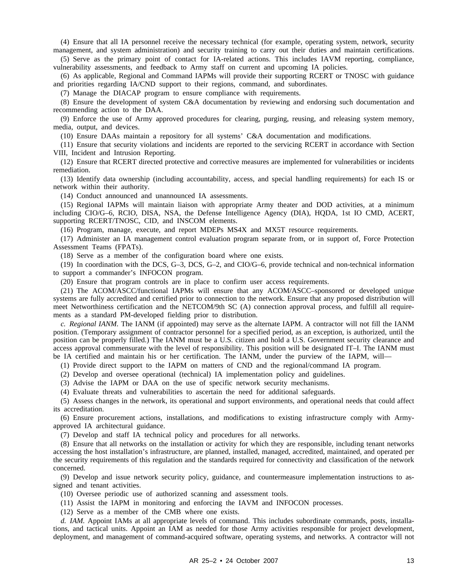(4) Ensure that all IA personnel receive the necessary technical (for example, operating system, network, security management, and system administration) and security training to carry out their duties and maintain certifications.

(5) Serve as the primary point of contact for IA-related actions. This includes IAVM reporting, compliance, vulnerability assessments, and feedback to Army staff on current and upcoming IA policies.

(6) As applicable, Regional and Command IAPMs will provide their supporting RCERT or TNOSC with guidance and priorities regarding IA/CND support to their regions, command, and subordinates.

(7) Manage the DIACAP program to ensure compliance with requirements.

(8) Ensure the development of system C&A documentation by reviewing and endorsing such documentation and recommending action to the DAA.

(9) Enforce the use of Army approved procedures for clearing, purging, reusing, and releasing system memory, media, output, and devices.

(10) Ensure DAAs maintain a repository for all systems' C&A documentation and modifications.

(11) Ensure that security violations and incidents are reported to the servicing RCERT in accordance with Section VIII, Incident and Intrusion Reporting.

(12) Ensure that RCERT directed protective and corrective measures are implemented for vulnerabilities or incidents remediation.

(13) Identify data ownership (including accountability, access, and special handling requirements) for each IS or network within their authority.

(14) Conduct announced and unannounced IA assessments.

(15) Regional IAPMs will maintain liaison with appropriate Army theater and DOD activities, at a minimum including CIO/G–6, RCIO, DISA, NSA, the Defense Intelligence Agency (DIA), HQDA, 1st IO CMD, ACERT, supporting RCERT/TNOSC, CID, and INSCOM elements.

(16) Program, manage, execute, and report MDEPs MS4X and MX5T resource requirements.

(17) Administer an IA management control evaluation program separate from, or in support of, Force Protection Assessment Teams (FPATs).

(18) Serve as a member of the configuration board where one exists.

(19) In coordination with the DCS, G–3, DCS, G–2, and CIO/G–6, provide technical and non-technical information to support a commander's INFOCON program.

(20) Ensure that program controls are in place to confirm user access requirements.

(21) The ACOM/ASCC/functional IAPMs will ensure that any ACOM/ASCC–sponsored or developed unique systems are fully accredited and certified prior to connection to the network. Ensure that any proposed distribution will meet Networthiness certification and the NETCOM/9th SC (A) connection approval process, and fulfill all requirements as a standard PM-developed fielding prior to distribution.

*c. Regional IANM.* The IANM (if appointed) may serve as the alternate IAPM. A contractor will not fill the IANM position. (Temporary assignment of contractor personnel for a specified period, as an exception, is authorized, until the position can be properly filled.) The IANM must be a U.S. citizen and hold a U.S. Government security clearance and access approval commensurate with the level of responsibility. This position will be designated IT–I. The IANM must be IA certified and maintain his or her certification. The IANM, under the purview of the IAPM, will—

(1) Provide direct support to the IAPM on matters of CND and the regional/command IA program.

(2) Develop and oversee operational (technical) IA implementation policy and guidelines.

(3) Advise the IAPM or DAA on the use of specific network security mechanisms.

(4) Evaluate threats and vulnerabilities to ascertain the need for additional safeguards.

(5) Assess changes in the network, its operational and support environments, and operational needs that could affect its accreditation.

(6) Ensure procurement actions, installations, and modifications to existing infrastructure comply with Armyapproved IA architectural guidance.

(7) Develop and staff IA technical policy and procedures for all networks.

(8) Ensure that all networks on the installation or activity for which they are responsible, including tenant networks accessing the host installation's infrastructure, are planned, installed, managed, accredited, maintained, and operated per the security requirements of this regulation and the standards required for connectivity and classification of the network concerned.

(9) Develop and issue network security policy, guidance, and countermeasure implementation instructions to assigned and tenant activities.

(10) Oversee periodic use of authorized scanning and assessment tools.

(11) Assist the IAPM in monitoring and enforcing the IAVM and INFOCON processes.

(12) Serve as a member of the CMB where one exists.

*d. IAM.* Appoint IAMs at all appropriate levels of command. This includes subordinate commands, posts, installations, and tactical units. Appoint an IAM as needed for those Army activities responsible for project development, deployment, and management of command-acquired software, operating systems, and networks. A contractor will not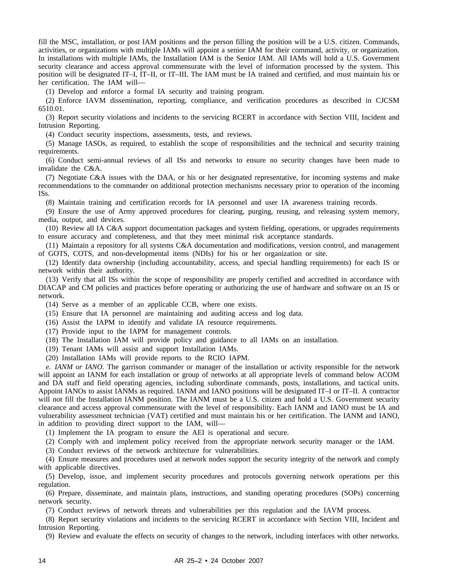fill the MSC, installation, or post IAM positions and the person filling the position will be a U.S. citizen. Commands, activities, or organizations with multiple IAMs will appoint a senior IAM for their command, activity, or organization. In installations with multiple IAMs, the Installation IAM is the Senior IAM. All IAMs will hold a U.S. Government security clearance and access approval commensurate with the level of information processed by the system. This position will be designated IT–I, IT–II, or IT–III. The IAM must be IA trained and certified, and must maintain his or her certification. The IAM will—

(1) Develop and enforce a formal IA security and training program.

(2) Enforce IAVM dissemination, reporting, compliance, and verification procedures as described in CJCSM 6510.01.

(3) Report security violations and incidents to the servicing RCERT in accordance with Section VIII, Incident and Intrusion Reporting.

(4) Conduct security inspections, assessments, tests, and reviews.

(5) Manage IASOs, as required, to establish the scope of responsibilities and the technical and security training requirements.

(6) Conduct semi-annual reviews of all ISs and networks to ensure no security changes have been made to invalidate the C&A.

(7) Negotiate C&A issues with the DAA, or his or her designated representative, for incoming systems and make recommendations to the commander on additional protection mechanisms necessary prior to operation of the incoming ISs.

(8) Maintain training and certification records for IA personnel and user IA awareness training records.

(9) Ensure the use of Army approved procedures for clearing, purging, reusing, and releasing system memory, media, output, and devices.

(10) Review all IA C&A support documentation packages and system fielding, operations, or upgrades requirements to ensure accuracy and completeness, and that they meet minimal risk acceptance standards.

(11) Maintain a repository for all systems C&A documentation and modifications, version control, and management of GOTS, COTS, and non-developmental items (NDIs) for his or her organization or site.

(12) Identify data ownership (including accountability, access, and special handling requirements) for each IS or network within their authority.

(13) Verify that all ISs within the scope of responsibility are properly certified and accredited in accordance with DIACAP and CM policies and practices before operating or authorizing the use of hardware and software on an IS or network.

(14) Serve as a member of an applicable CCB, where one exists.

(15) Ensure that IA personnel are maintaining and auditing access and log data.

(16) Assist the IAPM to identify and validate IA resource requirements.

(17) Provide input to the IAPM for management controls.

(18) The Installation IAM will provide policy and guidance to all IAMs on an installation.

(19) Tenant IAMs will assist and support Installation IAMs.

(20) Installation IAMs will provide reports to the RCIO IAPM.

*e. IANM or IANO.* The garrison commander or manager of the installation or activity responsible for the network will appoint an IANM for each installation or group of networks at all appropriate levels of command below ACOM and DA staff and field operating agencies, including subordinate commands, posts, installations, and tactical units. Appoint IANOs to assist IANMs as required. IANM and IANO positions will be designated IT–I or IT–II. A contractor will not fill the Installation IANM position. The IANM must be a U.S. citizen and hold a U.S. Government security clearance and access approval commensurate with the level of responsibility. Each IANM and IANO must be IA and vulnerability assessment technician (VAT) certified and must maintain his or her certification. The IANM and IANO, in addition to providing direct support to the IAM, will—

(1) Implement the IA program to ensure the AEI is operational and secure.

(2) Comply with and implement policy received from the appropriate network security manager or the IAM.

(3) Conduct reviews of the network architecture for vulnerabilities.

(4) Ensure measures and procedures used at network nodes support the security integrity of the network and comply with applicable directives.

(5) Develop, issue, and implement security procedures and protocols governing network operations per this regulation.

(6) Prepare, disseminate, and maintain plans, instructions, and standing operating procedures (SOPs) concerning network security.

(7) Conduct reviews of network threats and vulnerabilities per this regulation and the IAVM process.

(8) Report security violations and incidents to the servicing RCERT in accordance with Section VIII, Incident and Intrusion Reporting.

(9) Review and evaluate the effects on security of changes to the network, including interfaces with other networks.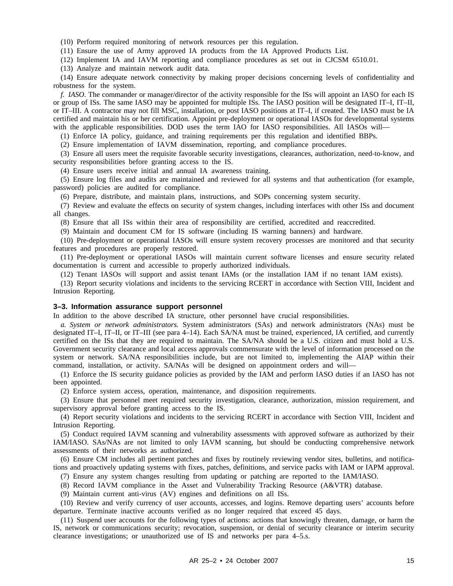(10) Perform required monitoring of network resources per this regulation.

(11) Ensure the use of Army approved IA products from the IA Approved Products List.

(12) Implement IA and IAVM reporting and compliance procedures as set out in CJCSM 6510.01.

(13) Analyze and maintain network audit data.

(14) Ensure adequate network connectivity by making proper decisions concerning levels of confidentiality and robustness for the system.

*f. IASO.* The commander or manager/director of the activity responsible for the ISs will appoint an IASO for each IS or group of ISs. The same IASO may be appointed for multiple ISs. The IASO position will be designated IT–I, IT–II, or IT–III. A contractor may not fill MSC, installation, or post IASO positions at IT–I, if created. The IASO must be IA certified and maintain his or her certification. Appoint pre-deployment or operational IASOs for developmental systems with the applicable responsibilities. DOD uses the term IAO for IASO responsibilities. All IASOs will—

(1) Enforce IA policy, guidance, and training requirements per this regulation and identified BBPs.

(2) Ensure implementation of IAVM dissemination, reporting, and compliance procedures.

(3) Ensure all users meet the requisite favorable security investigations, clearances, authorization, need-to-know, and security responsibilities before granting access to the IS.

(4) Ensure users receive initial and annual IA awareness training.

(5) Ensure log files and audits are maintained and reviewed for all systems and that authentication (for example, password) policies are audited for compliance.

(6) Prepare, distribute, and maintain plans, instructions, and SOPs concerning system security.

(7) Review and evaluate the effects on security of system changes, including interfaces with other ISs and document all changes.

(8) Ensure that all ISs within their area of responsibility are certified, accredited and reaccredited.

(9) Maintain and document CM for IS software (including IS warning banners) and hardware.

(10) Pre-deployment or operational IASOs will ensure system recovery processes are monitored and that security features and procedures are properly restored.

(11) Pre-deployment or operational IASOs will maintain current software licenses and ensure security related documentation is current and accessible to properly authorized individuals.

(12) Tenant IASOs will support and assist tenant IAMs (or the installation IAM if no tenant IAM exists).

(13) Report security violations and incidents to the servicing RCERT in accordance with Section VIII, Incident and Intrusion Reporting.

#### **3–3. Information assurance support personnel**

In addition to the above described IA structure, other personnel have crucial responsibilities.

*a. System or network administrators.* System administrators (SAs) and network administrators (NAs) must be designated IT–I, IT–II, or IT–III (see para 4–14). Each SA/NA must be trained, experienced, IA certified, and currently certified on the ISs that they are required to maintain. The SA/NA should be a U.S. citizen and must hold a U.S. Government security clearance and local access approvals commensurate with the level of information processed on the system or network. SA/NA responsibilities include, but are not limited to, implementing the AIAP within their command, installation, or activity. SA/NAs will be designed on appointment orders and will—

(1) Enforce the IS security guidance policies as provided by the IAM and perform IASO duties if an IASO has not been appointed.

(2) Enforce system access, operation, maintenance, and disposition requirements.

(3) Ensure that personnel meet required security investigation, clearance, authorization, mission requirement, and supervisory approval before granting access to the IS.

(4) Report security violations and incidents to the servicing RCERT in accordance with Section VIII, Incident and Intrusion Reporting.

(5) Conduct required IAVM scanning and vulnerability assessments with approved software as authorized by their IAM/IASO. SAs/NAs are not limited to only IAVM scanning, but should be conducting comprehensive network assessments of their networks as authorized.

(6) Ensure CM includes all pertinent patches and fixes by routinely reviewing vendor sites, bulletins, and notifications and proactively updating systems with fixes, patches, definitions, and service packs with IAM or IAPM approval.

(7) Ensure any system changes resulting from updating or patching are reported to the IAM/IASO.

(8) Record IAVM compliance in the Asset and Vulnerability Tracking Resource (A&VTR) database.

(9) Maintain current anti-virus (AV) engines and definitions on all ISs.

(10) Review and verify currency of user accounts, accesses, and logins. Remove departing users' accounts before departure. Terminate inactive accounts verified as no longer required that exceed 45 days.

(11) Suspend user accounts for the following types of actions: actions that knowingly threaten, damage, or harm the IS, network or communications security; revocation, suspension, or denial of security clearance or interim security clearance investigations; or unauthorized use of IS and networks per para 4–5.s.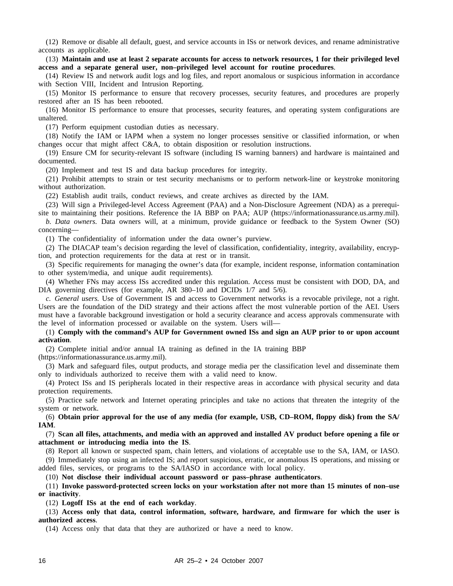(12) Remove or disable all default, guest, and service accounts in ISs or network devices, and rename administrative accounts as applicable.

(13) **Maintain and use at least 2 separate accounts for access to network resources, 1 for their privileged level access and a separate general user, non–privileged level account for routine procedures**.

(14) Review IS and network audit logs and log files, and report anomalous or suspicious information in accordance with Section VIII, Incident and Intrusion Reporting.

(15) Monitor IS performance to ensure that recovery processes, security features, and procedures are properly restored after an IS has been rebooted.

(16) Monitor IS performance to ensure that processes, security features, and operating system configurations are unaltered.

(17) Perform equipment custodian duties as necessary.

(18) Notify the IAM or IAPM when a system no longer processes sensitive or classified information, or when changes occur that might affect C&A, to obtain disposition or resolution instructions.

(19) Ensure CM for security-relevant IS software (including IS warning banners) and hardware is maintained and documented.

(20) Implement and test IS and data backup procedures for integrity.

(21) Prohibit attempts to strain or test security mechanisms or to perform network-line or keystroke monitoring without authorization.

(22) Establish audit trails, conduct reviews, and create archives as directed by the IAM.

(23) Will sign a Privileged-level Access Agreement (PAA) and a Non-Disclosure Agreement (NDA) as a prerequisite to maintaining their positions. Reference the IA BBP on PAA; AUP (https://informationassurance.us.army.mil).

*b. Data owners.* Data owners will, at a minimum, provide guidance or feedback to the System Owner (SO) concerning—

(1) The confidentiality of information under the data owner's purview.

(2) The DIACAP team's decision regarding the level of classification, confidentiality, integrity, availability, encryption, and protection requirements for the data at rest or in transit.

(3) Specific requirements for managing the owner's data (for example, incident response, information contamination to other system/media, and unique audit requirements).

(4) Whether FNs may access ISs accredited under this regulation. Access must be consistent with DOD, DA, and DIA governing directives (for example, AR 380–10 and DCIDs 1/7 and 5/6).

*c. General users.* Use of Government IS and access to Government networks is a revocable privilege, not a right. Users are the foundation of the DiD strategy and their actions affect the most vulnerable portion of the AEI. Users must have a favorable background investigation or hold a security clearance and access approvals commensurate with the level of information processed or available on the system. Users will—

#### (1) **Comply with the command's AUP for Government owned ISs and sign an AUP prior to or upon account activation**.

(2) Complete initial and/or annual IA training as defined in the IA training BBP

(https://informationassurance.us.army.mil).

(3) Mark and safeguard files, output products, and storage media per the classification level and disseminate them only to individuals authorized to receive them with a valid need to know.

(4) Protect ISs and IS peripherals located in their respective areas in accordance with physical security and data protection requirements.

(5) Practice safe network and Internet operating principles and take no actions that threaten the integrity of the system or network.

(6) **Obtain prior approval for the use of any media (for example, USB, CD–ROM, floppy disk) from the SA/ IAM**.

(7) **Scan all files, attachments, and media with an approved and installed AV product before opening a file or attachment or introducing media into the IS**.

(8) Report all known or suspected spam, chain letters, and violations of acceptable use to the SA, IAM, or IASO.

(9) Immediately stop using an infected IS; and report suspicious, erratic, or anomalous IS operations, and missing or added files, services, or programs to the SA/IASO in accordance with local policy.

(10) **Not disclose their individual account password or pass–phrase authenticators**.

(11) **Invoke password-protected screen locks on your workstation after not more than 15 minutes of non–use or inactivity**.

(12) **Logoff ISs at the end of each workday**.

(13) **Access only that data, control information, software, hardware, and firmware for which the user is authorized access**.

(14) Access only that data that they are authorized or have a need to know.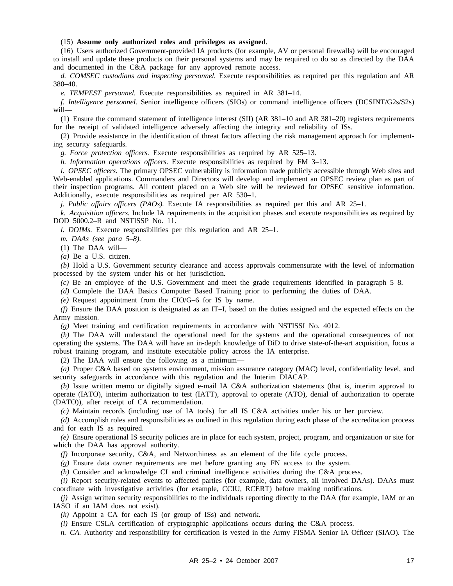#### (15) **Assume only authorized roles and privileges as assigned**.

(16) Users authorized Government-provided IA products (for example, AV or personal firewalls) will be encouraged to install and update these products on their personal systems and may be required to do so as directed by the DAA and documented in the C&A package for any approved remote access.

*d. COMSEC custodians and inspecting personnel.* Execute responsibilities as required per this regulation and AR 380–40.

*e. TEMPEST personnel.* Execute responsibilities as required in AR 381–14.

*f. Intelligence personnel.* Senior intelligence officers (SIOs) or command intelligence officers (DCSINT/G2s/S2s) will—

(1) Ensure the command statement of intelligence interest (SII) (AR 381–10 and AR 381–20) registers requirements for the receipt of validated intelligence adversely affecting the integrity and reliability of ISs.

(2) Provide assistance in the identification of threat factors affecting the risk management approach for implementing security safeguards.

*g. Force protection officers.* Execute responsibilities as required by AR 525–13.

*h. Information operations officers.* Execute responsibilities as required by FM 3–13.

*i. OPSEC officers.* The primary OPSEC vulnerability is information made publicly accessible through Web sites and Web-enabled applications. Commanders and Directors will develop and implement an OPSEC review plan as part of their inspection programs. All content placed on a Web site will be reviewed for OPSEC sensitive information. Additionally, execute responsibilities as required per AR 530–1.

*j. Public affairs officers (PAOs).* Execute IA responsibilities as required per this and AR 25–1.

*k. Acquisition officers.* Include IA requirements in the acquisition phases and execute responsibilities as required by DOD 5000.2–R and NSTISSP No. 11.

*l. DOIMs.* Execute responsibilities per this regulation and AR 25–1.

*m. DAAs (see para 5–8).*

(1) The DAA will—

*(a)* Be a U.S. citizen.

*(b)* Hold a U.S. Government security clearance and access approvals commensurate with the level of information processed by the system under his or her jurisdiction.

*(c)* Be an employee of the U.S. Government and meet the grade requirements identified in paragraph 5–8.

*(d)* Complete the DAA Basics Computer Based Training prior to performing the duties of DAA.

*(e)* Request appointment from the CIO/G–6 for IS by name.

*(f)* Ensure the DAA position is designated as an IT–I, based on the duties assigned and the expected effects on the Army mission.

*(g)* Meet training and certification requirements in accordance with NSTISSI No. 4012.

*(h)* The DAA will understand the operational need for the systems and the operational consequences of not operating the systems. The DAA will have an in-depth knowledge of DiD to drive state-of-the-art acquisition, focus a robust training program, and institute executable policy across the IA enterprise.

(2) The DAA will ensure the following as a minimum—

*(a)* Proper C&A based on systems environment, mission assurance category (MAC) level, confidentiality level, and security safeguards in accordance with this regulation and the Interim DIACAP.

*(b)* Issue written memo or digitally signed e-mail IA C&A authorization statements (that is, interim approval to operate (IATO), interim authorization to test (IATT), approval to operate (ATO), denial of authorization to operate (DATO)), after receipt of CA recommendation.

*(c)* Maintain records (including use of IA tools) for all IS C&A activities under his or her purview.

*(d)* Accomplish roles and responsibilities as outlined in this regulation during each phase of the accreditation process and for each IS as required.

*(e)* Ensure operational IS security policies are in place for each system, project, program, and organization or site for which the DAA has approval authority.

*(f)* Incorporate security, C&A, and Networthiness as an element of the life cycle process.

*(g)* Ensure data owner requirements are met before granting any FN access to the system.

*(h)* Consider and acknowledge CI and criminal intelligence activities during the C&A process.

*(i)* Report security-related events to affected parties (for example, data owners, all involved DAAs). DAAs must coordinate with investigative activities (for example, CCIU, RCERT) before making notifications.

*(j)* Assign written security responsibilities to the individuals reporting directly to the DAA (for example, IAM or an IASO if an IAM does not exist).

*(k)* Appoint a CA for each IS (or group of ISs) and network.

*(l)* Ensure CSLA certification of cryptographic applications occurs during the C&A process.

*n. CA.* Authority and responsibility for certification is vested in the Army FISMA Senior IA Officer (SIAO). The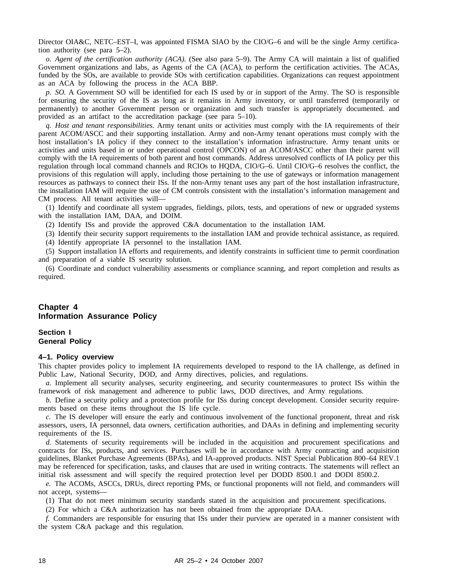Director OIA&C, NETC–EST–I, was appointed FISMA SIAO by the CIO/G–6 and will be the single Army certification authority (see para 5–2).

*o. Agent of the certification authority (ACA).* (See also para 5–9). The Army CA will maintain a list of qualified Government organizations and labs, as Agents of the CA (ACA), to perform the certification activities. The ACAs, funded by the SOs, are available to provide SOs with certification capabilities. Organizations can request appointment as an ACA by following the process in the ACA BBP.

*p. SO.* A Government SO will be identified for each IS used by or in support of the Army. The SO is responsible for ensuring the security of the IS as long as it remains in Army inventory, or until transferred (temporarily or permanently) to another Government person or organization and such transfer is appropriately documented. and provided as an artifact to the accreditation package (see para 5–10).

*q. Host and tenant responsibilities.* Army tenant units or activities must comply with the IA requirements of their parent ACOM/ASCC and their supporting installation. Army and non-Army tenant operations must comply with the host installation's IA policy if they connect to the installation's information infrastructure. Army tenant units or activities and units based in or under operational control (OPCON) of an ACOM/ASCC other than their parent will comply with the IA requirements of both parent and host commands. Address unresolved conflicts of IA policy per this regulation through local command channels and RCIOs to HQDA, CIO/G–6. Until CIO/G–6 resolves the conflict, the provisions of this regulation will apply, including those pertaining to the use of gateways or information management resources as pathways to connect their ISs. If the non-Army tenant uses any part of the host installation infrastructure, the installation IAM will require the use of CM controls consistent with the installation's information management and CM process. All tenant activities will—

(1) Identify and coordinate all system upgrades, fieldings, pilots, tests, and operations of new or upgraded systems with the installation IAM, DAA, and DOIM.

(2) Identify ISs and provide the approved C&A documentation to the installation IAM.

(3) Identify their security support requirements to the installation IAM and provide technical assistance, as required.

(4) Identify appropriate IA personnel to the installation IAM.

(5) Support installation IA efforts and requirements, and identify constraints in sufficient time to permit coordination and preparation of a viable IS security solution.

(6) Coordinate and conduct vulnerability assessments or compliance scanning, and report completion and results as required.

# **Chapter 4 Information Assurance Policy**

# **Section I General Policy**

#### **4–1. Policy overview**

This chapter provides policy to implement IA requirements developed to respond to the IA challenge, as defined in Public Law, National Security, DOD, and Army directives, policies, and regulations.

*a.* Implement all security analyses, security engineering, and security countermeasures to protect ISs within the framework of risk management and adherence to public laws, DOD directives, and Army regulations.

*b.* Define a security policy and a protection profile for ISs during concept development. Consider security requirements based on these items throughout the IS life cycle.

*c.* The IS developer will ensure the early and continuous involvement of the functional proponent, threat and risk assessors, users, IA personnel, data owners, certification authorities, and DAAs in defining and implementing security requirements of the IS.

*d.* Statements of security requirements will be included in the acquisition and procurement specifications and contracts for ISs, products, and services. Purchases will be in accordance with Army contracting and acquisition guidelines, Blanket Purchase Agreements (BPAs), and IA-approved products. NIST Special Publication 800–64 REV.1 may be referenced for specification, tasks, and clauses that are used in writing contracts. The statements will reflect an initial risk assessment and will specify the required protection level per DODD 8500.1 and DODI 8500.2.

*e.* The ACOMs, ASCCs, DRUs, direct reporting PMs, or functional proponents will not field, and commanders will not accept, systems—

(1) That do not meet minimum security standards stated in the acquisition and procurement specifications.

(2) For which a C&A authorization has not been obtained from the appropriate DAA.

*f.* Commanders are responsible for ensuring that ISs under their purview are operated in a manner consistent with the system C&A package and this regulation.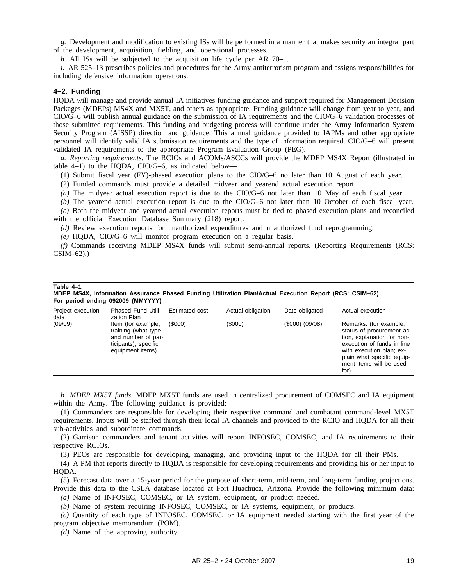*g.* Development and modification to existing ISs will be performed in a manner that makes security an integral part of the development, acquisition, fielding, and operational processes.

*h.* All ISs will be subjected to the acquisition life cycle per AR 70–1.

*i.* AR 525–13 prescribes policies and procedures for the Army antiterrorism program and assigns responsibilities for including defensive information operations.

#### **4–2. Funding**

HQDA will manage and provide annual IA initiatives funding guidance and support required for Management Decision Packages (MDEPs) MS4X and MX5T, and others as appropriate. Funding guidance will change from year to year, and CIO/G–6 will publish annual guidance on the submission of IA requirements and the CIO/G–6 validation processes of those submitted requirements. This funding and budgeting process will continue under the Army Information System Security Program (AISSP) direction and guidance. This annual guidance provided to IAPMs and other appropriate personnel will identify valid IA submission requirements and the type of information required. CIO/G–6 will present validated IA requirements to the appropriate Program Evaluation Group (PEG).

*a. Reporting requirements.* The RCIOs and ACOMs/ASCCs will provide the MDEP MS4X Report (illustrated in table 4–1) to the HQDA, CIO/G–6, as indicated below—

(1) Submit fiscal year (FY)-phased execution plans to the CIO/G–6 no later than 10 August of each year.

(2) Funded commands must provide a detailed midyear and yearend actual execution report.

*(a)* The midyear actual execution report is due to the CIO/G–6 not later than 10 May of each fiscal year.

*(b)* The yearend actual execution report is due to the CIO/G–6 not later than 10 October of each fiscal year.

*(c)* Both the midyear and yearend actual execution reports must be tied to phased execution plans and reconciled with the official Execution Database Summary (218) report.

*(d)* Review execution reports for unauthorized expenditures and unauthorized fund reprogramming.

*(e)* HQDA, CIO/G–6 will monitor program execution on a regular basis.

*(f)* Commands receiving MDEP MS4X funds will submit semi-annual reports. (Reporting Requirements (RCS: CSIM–62).)

#### **Table 4–1 MDEP MS4X, Information Assurance Phased Funding Utilization Plan/Actual Execution Report (RCS: CSIM–62) For period ending 092009 (MMYYYY)**

| Project execution<br>data | <b>Phased Fund Utili-</b><br>zation Plan                                                                    | <b>Estimated cost</b> | Actual obligation | Date obligated | Actual execution                                                                                                                                                                                             |
|---------------------------|-------------------------------------------------------------------------------------------------------------|-----------------------|-------------------|----------------|--------------------------------------------------------------------------------------------------------------------------------------------------------------------------------------------------------------|
| (09/09)                   | Item (for example,<br>training (what type<br>and number of par-<br>ticipants); specific<br>equipment items) | (\$000)               | (0,00)            | (09/08)        | Remarks: (for example,<br>status of procurement ac-<br>tion, explanation for non-<br>execution of funds in line<br>with execution plan; ex-<br>plain what specific equip-<br>ment items will be used<br>for) |

*b. MDEP MX5T funds.* MDEP MX5T funds are used in centralized procurement of COMSEC and IA equipment within the Army. The following guidance is provided:

(1) Commanders are responsible for developing their respective command and combatant command-level MX5T requirements. Inputs will be staffed through their local IA channels and provided to the RCIO and HQDA for all their sub-activities and subordinate commands.

(2) Garrison commanders and tenant activities will report INFOSEC, COMSEC, and IA requirements to their respective RCIOs.

(3) PEOs are responsible for developing, managing, and providing input to the HQDA for all their PMs.

(4) A PM that reports directly to HQDA is responsible for developing requirements and providing his or her input to HODA.

(5) Forecast data over a 15-year period for the purpose of short-term, mid-term, and long-term funding projections. Provide this data to the CSLA database located at Fort Huachuca, Arizona. Provide the following minimum data:

*(a)* Name of INFOSEC, COMSEC, or IA system, equipment, or product needed.

*(b)* Name of system requiring INFOSEC, COMSEC, or IA systems, equipment, or products.

*(c)* Quantity of each type of INFOSEC, COMSEC, or IA equipment needed starting with the first year of the program objective memorandum (POM).

*(d)* Name of the approving authority.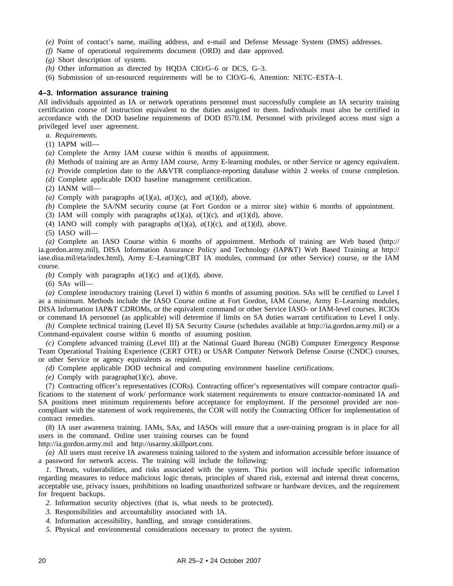- *(e)* Point of contact's name, mailing address, and e-mail and Defense Message System (DMS) addresses.
- *(f)* Name of operational requirements document (ORD) and date approved.
- *(g)* Short description of system.
- *(h)* Other information as directed by HQDA CIO/G–6 or DCS, G–3.
- (6) Submission of un-resourced requirements will be to CIO/G–6, Attention: NETC–ESTA–I.

# **4–3. Information assurance training**

All individuals appointed as IA or network operations personnel must successfully complete an IA security training certification course of instruction equivalent to the duties assigned to them. Individuals must also be certified in accordance with the DOD baseline requirements of DOD 8570.1M. Personnel with privileged access must sign a privileged level user agreement.

- *a. Requirements.*
- (1) IAPM will—
- *(a)* Complete the Army IAM course within 6 months of appointment.
- *(b)* Methods of training are an Army IAM course, Army E-learning modules, or other Service or agency equivalent.
- *(c)* Provide completion date to the A&VTR compliance-reporting database within 2 weeks of course completion.
- *(d)* Complete applicable DOD baseline management certification.
- (2) IANM will—
- (*a*) Comply with paragraphs  $a(1)(a)$ ,  $a(1)(c)$ , and  $a(1)(d)$ , above.
- *(b)* Complete the SA/NM security course (at Fort Gordon or a mirror site) within 6 months of appointment.
- (3) IAM will comply with paragraphs  $a(1)(a)$ ,  $a(1)(c)$ , and  $a(1)(d)$ , above.
- (4) IANO will comply with paragraphs  $a(1)(a)$ ,  $a(1)(c)$ , and  $a(1)(d)$ , above.

(5) IASO will—

*(a)* Complete an IASO Course within 6 months of appointment. Methods of training are Web based (http:// ia.gordon.army.mil), DISA Information Assurance Policy and Technology (IAP&T) Web Based Training at http:// iase.disa.mil/eta/index.html), Army E–Learning/CBT IA modules, command (or other Service) course, or the IAM course.

*(b)* Comply with paragraphs  $a(1)(c)$  and  $a(1)(d)$ , above.

 $(6)$  SAs will-

*(a)* Complete introductory training (Level I) within 6 months of assuming position. SAs will be certified to Level I as a minimum. Methods include the IASO Course online at Fort Gordon, IAM Course, Army E–Learning modules, DISA Information IAP&T CDROMs, or the equivalent command or other Service IASO- or IAM-level courses. RCIOs or command IA personnel (as applicable) will determine if limits on SA duties warrant certification to Level I only.

*(b)* Complete technical training (Level II) SA Security Course (schedules available at http://ia.gordon.army.mil) or a Command-equivalent course within 6 months of assuming position.

*(c)* Complete advanced training (Level III) at the National Guard Bureau (NGB) Computer Emergency Response Team Operational Training Experience (CERT OTE) or USAR Computer Network Defense Course (CNDC) courses, or other Service or agency equivalents as required.

*(d)* Complete applicable DOD technical and computing environment baseline certifications.

*(e)* Comply with paragraph*a*(1)(c), above.

(7) Contracting officer's representatives (CORs). Contracting officer's representatives will compare contractor qualifications to the statement of work/ performance work statement requirements to ensure contractor-nominated IA and SA positions meet minimum requirements before acceptance for employment. If the personnel provided are noncompliant with the statement of work requirements, the COR will notify the Contracting Officer for implementation of contract remedies.

(8) IA user awareness training. IAMs, SAs, and IASOs will ensure that a user-training program is in place for all users in the command. Online user training courses can be found

http://ia.gordon.army.mil and http://usarmy.skillport.com.

*(a)* All users must receive IA awareness training tailored to the system and information accessible before issuance of a password for network access. The training will include the following:

*1.* Threats, vulnerabilities, and risks associated with the system. This portion will include specific information regarding measures to reduce malicious logic threats, principles of shared risk, external and internal threat concerns, acceptable use, privacy issues, prohibitions on loading unauthorized software or hardware devices, and the requirement for frequent backups.

*2.* Information security objectives (that is, what needs to be protected).

- *3.* Responsibilities and accountability associated with IA.
- *4.* Information accessibility, handling, and storage considerations.
- *5.* Physical and environmental considerations necessary to protect the system.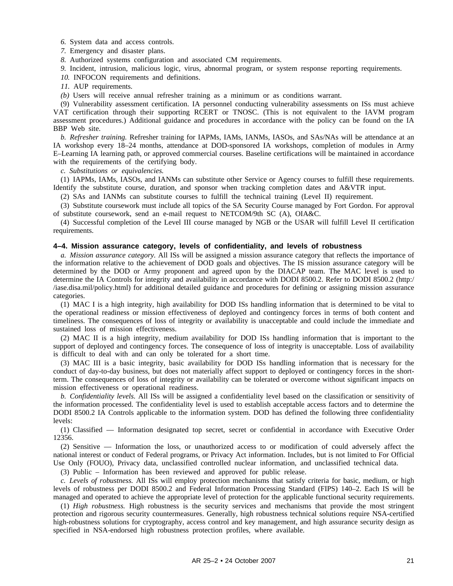*6.* System data and access controls.

*7.* Emergency and disaster plans.

*8.* Authorized systems configuration and associated CM requirements.

*9.* Incident, intrusion, malicious logic, virus, abnormal program, or system response reporting requirements.

10. INFOCON requirements and definitions.

*11.* AUP requirements.

*(b)* Users will receive annual refresher training as a minimum or as conditions warrant.

(9) Vulnerability assessment certification. IA personnel conducting vulnerability assessments on ISs must achieve VAT certification through their supporting RCERT or TNOSC. (This is not equivalent to the IAVM program assessment procedures.) Additional guidance and procedures in accordance with the policy can be found on the IA BBP Web site.

*b. Refresher training.* Refresher training for IAPMs, IAMs, IANMs, IASOs, and SAs/NAs will be attendance at an IA workshop every 18–24 months, attendance at DOD-sponsored IA workshops, completion of modules in Army E–Learning IA learning path, or approved commercial courses. Baseline certifications will be maintained in accordance with the requirements of the certifying body.

*c. Substitutions or equivalencies.*

(1) IAPMs, IAMs, IASOs, and IANMs can substitute other Service or Agency courses to fulfill these requirements. Identify the substitute course, duration, and sponsor when tracking completion dates and A&VTR input.

(2) SAs and IANMs can substitute courses to fulfill the technical training (Level II) requirement.

(3) Substitute coursework must include all topics of the SA Security Course managed by Fort Gordon. For approval of substitute coursework, send an e-mail request to NETCOM/9th SC (A), OIA&C.

(4) Successful completion of the Level III course managed by NGB or the USAR will fulfill Level II certification requirements.

#### **4–4. Mission assurance category, levels of confidentiality, and levels of robustness**

*a. Mission assurance category.* All ISs will be assigned a mission assurance category that reflects the importance of the information relative to the achievement of DOD goals and objectives. The IS mission assurance category will be determined by the DOD or Army proponent and agreed upon by the DIACAP team. The MAC level is used to determine the IA Controls for integrity and availability in accordance with DODI 8500.2. Refer to DODI 8500.2 (http:/ /iase.disa.mil/policy.html) for additional detailed guidance and procedures for defining or assigning mission assurance categories.

(1) MAC I is a high integrity, high availability for DOD ISs handling information that is determined to be vital to the operational readiness or mission effectiveness of deployed and contingency forces in terms of both content and timeliness. The consequences of loss of integrity or availability is unacceptable and could include the immediate and sustained loss of mission effectiveness.

(2) MAC II is a high integrity, medium availability for DOD ISs handling information that is important to the support of deployed and contingency forces. The consequence of loss of integrity is unacceptable. Loss of availability is difficult to deal with and can only be tolerated for a short time.

(3) MAC III is a basic integrity, basic availability for DOD ISs handling information that is necessary for the conduct of day-to-day business, but does not materially affect support to deployed or contingency forces in the shortterm. The consequences of loss of integrity or availability can be tolerated or overcome without significant impacts on mission effectiveness or operational readiness.

*b. Confidentiality levels.* All ISs will be assigned a confidentiality level based on the classification or sensitivity of the information processed. The confidentiality level is used to establish acceptable access factors and to determine the DODI 8500.2 IA Controls applicable to the information system. DOD has defined the following three confidentiality levels:

(1) Classified — Information designated top secret, secret or confidential in accordance with Executive Order 12356.

(2) Sensitive — Information the loss, or unauthorized access to or modification of could adversely affect the national interest or conduct of Federal programs, or Privacy Act information. Includes, but is not limited to For Official Use Only (FOUO), Privacy data, unclassified controlled nuclear information, and unclassified technical data.

(3) Public – Information has been reviewed and approved for public release.

*c. Levels of robustness.* All ISs will employ protection mechanisms that satisfy criteria for basic, medium, or high levels of robustness per DODI 8500.2 and Federal Information Processing Standard (FIPS) 140–2. Each IS will be managed and operated to achieve the appropriate level of protection for the applicable functional security requirements.

(1) *High robustness.* High robustness is the security services and mechanisms that provide the most stringent protection and rigorous security countermeasures. Generally, high robustness technical solutions require NSA-certified high-robustness solutions for cryptography, access control and key management, and high assurance security design as specified in NSA-endorsed high robustness protection profiles, where available.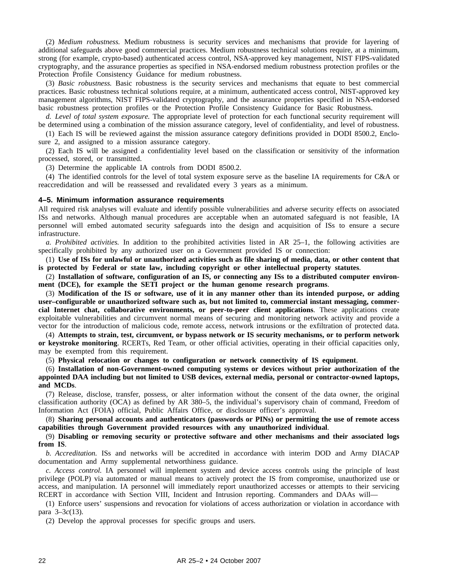(2) *Medium robustness.* Medium robustness is security services and mechanisms that provide for layering of additional safeguards above good commercial practices. Medium robustness technical solutions require, at a minimum, strong (for example, crypto-based) authenticated access control, NSA-approved key management, NIST FIPS-validated cryptography, and the assurance properties as specified in NSA-endorsed medium robustness protection profiles or the Protection Profile Consistency Guidance for medium robustness.

(3) *Basic robustness.* Basic robustness is the security services and mechanisms that equate to best commercial practices. Basic robustness technical solutions require, at a minimum, authenticated access control, NIST-approved key management algorithms, NIST FIPS-validated cryptography, and the assurance properties specified in NSA-endorsed basic robustness protection profiles or the Protection Profile Consistency Guidance for Basic Robustness.

*d. Level of total system exposure.* The appropriate level of protection for each functional security requirement will be determined using a combination of the mission assurance category, level of confidentiality, and level of robustness.

(1) Each IS will be reviewed against the mission assurance category definitions provided in DODI 8500.2, Enclosure 2, and assigned to a mission assurance category.

(2) Each IS will be assigned a confidentiality level based on the classification or sensitivity of the information processed, stored, or transmitted.

(3) Determine the applicable IA controls from DODI 8500.2.

(4) The identified controls for the level of total system exposure serve as the baseline IA requirements for C&A or reaccredidation and will be reassessed and revalidated every 3 years as a minimum.

### **4–5. Minimum information assurance requirements**

All required risk analyses will evaluate and identify possible vulnerabilities and adverse security effects on associated ISs and networks. Although manual procedures are acceptable when an automated safeguard is not feasible, IA personnel will embed automated security safeguards into the design and acquisition of ISs to ensure a secure infrastructure.

*a. Prohibited activities.* In addition to the prohibited activities listed in AR 25–1, the following activities are specifically prohibited by any authorized user on a Government provided IS or connection:

(1) **Use of ISs for unlawful or unauthorized activities such as file sharing of media, data, or other content that is protected by Federal or state law, including copyright or other intellectual property statutes**.

(2) **Installation of software, configuration of an IS, or connecting any ISs to a distributed computer environment (DCE), for example the SETI project or the human genome research programs**.

(3) **Modification of the IS or software, use of it in any manner other than its intended purpose, or adding user–configurable or unauthorized software such as, but not limited to, commercial instant messaging, commercial Internet chat, collaborative environments, or peer-to-peer client applications**. These applications create exploitable vulnerabilities and circumvent normal means of securing and monitoring network activity and provide a vector for the introduction of malicious code, remote access, network intrusions or the exfiltration of protected data.

(4) **Attempts to strain, test, circumvent, or bypass network or IS security mechanisms, or to perform network or keystroke monitoring**. RCERTs, Red Team, or other official activities, operating in their official capacities only, may be exempted from this requirement.

(5) **Physical relocation or changes to configuration or network connectivity of IS equipment**.

(6) **Installation of non-Government-owned computing systems or devices without prior authorization of the appointed DAA including but not limited to USB devices, external media, personal or contractor-owned laptops, and MCDs**.

(7) Release, disclose, transfer, possess, or alter information without the consent of the data owner, the original classification authority (OCA) as defined by AR 380–5, the individual's supervisory chain of command, Freedom of Information Act (FOIA) official, Public Affairs Office, or disclosure officer's approval.

(8) **Sharing personal accounts and authenticators (passwords or PINs) or permitting the use of remote access capabilities through Government provided resources with any unauthorized individual**.

(9) **Disabling or removing security or protective software and other mechanisms and their associated logs from IS**.

*b. Accreditation.* ISs and networks will be accredited in accordance with interim DOD and Army DIACAP documentation and Army supplemental networthiness guidance.

*c. Access control.* IA personnel will implement system and device access controls using the principle of least privilege (POLP) via automated or manual means to actively protect the IS from compromise, unauthorized use or access, and manipulation. IA personnel will immediately report unauthorized accesses or attempts to their servicing RCERT in accordance with Section VIII, Incident and Intrusion reporting. Commanders and DAAs will—

(1) Enforce users' suspensions and revocation for violations of access authorization or violation in accordance with para 3–3*c*(13).

(2) Develop the approval processes for specific groups and users.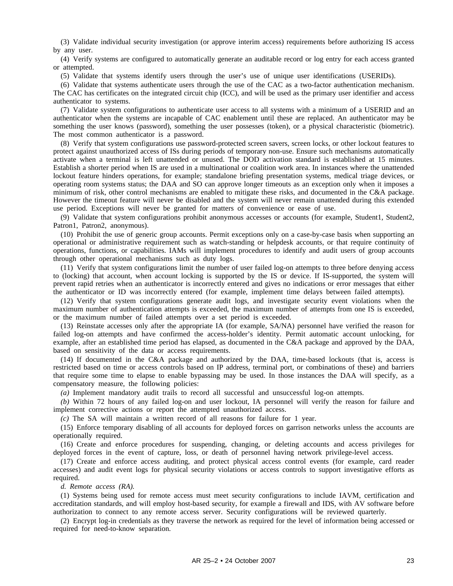(3) Validate individual security investigation (or approve interim access) requirements before authorizing IS access by any user.

(4) Verify systems are configured to automatically generate an auditable record or log entry for each access granted or attempted.

(5) Validate that systems identify users through the user's use of unique user identifications (USERIDs).

(6) Validate that systems authenticate users through the use of the CAC as a two-factor authentication mechanism. The CAC has certificates on the integrated circuit chip (ICC), and will be used as the primary user identifier and access authenticator to systems.

(7) Validate system configurations to authenticate user access to all systems with a minimum of a USERID and an authenticator when the systems are incapable of CAC enablement until these are replaced. An authenticator may be something the user knows (password), something the user possesses (token), or a physical characteristic (biometric). The most common authenticator is a password.

(8) Verify that system configurations use password-protected screen savers, screen locks, or other lockout features to protect against unauthorized access of ISs during periods of temporary non-use. Ensure such mechanisms automatically activate when a terminal is left unattended or unused. The DOD activation standard is established at 15 minutes. Establish a shorter period when IS are used in a multinational or coalition work area. In instances where the unattended lockout feature hinders operations, for example; standalone briefing presentation systems, medical triage devices, or operating room systems status; the DAA and SO can approve longer timeouts as an exception only when it imposes a minimum of risk, other control mechanisms are enabled to mitigate these risks, and documented in the C&A package. However the timeout feature will never be disabled and the system will never remain unattended during this extended use period. Exceptions will never be granted for matters of convenience or ease of use.

(9) Validate that system configurations prohibit anonymous accesses or accounts (for example, Student1, Student2, Patron1, Patron2, anonymous).

(10) Prohibit the use of generic group accounts. Permit exceptions only on a case-by-case basis when supporting an operational or administrative requirement such as watch-standing or helpdesk accounts, or that require continuity of operations, functions, or capabilities. IAMs will implement procedures to identify and audit users of group accounts through other operational mechanisms such as duty logs.

(11) Verify that system configurations limit the number of user failed log-on attempts to three before denying access to (locking) that account, when account locking is supported by the IS or device. If IS-supported, the system will prevent rapid retries when an authenticator is incorrectly entered and gives no indications or error messages that either the authenticator or ID was incorrectly entered (for example, implement time delays between failed attempts).

(12) Verify that system configurations generate audit logs, and investigate security event violations when the maximum number of authentication attempts is exceeded, the maximum number of attempts from one IS is exceeded, or the maximum number of failed attempts over a set period is exceeded.

(13) Reinstate accesses only after the appropriate IA (for example, SA/NA) personnel have verified the reason for failed log-on attempts and have confirmed the access-holder's identity. Permit automatic account unlocking, for example, after an established time period has elapsed, as documented in the C&A package and approved by the DAA, based on sensitivity of the data or access requirements.

(14) If documented in the C&A package and authorized by the DAA, time-based lockouts (that is, access is restricted based on time or access controls based on IP address, terminal port, or combinations of these) and barriers that require some time to elapse to enable bypassing may be used. In those instances the DAA will specify, as a compensatory measure, the following policies:

*(a)* Implement mandatory audit trails to record all successful and unsuccessful log-on attempts.

*(b)* Within 72 hours of any failed log-on and user lockout, IA personnel will verify the reason for failure and implement corrective actions or report the attempted unauthorized access.

*(c)* The SA will maintain a written record of all reasons for failure for 1 year.

(15) Enforce temporary disabling of all accounts for deployed forces on garrison networks unless the accounts are operationally required.

(16) Create and enforce procedures for suspending, changing, or deleting accounts and access privileges for deployed forces in the event of capture, loss, or death of personnel having network privilege-level access.

(17) Create and enforce access auditing, and protect physical access control events (for example, card reader accesses) and audit event logs for physical security violations or access controls to support investigative efforts as required.

*d. Remote access (RA).*

(1) Systems being used for remote access must meet security configurations to include IAVM, certification and accreditation standards, and will employ host-based security, for example a firewall and IDS, with AV software before authorization to connect to any remote access server. Security configurations will be reviewed quarterly.

(2) Encrypt log-in credentials as they traverse the network as required for the level of information being accessed or required for need-to-know separation.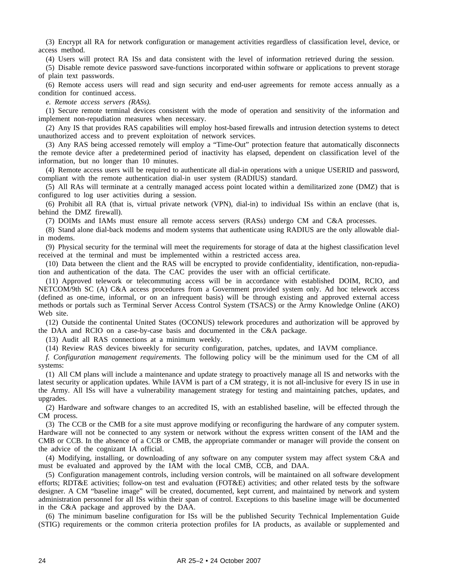(3) Encrypt all RA for network configuration or management activities regardless of classification level, device, or access method.

(4) Users will protect RA ISs and data consistent with the level of information retrieved during the session.

(5) Disable remote device password save-functions incorporated within software or applications to prevent storage of plain text passwords.

(6) Remote access users will read and sign security and end-user agreements for remote access annually as a condition for continued access.

*e. Remote access servers (RASs).*

(1) Secure remote terminal devices consistent with the mode of operation and sensitivity of the information and implement non-repudiation measures when necessary.

(2) Any IS that provides RAS capabilities will employ host-based firewalls and intrusion detection systems to detect unauthorized access and to prevent exploitation of network services.

(3) Any RAS being accessed remotely will employ a "Time-Out" protection feature that automatically disconnects the remote device after a predetermined period of inactivity has elapsed, dependent on classification level of the information, but no longer than 10 minutes.

(4) Remote access users will be required to authenticate all dial-in operations with a unique USERID and password, compliant with the remote authentication dial-in user system (RADIUS) standard.

(5) All RAs will terminate at a centrally managed access point located within a demilitarized zone (DMZ) that is configured to log user activities during a session.

(6) Prohibit all RA (that is, virtual private network (VPN), dial-in) to individual ISs within an enclave (that is, behind the DMZ firewall).

(7) DOIMs and IAMs must ensure all remote access servers (RASs) undergo CM and C&A processes.

(8) Stand alone dial-back modems and modem systems that authenticate using RADIUS are the only allowable dialin modems.

(9) Physical security for the terminal will meet the requirements for storage of data at the highest classification level received at the terminal and must be implemented within a restricted access area.

(10) Data between the client and the RAS will be encrypted to provide confidentiality, identification, non-repudiation and authentication of the data. The CAC provides the user with an official certificate.

(11) Approved telework or telecommuting access will be in accordance with established DOIM, RCIO, and NETCOM/9th SC (A) C&A access procedures from a Government provided system only. Ad hoc telework access (defined as one-time, informal, or on an infrequent basis) will be through existing and approved external access methods or portals such as Terminal Server Access Control System (TSACS) or the Army Knowledge Online (AKO) Web site.

(12) Outside the continental United States (OCONUS) telework procedures and authorization will be approved by the DAA and RCIO on a case-by-case basis and documented in the C&A package.

(13) Audit all RAS connections at a minimum weekly.

(14) Review RAS devices biweekly for security configuration, patches, updates, and IAVM compliance.

*f. Configuration management requirements.* The following policy will be the minimum used for the CM of all systems:

(1) All CM plans will include a maintenance and update strategy to proactively manage all IS and networks with the latest security or application updates. While IAVM is part of a CM strategy, it is not all-inclusive for every IS in use in the Army. All ISs will have a vulnerability management strategy for testing and maintaining patches, updates, and upgrades.

(2) Hardware and software changes to an accredited IS, with an established baseline, will be effected through the CM process.

(3) The CCB or the CMB for a site must approve modifying or reconfiguring the hardware of any computer system. Hardware will not be connected to any system or network without the express written consent of the IAM and the CMB or CCB. In the absence of a CCB or CMB, the appropriate commander or manager will provide the consent on the advice of the cognizant IA official.

(4) Modifying, installing, or downloading of any software on any computer system may affect system C&A and must be evaluated and approved by the IAM with the local CMB, CCB, and DAA.

(5) Configuration management controls, including version controls, will be maintained on all software development efforts; RDT&E activities; follow-on test and evaluation (FOT&E) activities; and other related tests by the software designer. A CM "baseline image" will be created, documented, kept current, and maintained by network and system administration personnel for all ISs within their span of control. Exceptions to this baseline image will be documented in the C&A package and approved by the DAA.

(6) The minimum baseline configuration for ISs will be the published Security Technical Implementation Guide (STIG) requirements or the common criteria protection profiles for IA products, as available or supplemented and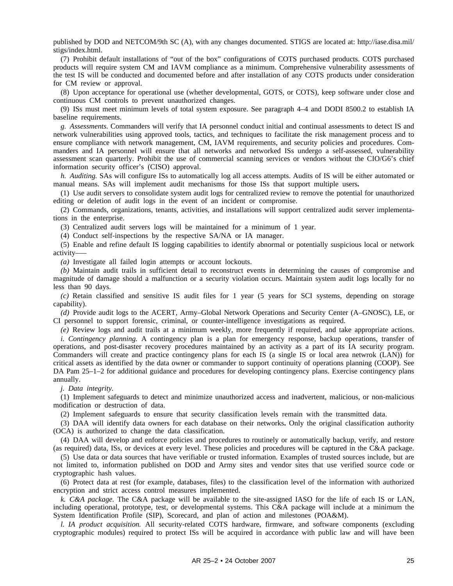published by DOD and NETCOM/9th SC (A), with any changes documented. STIGS are located at: http://iase.disa.mil/ stigs/index.html.

(7) Prohibit default installations of "out of the box" configurations of COTS purchased products. COTS purchased products will require system CM and IAVM compliance as a minimum. Comprehensive vulnerability assessments of the test IS will be conducted and documented before and after installation of any COTS products under consideration for CM review or approval.

(8) Upon acceptance for operational use (whether developmental, GOTS, or COTS), keep software under close and continuous CM controls to prevent unauthorized changes.

(9) ISs must meet minimum levels of total system exposure. See paragraph 4–4 and DODI 8500.2 to establish IA baseline requirements.

*g. Assessments.* Commanders will verify that IA personnel conduct initial and continual assessments to detect IS and network vulnerabilities using approved tools, tactics, and techniques to facilitate the risk management process and to ensure compliance with network management, CM, IAVM requirements, and security policies and procedures. Commanders and IA personnel will ensure that all networks and networked ISs undergo a self-assessed, vulnerability assessment scan quarterly. Prohibit the use of commercial scanning services or vendors without the CIO/G6's chief information security officer's (CISO) approval.

*h. Auditing.* SAs will configure ISs to automatically log all access attempts. Audits of IS will be either automated or manual means. SAs will implement audit mechanisms for those ISs that support multiple users**.**

(1) Use audit servers to consolidate system audit logs for centralized review to remove the potential for unauthorized editing or deletion of audit logs in the event of an incident or compromise.

(2) Commands, organizations, tenants, activities, and installations will support centralized audit server implementations in the enterprise.

(3) Centralized audit servers logs will be maintained for a minimum of 1 year.

(4) Conduct self-inspections by the respective SA/NA or IA manager.

(5) Enable and refine default IS logging capabilities to identify abnormal or potentially suspicious local or network activity–—

*(a)* Investigate all failed login attempts or account lockouts.

*(b)* Maintain audit trails in sufficient detail to reconstruct events in determining the causes of compromise and magnitude of damage should a malfunction or a security violation occurs. Maintain system audit logs locally for no less than 90 days.

*(c)* Retain classified and sensitive IS audit files for 1 year (5 years for SCI systems, depending on storage capability).

*(d)* Provide audit logs to the ACERT, Army–Global Network Operations and Security Center (A–GNOSC), LE, or CI personnel to support forensic, criminal, or counter-intelligence investigations as required.

*(e)* Review logs and audit trails at a minimum weekly, more frequently if required, and take appropriate actions.

*i. Contingency planning.* A contingency plan is a plan for emergency response, backup operations, transfer of operations, and post-disaster recovery procedures maintained by an activity as a part of its IA security program. Commanders will create and practice contingency plans for each IS (a single IS or local area netwrok (LAN)) for critical assets as identified by the data owner or commander to support continuity of operations planning (COOP). See DA Pam 25–1–2 for additional guidance and procedures for developing contingency plans. Exercise contingency plans annually.

*j. Data integrity.*

(1) Implement safeguards to detect and minimize unauthorized access and inadvertent, malicious, or non-malicious modification or destruction of data.

(2) Implement safeguards to ensure that security classification levels remain with the transmitted data.

(3) DAA will identify data owners for each database on their networks**.** Only the original classification authority (OCA) is authorized to change the data classification.

(4) DAA will develop and enforce policies and procedures to routinely or automatically backup, verify, and restore (as required) data, ISs, or devices at every level. These policies and procedures will be captured in the C&A package.

(5) Use data or data sources that have verifiable or trusted information. Examples of trusted sources include, but are not limited to, information published on DOD and Army sites and vendor sites that use verified source code or cryptographic hash values.

(6) Protect data at rest (for example, databases, files) to the classification level of the information with authorized encryption and strict access control measures implemented.

*k. C&A package.* The C&A package will be available to the site-assigned IASO for the life of each IS or LAN, including operational, prototype, test, or developmental systems. This C&A package will include at a minimum the System Identification Profile (SIP), Scorecard, and plan of action and milestones (POA&M).

*l. IA product acquisition.* All security-related COTS hardware, firmware, and software components (excluding cryptographic modules) required to protect ISs will be acquired in accordance with public law and will have been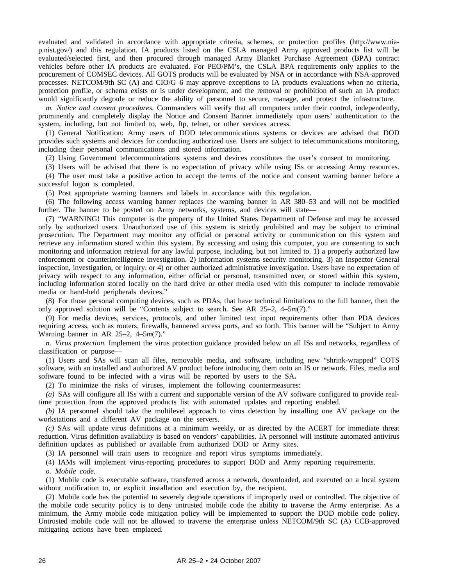evaluated and validated in accordance with appropriate criteria, schemes, or protection profiles (http://www.niap.nist.gov/) and this regulation. IA products listed on the CSLA managed Army approved products list will be evaluated/selected first, and then procured through managed Army Blanket Purchase Agreement (BPA) contract vehicles before other IA products are evaluated. For PEO/PM's, the CSLA BPA requirements only applies to the procurement of COMSEC devices. All GOTS products will be evaluated by NSA or in accordance with NSA-approved processes. NETCOM/9th SC (A) and CIO/G–6 may approve exceptions to IA products evaluations when no criteria, protection profile, or schema exists or is under development, and the removal or prohibition of such an IA product would significantly degrade or reduce the ability of personnel to secure, manage, and protect the infrastructure.

*m. Notice and consent procedures.* Commanders will verify that all computers under their control, independently, prominently and completely display the Notice and Consent Banner immediately upon users' authentication to the system, including, but not limited to, web, ftp, telnet, or other services access.

(1) General Notification: Army users of DOD telecommunications systems or devices are advised that DOD provides such systems and devices for conducting authorized use. Users are subject to telecommunications monitoring, including their personal communications and stored information.

(2) Using Government telecommunications systems and devices constitutes the user's consent to monitoring.

(3) Users will be advised that there is no expectation of privacy while using ISs or accessing Army resources. (4) The user must take a positive action to accept the terms of the notice and consent warning banner before a successful logon is completed.

(5) Post appropriate warning banners and labels in accordance with this regulation.

(6) The following access warning banner replaces the warning banner in AR 380–53 and will not be modified further. The banner to be posted on Army networks, systems, and devices will state—

(7) "WARNING! This computer is the property of the United States Department of Defense and may be accessed only by authorized users. Unauthorized use of this system is strictly prohibited and may be subject to criminal prosecution. The Department may monitor any official or personal activity or communication on this system and retrieve any information stored within this system. By accessing and using this computer, you are consenting to such monitoring and information retrieval for any lawful purpose, including, but not limited to. 1) a properly authorized law enforcement or counterintelligence investigation. 2) information systems security monitoring. 3) an Inspector General inspection, investigation, or inquiry. or 4) or other authorized administrative investigation. Users have no expectation of privacy with respect to any information, either official or personal, transmitted over, or stored within this system, including information stored locally on the hard drive or other media used with this computer to include removable media or hand-held peripherals devices."

(8) For those personal computing devices, such as PDAs, that have technical limitations to the full banner, then the only approved solution will be "Contents subject to search. See AR 25–2, 4–5*m*(7)."

(9) For media devices, services, protocols, and other limited text input requirements other than PDA devices requiring access, such as routers, firewalls, bannered access ports, and so forth. This banner will be "Subject to Army Warning banner in AR 25–2, 4–5*m*(7)."

*n. Virus protection.* Implement the virus protection guidance provided below on all ISs and networks, regardless of classification or purpose—

(1) Users and SAs will scan all files, removable media, and software, including new "shrink-wrapped" COTS software, with an installed and authorized AV product before introducing them onto an IS or network. Files, media and software found to be infected with a virus will be reported by users to the SA**.**

(2) To minimize the risks of viruses, implement the following countermeasures:

*(a)* SAs will configure all ISs with a current and supportable version of the AV software configured to provide realtime protection from the approved products list with automated updates and reporting enabled.

*(b)* IA personnel should take the multilevel approach to virus detection by installing one AV package on the workstations and a different AV package on the servers.

*(c)* SAs will update virus definitions at a minimum weekly, or as directed by the ACERT for immediate threat reduction. Virus definition availability is based on vendors' capabilities. IA personnel will institute automated antivirus definition updates as published or available from authorized DOD or Army sites.

(3) IA personnel will train users to recognize and report virus symptoms immediately.

(4) IAMs will implement virus-reporting procedures to support DOD and Army reporting requirements.

*o. Mobile code.*

(1) Mobile code is executable software, transferred across a network, downloaded, and executed on a local system without notification to, or explicit installation and execution by, the recipient.

(2) Mobile code has the potential to severely degrade operations if improperly used or controlled. The objective of the mobile code security policy is to deny untrusted mobile code the ability to traverse the Army enterprise. As a minimum, the Army mobile code mitigation policy will be implemented to support the DOD mobile code policy. Untrusted mobile code will not be allowed to traverse the enterprise unless NETCOM/9th SC (A) CCB-approved mitigating actions have been emplaced.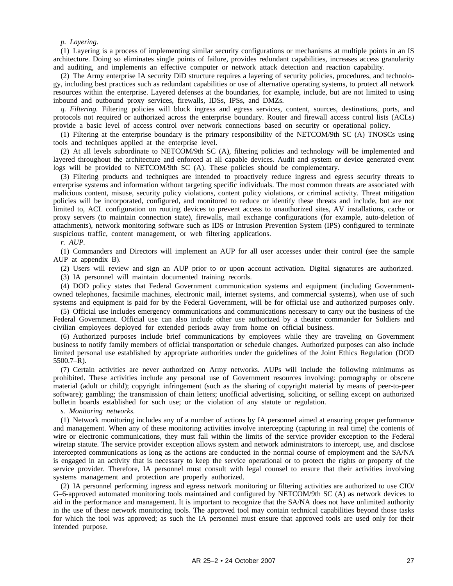#### *p. Layering.*

(1) Layering is a process of implementing similar security configurations or mechanisms at multiple points in an IS architecture. Doing so eliminates single points of failure, provides redundant capabilities, increases access granularity and auditing, and implements an effective computer or network attack detection and reaction capability.

(2) The Army enterprise IA security DiD structure requires a layering of security policies, procedures, and technology, including best practices such as redundant capabilities or use of alternative operating systems, to protect all network resources within the enterprise. Layered defenses at the boundaries, for example, include, but are not limited to using inbound and outbound proxy services, firewalls, IDSs, IPSs, and DMZs.

*q. Filtering.* Filtering policies will block ingress and egress services, content, sources, destinations, ports, and protocols not required or authorized across the enterprise boundary. Router and firewall access control lists (ACLs) provide a basic level of access control over network connections based on security or operational policy.

(1) Filtering at the enterprise boundary is the primary responsibility of the NETCOM/9th SC (A) TNOSCs using tools and techniques applied at the enterprise level.

(2) At all levels subordinate to NETCOM/9th SC (A), filtering policies and technology will be implemented and layered throughout the architecture and enforced at all capable devices. Audit and system or device generated event logs will be provided to NETCOM/9th SC (A). These policies should be complementary.

(3) Filtering products and techniques are intended to proactively reduce ingress and egress security threats to enterprise systems and information without targeting specific individuals. The most common threats are associated with malicious content, misuse, security policy violations, content policy violations, or criminal activity. Threat mitigation policies will be incorporated, configured, and monitored to reduce or identify these threats and include, but are not limited to, ACL configuration on routing devices to prevent access to unauthorized sites, AV installations, cache or proxy servers (to maintain connection state), firewalls, mail exchange configurations (for example, auto-deletion of attachments), network monitoring software such as IDS or Intrusion Prevention System (IPS) configured to terminate suspicious traffic, content management, or web filtering applications.

*r. AUP.*

(1) Commanders and Directors will implement an AUP for all user accesses under their control (see the sample AUP at appendix B).

(2) Users will review and sign an AUP prior to or upon account activation. Digital signatures are authorized. (3) IA personnel will maintain documented training records.

(4) DOD policy states that Federal Government communication systems and equipment (including Governmentowned telephones, facsimile machines, electronic mail, internet systems, and commercial systems), when use of such systems and equipment is paid for by the Federal Government, will be for official use and authorized purposes only.

(5) Official use includes emergency communications and communications necessary to carry out the business of the Federal Government. Official use can also include other use authorized by a theater commander for Soldiers and civilian employees deployed for extended periods away from home on official business.

(6) Authorized purposes include brief communications by employees while they are traveling on Government business to notify family members of official transportation or schedule changes. Authorized purposes can also include limited personal use established by appropriate authorities under the guidelines of the Joint Ethics Regulation (DOD 5500.7–R).

(7) Certain activities are never authorized on Army networks. AUPs will include the following minimums as prohibited. These activities include any personal use of Government resources involving: pornography or obscene material (adult or child); copyright infringement (such as the sharing of copyright material by means of peer-to-peer software); gambling; the transmission of chain letters; unofficial advertising, soliciting, or selling except on authorized bulletin boards established for such use; or the violation of any statute or regulation.

*s. Monitoring networks.*

(1) Network monitoring includes any of a number of actions by IA personnel aimed at ensuring proper performance and management. When any of these monitoring activities involve intercepting (capturing in real time) the contents of wire or electronic communications, they must fall within the limits of the service provider exception to the Federal wiretap statute. The service provider exception allows system and network administrators to intercept, use, and disclose intercepted communications as long as the actions are conducted in the normal course of employment and the SA/NA is engaged in an activity that is necessary to keep the service operational or to protect the rights or property of the service provider. Therefore, IA personnel must consult with legal counsel to ensure that their activities involving systems management and protection are properly authorized.

(2) IA personnel performing ingress and egress network monitoring or filtering activities are authorized to use CIO/ G–6-approved automated monitoring tools maintained and configured by NETCOM/9th SC (A) as network devices to aid in the performance and management. It is important to recognize that the SA/NA does not have unlimited authority in the use of these network monitoring tools. The approved tool may contain technical capabilities beyond those tasks for which the tool was approved; as such the IA personnel must ensure that approved tools are used only for their intended purpose.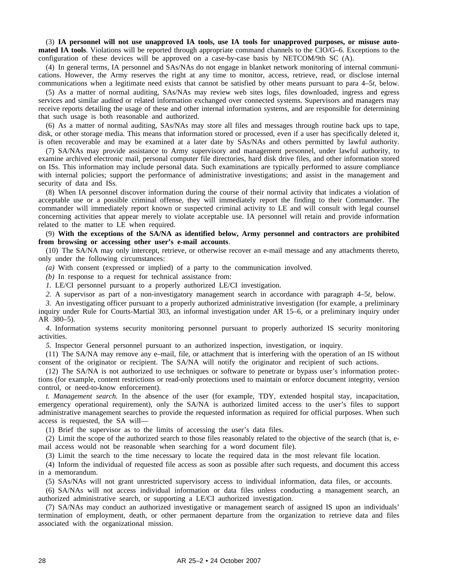(3) **IA personnel will not use unapproved IA tools, use IA tools for unapproved purposes, or misuse automated IA tools**. Violations will be reported through appropriate command channels to the CIO/G–6. Exceptions to the configuration of these devices will be approved on a case-by-case basis by NETCOM/9th SC (A).

(4) In general terms, IA personnel and SAs/NAs do not engage in blanket network monitoring of internal communications. However, the Army reserves the right at any time to monitor, access, retrieve, read, or disclose internal communications when a legitimate need exists that cannot be satisfied by other means pursuant to para 4–5*t*, below.

(5) As a matter of normal auditing, SAs/NAs may review web sites logs, files downloaded, ingress and egress services and similar audited or related information exchanged over connected systems. Supervisors and managers may receive reports detailing the usage of these and other internal information systems, and are responsible for determining that such usage is both reasonable and authorized.

(6) As a matter of normal auditing, SAs/NAs may store all files and messages through routine back ups to tape, disk, or other storage media. This means that information stored or processed, even if a user has specifically deleted it, is often recoverable and may be examined at a later date by SAs/NAs and others permitted by lawful authority.

(7) SA/NAs may provide assistance to Army supervisory and management personnel, under lawful authority, to examine archived electronic mail, personal computer file directories, hard disk drive files, and other information stored on ISs. This information may include personal data. Such examinations are typically performed to assure compliance with internal policies; support the performance of administrative investigations; and assist in the management and security of data and ISs.

(8) When IA personnel discover information during the course of their normal activity that indicates a violation of acceptable use or a possible criminal offense, they will immediately report the finding to their Commander. The commander will immediately report known or suspected criminal activity to LE and will consult with legal counsel concerning activities that appear merely to violate acceptable use. IA personnel will retain and provide information related to the matter to LE when required.

# (9) **With the exceptions of the SA/NA as identified below, Army personnel and contractors are prohibited from browsing or accessing other user's e-mail accounts**.

(10) The SA/NA may only intercept, retrieve, or otherwise recover an e-mail message and any attachments thereto, only under the following circumstances:

*(a)* With consent (expressed or implied) of a party to the communication involved.

*(b)* In response to a request for technical assistance from:

*1.* LE/CI personnel pursuant to a properly authorized LE/CI investigation.

*2.* A supervisor as part of a non-investigatory management search in accordance with paragraph 4–5*t*, below.

*3.* An investigating officer pursuant to a properly authorized administrative investigation (for example, a preliminary inquiry under Rule for Courts-Martial 303, an informal investigation under AR 15–6, or a preliminary inquiry under AR 380–5).

4. Information systems security monitoring personnel pursuant to properly authorized IS security monitoring activities.

*5.* Inspector General personnel pursuant to an authorized inspection, investigation, or inquiry.

(11) The SA/NA may remove any e–mail, file, or attachment that is interfering with the operation of an IS without consent of the originator or recipient. The SA/NA will notify the originator and recipient of such actions.

(12) The SA/NA is not authorized to use techniques or software to penetrate or bypass user's information protections (for example, content restrictions or read-only protections used to maintain or enforce document integrity, version control, or need-to-know enforcement).

*t. Management search.* In the absence of the user (for example, TDY, extended hospital stay, incapacitation, emergency operational requirement), only the SA/NA is authorized limited access to the user's files to support administrative management searches to provide the requested information as required for official purposes. When such access is requested, the SA will—

(1) Brief the supervisor as to the limits of accessing the user's data files.

(2) Limit the scope of the authorized search to those files reasonably related to the objective of the search (that is, email access would not be reasonable when searching for a word document file).

(3) Limit the search to the time necessary to locate the required data in the most relevant file location.

(4) Inform the individual of requested file access as soon as possible after such requests, and document this access in a memorandum.

(5) SAs/NAs will not grant unrestricted supervisory access to individual information, data files, or accounts.

(6) SA/NAs will not access individual information or data files unless conducting a management search, an authorized administrative search, or supporting a LE/CI authorized investigation.

(7) SA/NAs may conduct an authorized investigative or management search of assigned IS upon an individuals' termination of employment, death, or other permanent departure from the organization to retrieve data and files associated with the organizational mission.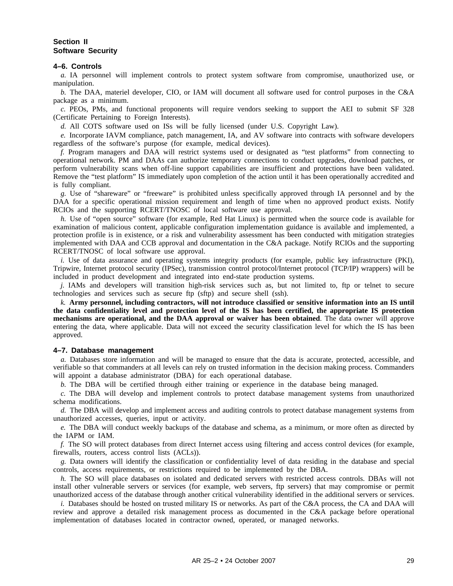# **Section II Software Security**

#### **4–6. Controls**

*a*. IA personnel will implement controls to protect system software from compromise, unauthorized use, or manipulation.

*b.* The DAA, materiel developer, CIO, or IAM will document all software used for control purposes in the C&A package as a minimum.

*c.* PEOs, PMs, and functional proponents will require vendors seeking to support the AEI to submit SF 328 (Certificate Pertaining to Foreign Interests).

*d.* All COTS software used on ISs will be fully licensed (under U.S. Copyright Law).

*e.* Incorporate IAVM compliance, patch management, IA, and AV software into contracts with software developers regardless of the software's purpose (for example, medical devices).

*f.* Program managers and DAA will restrict systems used or designated as "test platforms" from connecting to operational network. PM and DAAs can authorize temporary connections to conduct upgrades, download patches, or perform vulnerability scans when off-line support capabilities are insufficient and protections have been validated. Remove the "test platform" IS immediately upon completion of the action until it has been operationally accredited and is fully compliant.

*g.* Use of "shareware" or "freeware" is prohibited unless specifically approved through IA personnel and by the DAA for a specific operational mission requirement and length of time when no approved product exists. Notify RCIOs and the supporting RCERT/TNOSC of local software use approval.

*h.* Use of "open source" software (for example, Red Hat Linux) is permitted when the source code is available for examination of malicious content, applicable configuration implementation guidance is available and implemented, a protection profile is in existence, or a risk and vulnerability assessment has been conducted with mitigation strategies implemented with DAA and CCB approval and documentation in the C&A package. Notify RCIOs and the supporting RCERT/TNOSC of local software use approval.

*i.* Use of data assurance and operating systems integrity products (for example, public key infrastructure (PKI), Tripwire, Internet protocol security (IPSec), transmission control protocol/Internet protocol (TCP/IP) wrappers) will be included in product development and integrated into end-state production systems.

*j.* IAMs and developers will transition high-risk services such as, but not limited to, ftp or telnet to secure technologies and services such as secure ftp (sftp) and secure shell (ssh).

*k.* **Army personnel, including contractors, will not introduce classified or sensitive information into an IS until the data confidentiality level and protection level of the IS has been certified, the appropriate IS protection mechanisms are operational, and the DAA approval or waiver has been obtained**. The data owner will approve entering the data, where applicable. Data will not exceed the security classification level for which the IS has been approved.

#### **4–7. Database management**

*a.* Databases store information and will be managed to ensure that the data is accurate, protected, accessible, and verifiable so that commanders at all levels can rely on trusted information in the decision making process. Commanders will appoint a database administrator (DBA) for each operational database.

*b.* The DBA will be certified through either training or experience in the database being managed.

*c.* The DBA will develop and implement controls to protect database management systems from unauthorized schema modifications.

*d.* The DBA will develop and implement access and auditing controls to protect database management systems from unauthorized accesses, queries, input or activity.

*e.* The DBA will conduct weekly backups of the database and schema, as a minimum, or more often as directed by the IAPM or IAM.

*f.* The SO will protect databases from direct Internet access using filtering and access control devices (for example, firewalls, routers, access control lists (ACLs)).

*g.* Data owners will identify the classification or confidentiality level of data residing in the database and special controls, access requirements, or restrictions required to be implemented by the DBA.

*h.* The SO will place databases on isolated and dedicated servers with restricted access controls. DBAs will not install other vulnerable servers or services (for example, web servers, ftp servers) that may compromise or permit unauthorized access of the database through another critical vulnerability identified in the additional servers or services.

*i.* Databases should be hosted on trusted military IS or networks. As part of the C&A process, the CA and DAA will review and approve a detailed risk management process as documented in the C&A package before operational implementation of databases located in contractor owned, operated, or managed networks.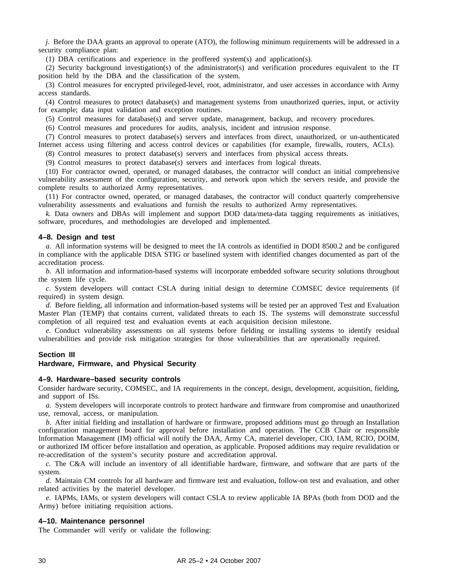*j.* Before the DAA grants an approval to operate (ATO), the following minimum requirements will be addressed in a security compliance plan:

(1) DBA certifications and experience in the proffered system(s) and application(s).

(2) Security background investigation(s) of the administrator(s) and verification procedures equivalent to the IT position held by the DBA and the classification of the system.

(3) Control measures for encrypted privileged-level, root, administrator, and user accesses in accordance with Army access standards.

(4) Control measures to protect database(s) and management systems from unauthorized queries, input, or activity for example; data input validation and exception routines.

(5) Control measures for database(s) and server update, management, backup, and recovery procedures.

(6) Control measures and procedures for audits, analysis, incident and intrusion response.

(7) Control measures to protect database(s) servers and interfaces from direct, unauthorized, or un-authenticated Internet access using filtering and access control devices or capabilities (for example, firewalls, routers, ACLs).

(8) Control measures to protect database(s) servers and interfaces from physical access threats.

(9) Control measures to protect database(s) servers and interfaces from logical threats.

(10) For contractor owned, operated, or managed databases, the contractor will conduct an initial comprehensive vulnerability assessment of the configuration, security, and network upon which the servers reside, and provide the complete results to authorized Army representatives.

(11) For contractor owned, operated, or managed databases, the contractor will conduct quarterly comprehensive vulnerability assessments and evaluations and furnish the results to authorized Army representatives.

*k.* Data owners and DBAs will implement and support DOD data/meta-data tagging requirements as initiatives, software, procedures, and methodologies are developed and implemented.

#### **4–8. Design and test**

*a.* All information systems will be designed to meet the IA controls as identified in DODI 8500.2 and be configured in compliance with the applicable DISA STIG or baselined system with identified changes documented as part of the accreditation process.

*b.* All information and information-based systems will incorporate embedded software security solutions throughout the system life cycle.

*c.* System developers will contact CSLA during initial design to determine COMSEC device requirements (if required) in system design.

*d.* Before fielding, all information and information-based systems will be tested per an approved Test and Evaluation Master Plan (TEMP) that contains current, validated threats to each IS. The systems will demonstrate successful completion of all required test and evaluation events at each acquisition decision milestone.

*e.* Conduct vulnerability assessments on all systems before fielding or installing systems to identify residual vulnerabilities and provide risk mitigation strategies for those vulnerabilities that are operationally required.

#### **Section III**

### **Hardware, Firmware, and Physical Security**

#### **4–9. Hardware–based security controls**

Consider hardware security, COMSEC, and IA requirements in the concept, design, development, acquisition, fielding, and support of ISs.

*a.* System developers will incorporate controls to protect hardware and firmware from compromise and unauthorized use, removal, access, or manipulation.

*b.* After initial fielding and installation of hardware or firmware, proposed additions must go through an Installation configuration management board for approval before installation and operation. The CCB Chair or responsible Information Management (IM) official will notify the DAA, Army CA, materiel developer, CIO, IAM, RCIO, DOIM, or authorized IM officer before installation and operation, as applicable. Proposed additions may require revalidation or re-accreditation of the system's security posture and accreditation approval.

*c.* The C&A will include an inventory of all identifiable hardware, firmware, and software that are parts of the system.

*d.* Maintain CM controls for all hardware and firmware test and evaluation, follow-on test and evaluation, and other related activities by the materiel developer.

*e.* IAPMs, IAMs, or system developers will contact CSLA to review applicable IA BPAs (both from DOD and the Army) before initiating requisition actions.

#### **4–10. Maintenance personnel**

The Commander will verify or validate the following: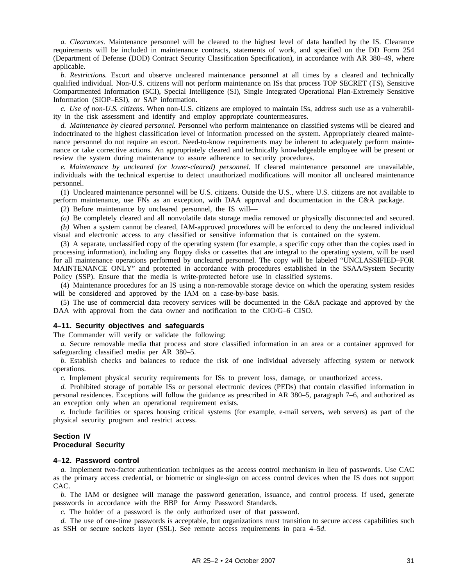*a. Clearances.* Maintenance personnel will be cleared to the highest level of data handled by the IS. Clearance requirements will be included in maintenance contracts, statements of work, and specified on the DD Form 254 (Department of Defense (DOD) Contract Security Classification Specification), in accordance with AR 380–49, where applicable.

*b. Restrictions.* Escort and observe uncleared maintenance personnel at all times by a cleared and technically qualified individual. Non-U.S. citizens will not perform maintenance on ISs that process TOP SECRET (TS), Sensitive Compartmented Information (SCI), Special Intelligence (SI), Single Integrated Operational Plan-Extremely Sensitive Information (SIOP–ESI), or SAP information.

*c. Use of non-U.S. citizens.* When non-U.S. citizens are employed to maintain ISs, address such use as a vulnerability in the risk assessment and identify and employ appropriate countermeasures.

*d. Maintenance by cleared personnel.* Personnel who perform maintenance on classified systems will be cleared and indoctrinated to the highest classification level of information processed on the system. Appropriately cleared maintenance personnel do not require an escort. Need-to-know requirements may be inherent to adequately perform maintenance or take corrective actions. An appropriately cleared and technically knowledgeable employee will be present or review the system during maintenance to assure adherence to security procedures.

*e. Maintenance by uncleared (or lower-cleared) personnel.* If cleared maintenance personnel are unavailable, individuals with the technical expertise to detect unauthorized modifications will monitor all uncleared maintenance personnel.

(1) Uncleared maintenance personnel will be U.S. citizens. Outside the U.S., where U.S. citizens are not available to perform maintenance, use FNs as an exception, with DAA approval and documentation in the C&A package.

(2) Before maintenance by uncleared personnel, the IS will—

*(a)* Be completely cleared and all nonvolatile data storage media removed or physically disconnected and secured.

*(b)* When a system cannot be cleared, IAM-approved procedures will be enforced to deny the uncleared individual visual and electronic access to any classified or sensitive information that is contained on the system.

(3) A separate, unclassified copy of the operating system (for example, a specific copy other than the copies used in processing information), including any floppy disks or cassettes that are integral to the operating system, will be used for all maintenance operations performed by uncleared personnel. The copy will be labeled "UNCLASSIFIED–FOR MAINTENANCE ONLY" and protected in accordance with procedures established in the SSAA/System Security Policy (SSP). Ensure that the media is write-protected before use in classified systems.

(4) Maintenance procedures for an IS using a non-removable storage device on which the operating system resides will be considered and approved by the IAM on a case-by-base basis.

(5) The use of commercial data recovery services will be documented in the C&A package and approved by the DAA with approval from the data owner and notification to the CIO/G–6 CISO.

## **4–11. Security objectives and safeguards**

The Commander will verify or validate the following:

*a.* Secure removable media that process and store classified information in an area or a container approved for safeguarding classified media per AR 380–5.

*b.* Establish checks and balances to reduce the risk of one individual adversely affecting system or network operations.

*c.* Implement physical security requirements for ISs to prevent loss, damage, or unauthorized access.

*d.* Prohibited storage of portable ISs or personal electronic devices (PEDs) that contain classified information in personal residences. Exceptions will follow the guidance as prescribed in AR 380–5, paragraph 7–6, and authorized as an exception only when an operational requirement exists.

*e.* Include facilities or spaces housing critical systems (for example, e-mail servers, web servers) as part of the physical security program and restrict access.

# **Section IV**

## **Procedural Security**

#### **4–12. Password control**

*a.* Implement two-factor authentication techniques as the access control mechanism in lieu of passwords. Use CAC as the primary access credential, or biometric or single-sign on access control devices when the IS does not support CAC.

*b.* The IAM or designee will manage the password generation, issuance, and control process. If used, generate passwords in accordance with the BBP for Army Password Standards.

*c.* The holder of a password is the only authorized user of that password.

*d.* The use of one-time passwords is acceptable, but organizations must transition to secure access capabilities such as SSH or secure sockets layer (SSL). See remote access requirements in para 4–5*d*.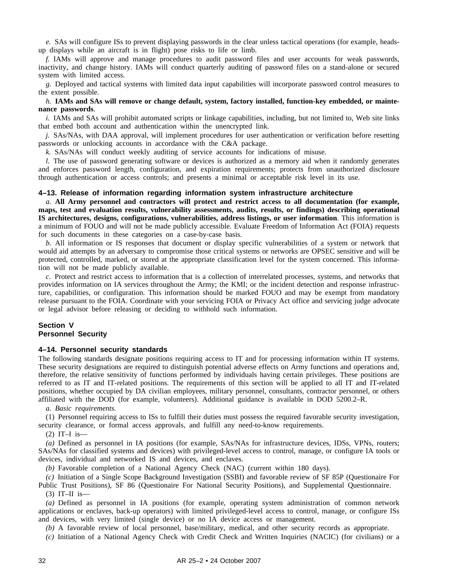*e.* SAs will configure ISs to prevent displaying passwords in the clear unless tactical operations (for example, headsup displays while an aircraft is in flight) pose risks to life or limb.

*f.* IAMs will approve and manage procedures to audit password files and user accounts for weak passwords, inactivity, and change history. IAMs will conduct quarterly auditing of password files on a stand-alone or secured system with limited access.

*g.* Deployed and tactical systems with limited data input capabilities will incorporate password control measures to the extent possible.

## *h.* **IAMs and SAs will remove or change default, system, factory installed, function-key embedded, or maintenance passwords**.

*i.* IAMs and SAs will prohibit automated scripts or linkage capabilities, including, but not limited to, Web site links that embed both account and authentication within the unencrypted link.

*j.* SAs/NAs, with DAA approval, will implement procedures for user authentication or verification before resetting passwords or unlocking accounts in accordance with the C&A package.

*k.* SAs/NAs will conduct weekly auditing of service accounts for indications of misuse.

*l.* The use of password generating software or devices is authorized as a memory aid when it randomly generates and enforces password length, configuration, and expiration requirements; protects from unauthorized disclosure through authentication or access controls; and presents a minimal or acceptable risk level in its use.

#### **4–13. Release of information regarding information system infrastructure architecture**

*a.* **All Army personnel and contractors will protect and restrict access to all documentation (for example, maps, test and evaluation results, vulnerability assessments, audits, results, or findings) describing operational IS architectures, designs, configurations, vulnerabilities, address listings, or user information**. This information is a minimum of FOUO and will not be made publicly accessible. Evaluate Freedom of Information Act (FOIA) requests for such documents in these categories on a case-by-case basis.

*b.* All information or IS responses that document or display specific vulnerabilities of a system or network that would aid attempts by an adversary to compromise those critical systems or networks are OPSEC sensitive and will be protected, controlled, marked, or stored at the appropriate classification level for the system concerned. This information will not be made publicly available.

*c.* Protect and restrict access to information that is a collection of interrelated processes, systems, and networks that provides information on IA services throughout the Army; the KMI; or the incident detection and response infrastructure, capabilities, or configuration. This information should be marked FOUO and may be exempt from mandatory release pursuant to the FOIA. Coordinate with your servicing FOIA or Privacy Act office and servicing judge advocate or legal advisor before releasing or deciding to withhold such information.

## **Section V Personnel Security**

#### **4–14. Personnel security standards**

The following standards designate positions requiring access to IT and for processing information within IT systems. These security designations are required to distinguish potential adverse effects on Army functions and operations and, therefore, the relative sensitivity of functions performed by individuals having certain privileges. These positions are referred to as IT and IT-related positions. The requirements of this section will be applied to all IT and IT-related positions, whether occupied by DA civilian employees, military personnel, consultants, contractor personnel, or others affiliated with the DOD (for example, volunteers). Additional guidance is available in DOD 5200.2–R.

*a. Basic requirements.*

(1) Personnel requiring access to ISs to fulfill their duties must possess the required favorable security investigation, security clearance, or formal access approvals, and fulfill any need-to-know requirements.

(2) IT–I is—

*(a)* Defined as personnel in IA positions (for example, SAs/NAs for infrastructure devices, IDSs, VPNs, routers; SAs/NAs for classified systems and devices) with privileged-level access to control, manage, or configure IA tools or devices, individual and networked IS and devices, and enclaves.

*(b)* Favorable completion of a National Agency Check (NAC) (current within 180 days).

*(c)* Initiation of a Single Scope Background Investigation (SSBI) and favorable review of SF 85P (Questionaire For Public Trust Positions), SF 86 (Questionaire For National Security Positions), and Supplemental Questionnaire.

 $(3)$  IT–II is—

*(a)* Defined as personnel in IA positions (for example, operating system administration of common network applications or enclaves, back-up operators) with limited privileged-level access to control, manage, or configure ISs and devices, with very limited (single device) or no IA device access or management.

*(b)* A favorable review of local personnel, base/military, medical, and other security records as appropriate.

*(c)* Initiation of a National Agency Check with Credit Check and Written Inquiries (NACIC) (for civilians) or a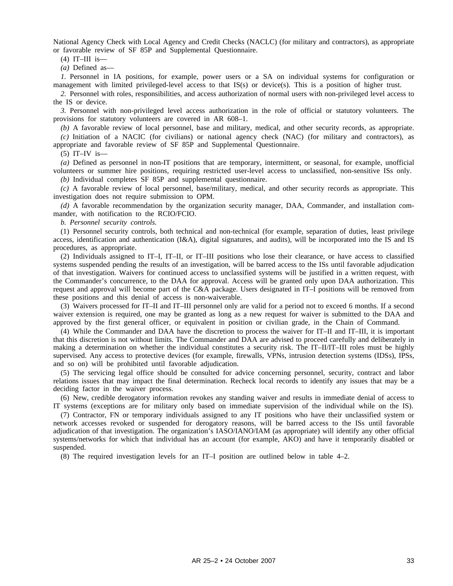National Agency Check with Local Agency and Credit Checks (NACLC) (for military and contractors), as appropriate or favorable review of SF 85P and Supplemental Questionnaire.

(4) IT–III is—

*(a)* Defined as—

*1.* Personnel in IA positions, for example, power users or a SA on individual systems for configuration or management with limited privileged-level access to that IS(s) or device(s). This is a position of higher trust.

*2.* Personnel with roles, responsibilities, and access authorization of normal users with non-privileged level access to the IS or device.

*3.* Personnel with non-privileged level access authorization in the role of official or statutory volunteers. The provisions for statutory volunteers are covered in AR 608–1.

*(b)* A favorable review of local personnel, base and military, medical, and other security records, as appropriate. *(c)* Initiation of a NACIC (for civilians) or national agency check (NAC) (for military and contractors), as appropriate and favorable review of SF 85P and Supplemental Questionnaire.

#### (5) IT–IV is—

*(a)* Defined as personnel in non-IT positions that are temporary, intermittent, or seasonal, for example, unofficial volunteers or summer hire positions, requiring restricted user-level access to unclassified, non-sensitive ISs only. *(b)* Individual completes SF 85P and supplemental questionnaire.

*(c)* A favorable review of local personnel, base/military, medical, and other security records as appropriate. This investigation does not require submission to OPM.

*(d)* A favorable recommendation by the organization security manager, DAA, Commander, and installation commander, with notification to the RCIO/FCIO.

*b. Personnel security controls.*

(1) Personnel security controls, both technical and non-technical (for example, separation of duties, least privilege access, identification and authentication (I&A), digital signatures, and audits), will be incorporated into the IS and IS procedures, as appropriate.

(2) Individuals assigned to IT–I, IT–II, or IT–III positions who lose their clearance, or have access to classified systems suspended pending the results of an investigation, will be barred access to the ISs until favorable adjudication of that investigation. Waivers for continued access to unclassified systems will be justified in a written request, with the Commander's concurrence, to the DAA for approval. Access will be granted only upon DAA authorization. This request and approval will become part of the C&A package. Users designated in IT–I positions will be removed from these positions and this denial of access is non-waiverable.

(3) Waivers processed for IT–II and IT–III personnel only are valid for a period not to exceed 6 months. If a second waiver extension is required, one may be granted as long as a new request for waiver is submitted to the DAA and approved by the first general officer, or equivalent in position or civilian grade, in the Chain of Command.

(4) While the Commander and DAA have the discretion to process the waiver for IT–II and IT–III, it is important that this discretion is not without limits. The Commander and DAA are advised to proceed carefully and deliberately in making a determination on whether the individual constitutes a security risk. The IT–II/IT–III roles must be highly supervised. Any access to protective devices (for example, firewalls, VPNs, intrusion detection systems (IDSs), IPSs, and so on) will be prohibited until favorable adjudication.

(5) The servicing legal office should be consulted for advice concerning personnel, security, contract and labor relations issues that may impact the final determination. Recheck local records to identify any issues that may be a deciding factor in the waiver process.

(6) New, credible derogatory information revokes any standing waiver and results in immediate denial of access to IT systems (exceptions are for military only based on immediate supervision of the individual while on the IS).

(7) Contractor, FN or temporary individuals assigned to any IT positions who have their unclassified system or network accesses revoked or suspended for derogatory reasons, will be barred access to the ISs until favorable adjudication of that investigation. The organization's IASO/IANO/IAM (as appropriate) will identify any other official systems/networks for which that individual has an account (for example, AKO) and have it temporarily disabled or suspended.

(8) The required investigation levels for an IT–I position are outlined below in table 4–2.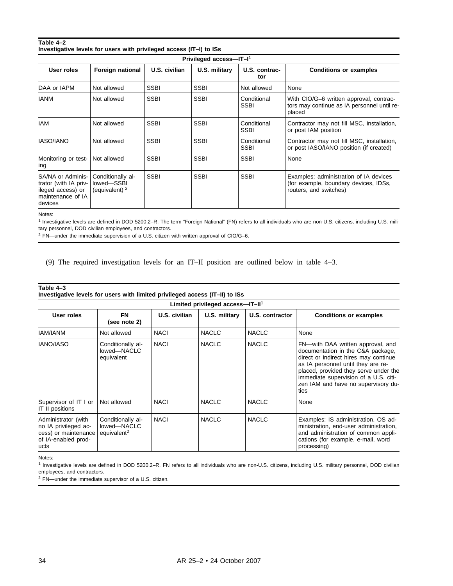#### **Table 4–2 Investigative levels for users with privileged access (IT–I) to ISs**

| Privileged access-IT-I <sup>1</sup>                                                             |                                                     |               |               |                            |                                                                                                           |  |  |  |  |
|-------------------------------------------------------------------------------------------------|-----------------------------------------------------|---------------|---------------|----------------------------|-----------------------------------------------------------------------------------------------------------|--|--|--|--|
| User roles                                                                                      | <b>Foreign national</b>                             | U.S. civilian | U.S. military | U.S. contrac-<br>tor       | <b>Conditions or examples</b>                                                                             |  |  |  |  |
| DAA or IAPM                                                                                     | Not allowed                                         | <b>SSBI</b>   | <b>SSBI</b>   | Not allowed                | None                                                                                                      |  |  |  |  |
| <b>IANM</b>                                                                                     | Not allowed                                         | <b>SSBI</b>   | <b>SSBI</b>   | Conditional<br><b>SSBI</b> | With CIO/G-6 written approval, contrac-<br>tors may continue as IA personnel until re-<br>placed          |  |  |  |  |
| <b>IAM</b>                                                                                      | Not allowed                                         | <b>SSBI</b>   | <b>SSBI</b>   | Conditional<br><b>SSBI</b> | Contractor may not fill MSC, installation,<br>or post IAM position                                        |  |  |  |  |
| IASO/IANO                                                                                       | Not allowed                                         | <b>SSBI</b>   | <b>SSBI</b>   | Conditional<br><b>SSBI</b> | Contractor may not fill MSC, installation,<br>or post IASO/IANO position (if created)                     |  |  |  |  |
| Monitoring or test-<br>ing                                                                      | Not allowed                                         | <b>SSBI</b>   | <b>SSBI</b>   | <b>SSBI</b>                | None                                                                                                      |  |  |  |  |
| SA/NA or Adminis-<br>trator (with IA priv-<br>ileged access) or<br>maintenance of IA<br>devices | Conditionally al-<br>lowed-SSBI<br>(equivalent) $2$ | <b>SSBI</b>   | <b>SSBI</b>   | <b>SSBI</b>                | Examples: administration of IA devices<br>(for example, boundary devices, IDSs,<br>routers, and switches) |  |  |  |  |

Notes:

<sup>1</sup> Investigative levels are defined in DOD 5200.2–R. The term "Foreign National" (FN) refers to all individuals who are non-U.S. citizens, including U.S. military personnel, DOD civilian employees, and contractors.

<sup>2</sup> FN—under the immediate supervision of a U.S. citizen with written approval of CIO/G–6.

(9) The required investigation levels for an IT–II position are outlined below in table 4–3.

| Table 4-3<br>Investigative levels for users with limited privileged access (IT-II) to ISs |                               |               |               |                 |                                   |  |  |  |  |  |
|-------------------------------------------------------------------------------------------|-------------------------------|---------------|---------------|-----------------|-----------------------------------|--|--|--|--|--|
| Limited privileged access— $IT$ -II <sup>1</sup>                                          |                               |               |               |                 |                                   |  |  |  |  |  |
| User roles                                                                                | FN<br>(see note 2)            | U.S. civilian | U.S. military | U.S. contractor | <b>Conditions or examples</b>     |  |  |  |  |  |
| IAM/IANM                                                                                  | Not allowed                   | <b>NACI</b>   | <b>NACLC</b>  | <b>NACLC</b>    | None                              |  |  |  |  |  |
| <b>IANO/IASO</b>                                                                          | Conditionally al-<br>$\cdots$ | <b>NACI</b>   | <b>NACLC</b>  | <b>NACLC</b>    | FN-with DAA written approval, and |  |  |  |  |  |

| IANO/IASO                                                                                          | Conditionally al-<br>lowed-NACLC<br>equivalent              | <b>NACI</b> | <b>NACLC</b> | <b>NACLC</b> | FN—with DAA written approval, and<br>documentation in the C&A package,<br>direct or indirect hires may continue<br>as IA personnel until they are re-<br>placed, provided they serve under the<br>immediate supervision of a U.S. citi-<br>zen IAM and have no supervisory du-<br>ties |
|----------------------------------------------------------------------------------------------------|-------------------------------------------------------------|-------------|--------------|--------------|----------------------------------------------------------------------------------------------------------------------------------------------------------------------------------------------------------------------------------------------------------------------------------------|
| Supervisor of IT I or<br>IT II positions                                                           | Not allowed                                                 | <b>NACI</b> | <b>NACLC</b> | <b>NACLC</b> | None                                                                                                                                                                                                                                                                                   |
| Administrator (with<br>no IA privileged ac-<br>cess) or maintenance<br>of IA-enabled prod-<br>ucts | Conditionally al-<br>lowed-NACLC<br>equivalent <sup>2</sup> | <b>NACI</b> | <b>NACLC</b> | <b>NACLC</b> | Examples: IS administration, OS ad-<br>ministration, end-user administration,<br>and administration of common appli-<br>cations (for example, e-mail, word<br>processing)                                                                                                              |

Notes:

<sup>1</sup> Investigative levels are defined in DOD 5200.2–R. FN refers to all individuals who are non-U.S. citizens, including U.S. military personnel, DOD civilian employees, and contractors.

<sup>2</sup> FN—under the immediate supervisor of a U.S. citizen.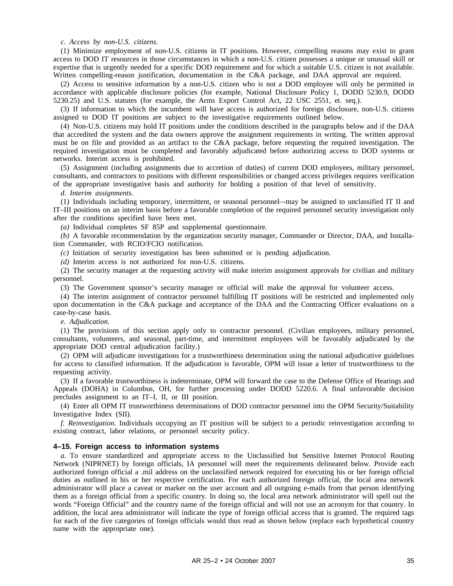*c. Access by non-U.S. citizens.*

(1) Minimize employment of non-U.S. citizens in IT positions. However, compelling reasons may exist to grant access to DOD IT resources in those circumstances in which a non-U.S. citizen possesses a unique or unusual skill or expertise that is urgently needed for a specific DOD requirement and for which a suitable U.S. citizen is not available. Written compelling-reason justification, documentation in the C&A package, and DAA approval are required.

(2) Access to sensitive information by a non-U.S. citizen who is not a DOD employee will only be permitted in accordance with applicable disclosure policies (for example, National Disclosure Policy 1, DODD 5230.9, DODD 5230.25) and U.S. statutes (for example, the Arms Export Control Act, 22 USC 2551, et. seq.).

(3) If information to which the incumbent will have access is authorized for foreign disclosure, non-U.S. citizens assigned to DOD IT positions are subject to the investigative requirements outlined below.

(4) Non-U.S. citizens may hold IT positions under the conditions described in the paragraphs below and if the DAA that accredited the system and the data owners approve the assignment requirements in writing. The written approval must be on file and provided as an artifact to the C&A package, before requesting the required investigation. The required investigation must be completed and favorably adjudicated before authorizing access to DOD systems or networks. Interim access is prohibited.

(5) Assignment (including assignments due to accretion of duties) of current DOD employees, military personnel, consultants, and contractors to positions with different responsibilities or changed access privileges requires verification of the appropriate investigative basis and authority for holding a position of that level of sensitivity.

*d. Interim assignments.*

(1) Individuals including temporary, intermittent, or seasonal personnel–-may be assigned to unclassified IT II and IT–III positions on an interim basis before a favorable completion of the required personnel security investigation only after the conditions specified have been met.

*(a)* Individual completes SF 85P and supplemental questionnaire.

*(b)* A favorable recommendation by the organization security manager, Commander or Director, DAA, and Installation Commander, with RCIO/FCIO notification.

*(c)* Initiation of security investigation has been submitted or is pending adjudication.

*(d)* Interim access is not authorized for non-U.S. citizens.

(2) The security manager at the requesting activity will make interim assignment approvals for civilian and military personnel.

(3) The Government sponsor's security manager or official will make the approval for volunteer access.

(4) The interim assignment of contractor personnel fulfilling IT positions will be restricted and implemented only upon documentation in the C&A package and acceptance of the DAA and the Contracting Officer evaluations on a case-by-case basis.

*e. Adjudication.*

(1) The provisions of this section apply only to contractor personnel. (Civilian employees, military personnel, consultants, volunteers, and seasonal, part-time, and intermittent employees will be favorably adjudicated by the appropriate DOD central adjudication facility.)

(2) OPM will adjudicate investigations for a trustworthiness determination using the national adjudicative guidelines for access to classified information. If the adjudication is favorable, OPM will issue a letter of trustworthiness to the requesting activity.

(3) If a favorable trustworthiness is indeterminate, OPM will forward the case to the Defense Office of Hearings and Appeals (DOHA) in Columbus, OH, for further processing under DODD 5220.6. A final unfavorable decision precludes assignment to an IT–I, II, or III position.

(4) Enter all OPM IT trustworthiness determinations of DOD contractor personnel into the OPM Security/Suitability Investigative Index (SII).

*f. Reinvestigation.* Individuals occupying an IT position will be subject to a periodic reinvestigation according to existing contract, labor relations, or personnel security policy.

## **4–15. Foreign access to information systems**

*a.* To ensure standardized and appropriate access to the Unclassified but Sensitive Internet Protocol Routing Network (NIPRNET) by foreign officials, IA personnel will meet the requirements delineated below. Provide each authorized foreign official a .mil address on the unclassified network required for executing his or her foreign official duties as outlined in his or her respective certification. For each authorized foreign official, the local area network administrator will place a caveat or marker on the user account and all outgoing e-mails from that person identifying them as a foreign official from a specific country. In doing so, the local area network administrator will spell out the words "Foreign Official" and the country name of the foreign official and will not use an acronym for that country. In addition, the local area administrator will indicate the type of foreign official access that is granted. The required tags for each of the five categories of foreign officials would thus read as shown below (replace each hypothetical country name with the appropriate one).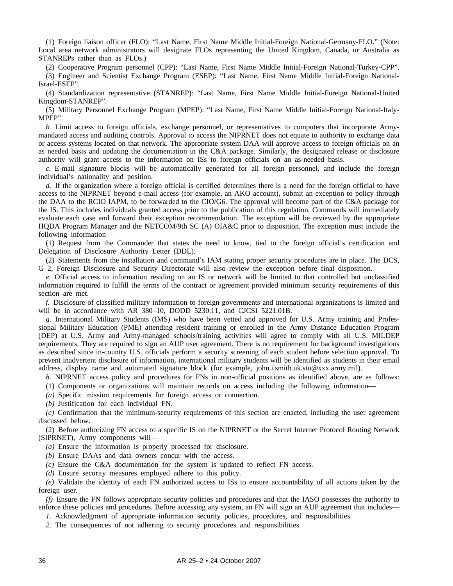(1) Foreign liaison officer (FLO): "Last Name, First Name Middle Initial-Foreign National-Germany-FLO." (Note: Local area network administrators will designate FLOs representing the United Kingdom, Canada, or Australia as STANREPs rather than as FLOs.)

(2) Cooperative Program personnel (CPP): "Last Name, First Name Middle Initial-Foreign National-Turkey-CPP".

(3) Engineer and Scientist Exchange Program (ESEP): "Last Name, First Name Middle Initial-Foreign National-Israel-ESEP".

(4) Standardization representative (STANREP): "Last Name, First Name Middle Initial-Foreign National-United Kingdom-STANREP".

(5) Military Personnel Exchange Program (MPEP): "Last Name, First Name Middle Initial-Foreign National-Italy-MPEP".

*b.* Limit access to foreign officials, exchange personnel, or representatives to computers that incorporate Armymandated access and auditing controls. Approval to access the NIPRNET does not equate to authority to exchange data or access systems located on that network. The appropriate system DAA will approve access to foreign officials on an as needed basis and updating the documentation in the C&A package. Similarly, the designated release or disclosure authority will grant access to the information on ISs to foreign officials on an as-needed basis.

*c.* E-mail signature blocks will be automatically generated for all foreign personnel, and include the foreign individual's nationality and position.

*d.* If the organization where a foreign official is certified determines there is a need for the foreign official to have access to the NIPRNET beyond e-mail access (for example, an AKO account), submit an exception to policy through the DAA to the RCIO IAPM, to be forwarded to the CIO/G6. The approval will become part of the C&A package for the IS. This includes individuals granted access prior to the publication of this regulation. Commands will immediately evaluate each case and forward their exception recommendation. The exception will be reviewed by the appropriate HQDA Program Manager and the NETCOM/9th SC (A) OIA&C prior to disposition. The exception must include the following information-

(1) Request from the Commander that states the need to know, tied to the foreign official's certification and Delegation of Disclosure Authority Letter (DDL).

(2) Statements from the installation and command's IAM stating proper security procedures are in place. The DCS, G–2, Foreign Disclosure and Security Directorate will also review the exception before final disposition.

*e.* Official access to information residing on an IS or network will be limited to that controlled but unclassified information required to fulfill the terms of the contract or agreement provided minimum security requirements of this section are met.

*f.* Disclosure of classified military information to foreign governments and international organizations is limited and will be in accordance with AR 380–10, DODD 5230.11, and CJCSI 5221.01B.

*g.* International Military Students (IMS) who have been vetted and approved for U.S. Army training and Professional Military Education (PME) attending resident training or enrolled in the Army Distance Education Program (DEP) at U.S. Army and Army-managed schools/training activities will agree to comply with all U.S. MILDEP requirements. They are required to sign an AUP user agreement. There is no requirement for background investigations as described since in-country U.S. officials perform a security screening of each student before selection approval. To prevent inadvertent disclosure of information, international military students will be identified as students in their email address, display name and automated signature block (for example, john.i.smith.uk.stu@xxx.army.mil).

*h.* NIPRNET access policy and procedures for FNs in non-official positions as identified above, are as follows:

(1) Components or organizations will maintain records on access including the following information—

*(a)* Specific mission requirements for foreign access or connection.

*(b)* Justification for each individual FN.

*(c)* Confirmation that the minimum-security requirements of this section are enacted, including the user agreement discussed below.

(2) Before authorizing FN access to a specific IS on the NIPRNET or the Secret Internet Protocol Routing Network (SIPRNET), Army components will—

*(a)* Ensure the information is properly processed for disclosure.

*(b)* Ensure DAAs and data owners concur with the access.

*(c)* Ensure the C&A documentation for the system is updated to reflect FN access.

*(d)* Ensure security measures employed adhere to this policy.

*(e)* Validate the identity of each FN authorized access to ISs to ensure accountability of all actions taken by the foreign user.

*(f)* Ensure the FN follows appropriate security policies and procedures and that the IASO possesses the authority to enforce these policies and procedures. Before accessing any system, an FN will sign an AUP agreement that includes—

*1.* Acknowledgment of appropriate information security policies, procedures, and responsibilities.

*2.* The consequences of not adhering to security procedures and responsibilities.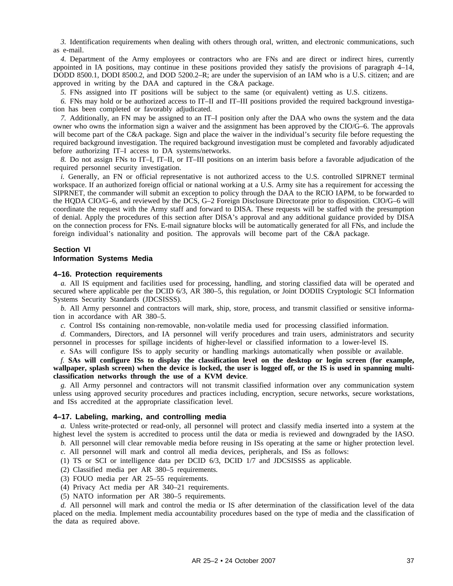*3.* Identification requirements when dealing with others through oral, written, and electronic communications, such as e-mail.

*4.* Department of the Army employees or contractors who are FNs and are direct or indirect hires, currently appointed in IA positions, may continue in these positions provided they satisfy the provisions of paragraph 4–14, DODD 8500.1, DODI 8500.2, and DOD 5200.2–R; are under the supervision of an IAM who is a U.S. citizen; and are approved in writing by the DAA and captured in the C&A package.

*5.* FNs assigned into IT positions will be subject to the same (or equivalent) vetting as U.S. citizens.

*6.* FNs may hold or be authorized access to IT–II and IT–III positions provided the required background investigation has been completed or favorably adjudicated.

*7.* Additionally, an FN may be assigned to an IT–I position only after the DAA who owns the system and the data owner who owns the information sign a waiver and the assignment has been approved by the CIO/G–6. The approvals will become part of the C&A package. Sign and place the waiver in the individual's security file before requesting the required background investigation. The required background investigation must be completed and favorably adjudicated before authorizing IT–I access to DA systems/networks.

*8.* Do not assign FNs to IT–I, IT–II, or IT–III positions on an interim basis before a favorable adjudication of the required personnel security investigation.

*i.* Generally, an FN or official representative is not authorized access to the U.S. controlled SIPRNET terminal workspace. If an authorized foreign official or national working at a U.S. Army site has a requirement for accessing the SIPRNET, the commander will submit an exception to policy through the DAA to the RCIO IAPM, to be forwarded to the HQDA CIO/G–6, and reviewed by the DCS, G–2 Foreign Disclosure Directorate prior to disposition. CIO/G–6 will coordinate the request with the Army staff and forward to DISA. These requests will be staffed with the presumption of denial. Apply the procedures of this section after DISA's approval and any additional guidance provided by DISA on the connection process for FNs. E-mail signature blocks will be automatically generated for all FNs, and include the foreign individual's nationality and position. The approvals will become part of the C&A package.

## **Section VI Information Systems Media**

#### **4–16. Protection requirements**

*a.* All IS equipment and facilities used for processing, handling, and storing classified data will be operated and secured where applicable per the DCID 6/3, AR 380–5, this regulation, or Joint DODIIS Cryptologic SCI Information Systems Security Standards (JDCSISSS).

*b.* All Army personnel and contractors will mark, ship, store, process, and transmit classified or sensitive information in accordance with AR 380–5.

*c.* Control ISs containing non-removable, non-volatile media used for processing classified information.

*d.* Commanders, Directors, and IA personnel will verify procedures and train users, administrators and security personnel in processes for spillage incidents of higher-level or classified information to a lower-level IS.

*e.* SAs will configure ISs to apply security or handling markings automatically when possible or available.

*f.* **SAs will configure ISs to display the classification level on the desktop or login screen (for example, wallpaper, splash screen) when the device is locked, the user is logged off, or the IS is used in spanning multiclassification networks through the use of a KVM device**.

*g.* All Army personnel and contractors will not transmit classified information over any communication system unless using approved security procedures and practices including, encryption, secure networks, secure workstations, and ISs accredited at the appropriate classification level.

#### **4–17. Labeling, marking, and controlling media**

*a.* Unless write-protected or read-only, all personnel will protect and classify media inserted into a system at the highest level the system is accredited to process until the data or media is reviewed and downgraded by the IASO.

*b.* All personnel will clear removable media before reusing in ISs operating at the same or higher protection level. *c.* All personnel will mark and control all media devices, peripherals, and ISs as follows:

(1) TS or SCI or intelligence data per DCID 6/3, DCID 1/7 and JDCSISSS as applicable.

- (2) Classified media per AR 380–5 requirements.
- (3) FOUO media per AR 25–55 requirements.
- (4) Privacy Act media per AR 340–21 requirements.
- (5) NATO information per AR 380–5 requirements.

*d.* All personnel will mark and control the media or IS after determination of the classification level of the data placed on the media. Implement media accountability procedures based on the type of media and the classification of the data as required above.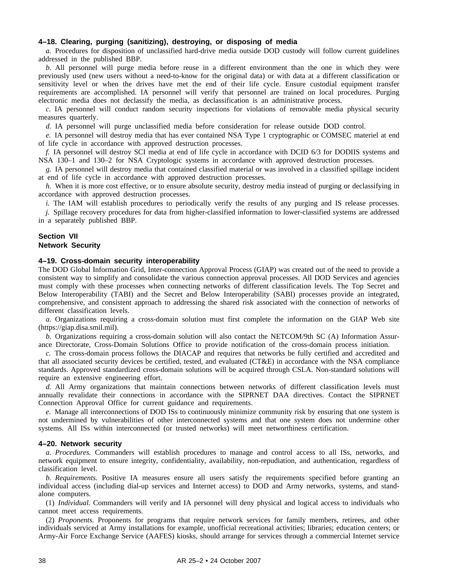## **4–18. Clearing, purging (sanitizing), destroying, or disposing of media**

*a.* Procedures for disposition of unclassified hard-drive media outside DOD custody will follow current guidelines addressed in the published BBP.

*b.* All personnel will purge media before reuse in a different environment than the one in which they were previously used (new users without a need-to-know for the original data) or with data at a different classification or sensitivity level or when the drives have met the end of their life cycle. Ensure custodial equipment transfer requirements are accomplished. IA personnel will verify that personnel are trained on local procedures. Purging electronic media does not declassify the media, as declassification is an administrative process.

*c.* IA personnel will conduct random security inspections for violations of removable media physical security measures quarterly.

*d.* IA personnel will purge unclassified media before consideration for release outside DOD control.

*e.* IA personnel will destroy media that has ever contained NSA Type 1 cryptographic or COMSEC materiel at end of life cycle in accordance with approved destruction processes.

*f.* IA personnel will destroy SCI media at end of life cycle in accordance with DCID 6/3 for DODIIS systems and NSA 130–1 and 130–2 for NSA Cryptologic systems in accordance with approved destruction processes.

*g.* IA personnel will destroy media that contained classified material or was involved in a classified spillage incident at end of life cycle in accordance with approved destruction processes.

*h.* When it is more cost effective, or to ensure absolute security, destroy media instead of purging or declassifying in accordance with approved destruction processes.

*i.* The IAM will establish procedures to periodically verify the results of any purging and IS release processes.

*j.* Spillage recovery procedures for data from higher-classified information to lower-classified systems are addressed in a separately published BBP.

#### **Section VII Network Security**

## **4–19. Cross-domain security interoperability**

The DOD Global Information Grid, Inter-connection Approval Process (GIAP) was created out of the need to provide a consistent way to simplify and consolidate the various connection approval processes. All DOD Services and agencies must comply with these processes when connecting networks of different classification levels. The Top Secret and Below Interoperability (TABI) and the Secret and Below Interoperability (SABI) processes provide an integrated, comprehensive, and consistent approach to addressing the shared risk associated with the connection of networks of different classification levels.

*a.* Organizations requiring a cross-domain solution must first complete the information on the GIAP Web site (https://giap.disa.smil.mil).

*b.* Organizations requiring a cross-domain solution will also contact the NETCOM/9th SC (A) Information Assurance Directorate, Cross-Domain Solutions Office to provide notification of the cross-domain process initiation.

*c.* The cross-domain process follows the DIACAP and requires that networks be fully certified and accredited and that all associated security devices be certified, tested, and evaluated (CT&E) in accordance with the NSA compliance standards. Approved standardized cross-domain solutions will be acquired through CSLA. Non-standard solutions will require an extensive engineering effort.

*d.* All Army organizations that maintain connections between networks of different classification levels must annually revalidate their connections in accordance with the SIPRNET DAA directives. Contact the SIPRNET Connection Approval Office for current guidance and requirements.

*e.* Manage all interconnections of DOD ISs to continuously minimize community risk by ensuring that one system is not undermined by vulnerabilities of other interconnected systems and that one system does not undermine other systems. All ISs within interconnected (or trusted networks) will meet networthiness certification.

## **4–20. Network security**

*a. Procedures.* Commanders will establish procedures to manage and control access to all ISs, networks, and network equipment to ensure integrity, confidentiality, availability, non-repudiation, and authentication, regardless of classification level.

*b. Requirements.* Positive IA measures ensure all users satisfy the requirements specified before granting an individual access (including dial-up services and Internet access) to DOD and Army networks, systems, and standalone computers.

(1) *Individual.* Commanders will verify and IA personnel will deny physical and logical access to individuals who cannot meet access requirements.

(2) *Proponents.* Proponents for programs that require network services for family members, retirees, and other individuals serviced at Army installations for example, unofficial recreational activities; libraries; education centers; or Army-Air Force Exchange Service (AAFES) kiosks, should arrange for services through a commercial Internet service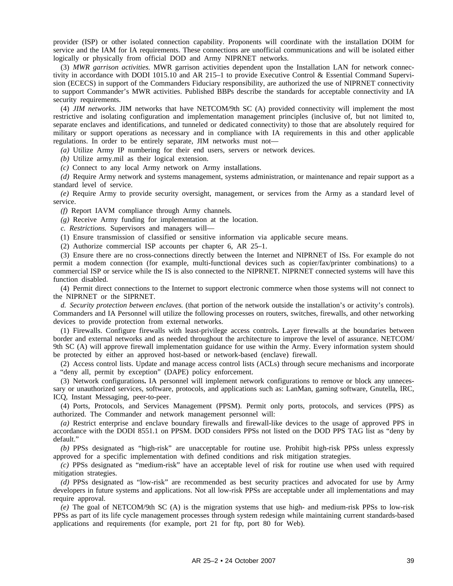provider (ISP) or other isolated connection capability. Proponents will coordinate with the installation DOIM for service and the IAM for IA requirements. These connections are unofficial communications and will be isolated either logically or physically from official DOD and Army NIPRNET networks.

(3) *MWR garrison activities.* MWR garrison activities dependent upon the Installation LAN for network connectivity in accordance with DODI 1015.10 and AR 215–1 to provide Executive Control & Essential Command Supervision (ECECS) in support of the Commanders Fiduciary responsibility, are authorized the use of NIPRNET connectivity to support Commander's MWR activities. Published BBPs describe the standards for acceptable connectivity and IA security requirements.

(4) *JIM networks.* JIM networks that have NETCOM/9th SC (A) provided connectivity will implement the most restrictive and isolating configuration and implementation management principles (inclusive of, but not limited to, separate enclaves and identifications, and tunneled or dedicated connectivity) to those that are absolutely required for military or support operations as necessary and in compliance with IA requirements in this and other applicable regulations. In order to be entirely separate, JIM networks must not—

*(a)* Utilize Army IP numbering for their end users, servers or network devices.

*(b)* Utilize army.mil as their logical extension.

*(c)* Connect to any local Army network on Army installations.

*(d)* Require Army network and systems management, systems administration, or maintenance and repair support as a standard level of service.

*(e)* Require Army to provide security oversight, management, or services from the Army as a standard level of service.

*(f)* Report IAVM compliance through Army channels.

*(g)* Receive Army funding for implementation at the location.

*c. Restrictions.* Supervisors and managers will—

(1) Ensure transmission of classified or sensitive information via applicable secure means.

(2) Authorize commercial ISP accounts per chapter 6, AR 25–1.

(3) Ensure there are no cross-connections directly between the Internet and NIPRNET of ISs. For example do not permit a modem connection (for example, multi-functional devices such as copier/fax/printer combinations) to a commercial ISP or service while the IS is also connected to the NIPRNET. NIPRNET connected systems will have this function disabled.

(4) Permit direct connections to the Internet to support electronic commerce when those systems will not connect to the NIPRNET or the SIPRNET.

*d. Security protection between enclaves.* (that portion of the network outside the installation's or activity's controls). Commanders and IA Personnel will utilize the following processes on routers, switches, firewalls, and other networking devices to provide protection from external networks.

(1) Firewalls. Configure firewalls with least-privilege access controls**.** Layer firewalls at the boundaries between border and external networks and as needed throughout the architecture to improve the level of assurance. NETCOM/ 9th SC (A) will approve firewall implementation guidance for use within the Army. Every information system should be protected by either an approved host-based or network-based (enclave) firewall.

(2) Access control lists. Update and manage access control lists (ACLs) through secure mechanisms and incorporate a "deny all, permit by exception" (DAPE) policy enforcement.

(3) Network configurations**.** IA personnel will implement network configurations to remove or block any unnecessary or unauthorized services, software, protocols, and applications such as: LanMan, gaming software, Gnutella, IRC, ICQ, Instant Messaging, peer-to-peer.

(4) Ports, Protocols, and Services Management (PPSM). Permit only ports, protocols, and services (PPS) as authorized. The Commander and network management personnel will:

*(a)* Restrict enterprise and enclave boundary firewalls and firewall-like devices to the usage of approved PPS in accordance with the DODI 8551.1 on PPSM. DOD considers PPSs not listed on the DOD PPS TAG list as "deny by default."

*(b)* PPSs designated as "high-risk" are unacceptable for routine use. Prohibit high-risk PPSs unless expressly approved for a specific implementation with defined conditions and risk mitigation strategies.

*(c)* PPSs designated as "medium-risk" have an acceptable level of risk for routine use when used with required mitigation strategies.

*(d)* PPSs designated as "low-risk" are recommended as best security practices and advocated for use by Army developers in future systems and applications. Not all low-risk PPSs are acceptable under all implementations and may require approval.

*(e)* The goal of NETCOM/9th SC (A) is the migration systems that use high- and medium-risk PPSs to low-risk PPSs as part of its life cycle management processes through system redesign while maintaining current standards-based applications and requirements (for example, port 21 for ftp, port 80 for Web).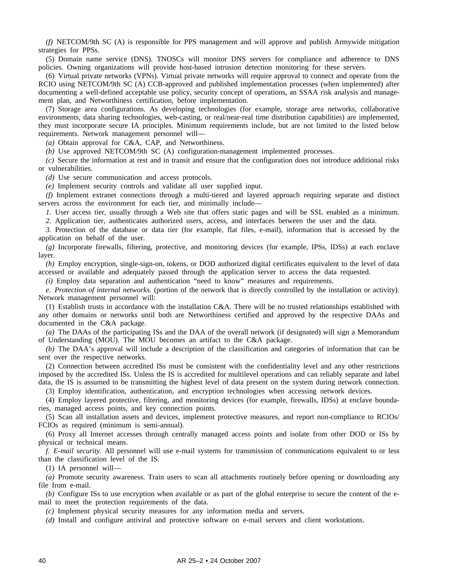*(f)* NETCOM/9th SC (A) is responsible for PPS management and will approve and publish Armywide mitigation strategies for PPSs.

(5) Domain name service (DNS). TNOSCs will monitor DNS servers for compliance and adherence to DNS policies. Owning organizations will provide host-based intrusion detection monitoring for these servers.

(6) Virtual private networks (VPNs). Virtual private networks will require approval to connect and operate from the RCIO using NETCOM/9th SC (A) CCB-approved and published implementation processes (when implemented) after documenting a well-defined acceptable use policy, security concept of operations, an SSAA risk analysis and management plan, and Networthiness certification, before implementation.

(7) Storage area configurations. As developing technologies (for example, storage area networks, collaborative environments, data sharing technologies, web-casting, or real/near-real time distribution capabilities) are implemented, they must incorporate secure IA principles. Minimum requirements include, but are not limited to the listed below requirements. Network management personnel will—

*(a)* Obtain approval for C&A, CAP, and Networthiness.

*(b)* Use approved NETCOM/9th SC (A) configuration-management implemented processes.

*(c)* Secure the information at rest and in transit and ensure that the configuration does not introduce additional risks or vulnerabilities.

*(d)* Use secure communication and access protocols.

*(e)* Implement security controls and validate all user supplied input.

*(f)* Implement extranet connections through a multi-tiered and layered approach requiring separate and distinct servers across the environment for each tier, and minimally include—

*1.* User access tier, usually through a Web site that offers static pages and will be SSL enabled as a minimum.

*2.* Application tier, authenticates authorized users, access, and interfaces between the user and the data.

*3.* Protection of the database or data tier (for example, flat files, e-mail), information that is accessed by the application on behalf of the user.

*(g)* Incorporate firewalls, filtering, protective, and monitoring devices (for example, IPSs, IDSs) at each enclave layer.

*(h)* Employ encryption, single-sign-on, tokens, or DOD authorized digital certificates equivalent to the level of data accessed or available and adequately passed through the application server to access the data requested.

*(i)* Employ data separation and authentication "need to know" measures and requirements.

*e. Protection of internal networks.* (portion of the network that is directly controlled by the installation or activity). Network management personnel will:

(1) Establish trusts in accordance with the installation C&A. There will be no trusted relationships established with any other domains or networks until both are Networthiness certified and approved by the respective DAAs and documented in the C&A package.

*(a)* The DAAs of the participating ISs and the DAA of the overall network (if designated) will sign a Memorandum of Understanding (MOU). The MOU becomes an artifact to the C&A package.

*(b)* The DAA's approval will include a description of the classification and categories of information that can be sent over the respective networks.

(2) Connection between accredited ISs must be consistent with the confidentiality level and any other restrictions imposed by the accredited ISs. Unless the IS is accredited for multilevel operations and can reliably separate and label data, the IS is assumed to be transmitting the highest level of data present on the system during network connection.

(3) Employ identification, authentication, and encryption technologies when accessing network devices.

(4) Employ layered protective, filtering, and monitoring devices (for example, firewalls, IDSs) at enclave boundaries, managed access points, and key connection points.

(5) Scan all installation assets and devices, implement protective measures, and report non-compliance to RCIOs/ FCIOs as required (minimum is semi-annual).

(6) Proxy all Internet accesses through centrally managed access points and isolate from other DOD or ISs by physical or technical means.

*f. E-mail security.* All personnel will use e*-*mail systems for transmission of communications equivalent to or less than the classification level of the IS.

(1) IA personnel will—

*(a)* Promote security awareness. Train users to scan all attachments routinely before opening or downloading any file from e-mail.

*(b)* Configure ISs to use encryption when available or as part of the global enterprise to secure the content of the email to meet the protection requirements of the data.

*(c)* Implement physical security measures for any information media and servers.

*(d)* Install and configure antiviral and protective software on e-mail servers and client workstations.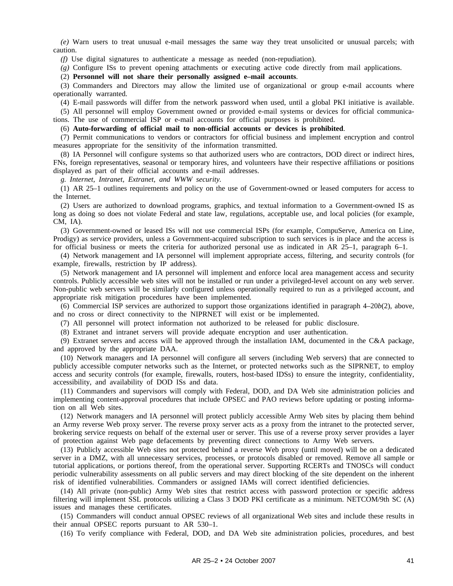*(e)* Warn users to treat unusual e-mail messages the same way they treat unsolicited or unusual parcels; with caution.

*(f)* Use digital signatures to authenticate a message as needed (non-repudiation).

*(g)* Configure ISs to prevent opening attachments or executing active code directly from mail applications.

(2) **Personnel will not share their personally assigned e–mail accounts**.

(3) Commanders and Directors may allow the limited use of organizational or group e-mail accounts where operationally warranted.

(4) E-mail passwords will differ from the network password when used, until a global PKI initiative is available.

(5) All personnel will employ Government owned or provided e-mail systems or devices for official communications. The use of commercial ISP or e-mail accounts for official purposes is prohibited.

(6) **Auto-forwarding of official mail to non-official accounts or devices is prohibited**.

(7) Permit communications to vendors or contractors for official business and implement encryption and control measures appropriate for the sensitivity of the information transmitted.

(8) IA Personnel will configure systems so that authorized users who are contractors, DOD direct or indirect hires, FNs, foreign representatives, seasonal or temporary hires, and volunteers have their respective affiliations or positions displayed as part of their official accounts and e-mail addresses.

*g. Internet, Intranet, Extranet, and WWW security.*

(1) AR 25–1 outlines requirements and policy on the use of Government-owned or leased computers for access to the Internet.

(2) Users are authorized to download programs, graphics, and textual information to a Government-owned IS as long as doing so does not violate Federal and state law, regulations, acceptable use, and local policies (for example, CM, IA).

(3) Government-owned or leased ISs will not use commercial ISPs (for example, CompuServe, America on Line, Prodigy) as service providers, unless a Government-acquired subscription to such services is in place and the access is for official business or meets the criteria for authorized personal use as indicated in AR 25–1, paragraph 6–1.

(4) Network management and IA personnel will implement appropriate access, filtering, and security controls (for example, firewalls, restriction by IP address).

(5) Network management and IA personnel will implement and enforce local area management access and security controls. Publicly accessible web sites will not be installed or run under a privileged-level account on any web server. Non-public web servers will be similarly configured unless operationally required to run as a privileged account, and appropriate risk mitigation procedures have been implemented.

(6) Commercial ISP services are authorized to support those organizations identified in paragraph 4–20*b*(2), above, and no cross or direct connectivity to the NIPRNET will exist or be implemented.

(7) All personnel will protect information not authorized to be released for public disclosure.

(8) Extranet and intranet servers will provide adequate encryption and user authentication.

(9) Extranet servers and access will be approved through the installation IAM, documented in the C&A package, and approved by the appropriate DAA.

(10) Network managers and IA personnel will configure all servers (including Web servers) that are connected to publicly accessible computer networks such as the Internet, or protected networks such as the SIPRNET, to employ access and security controls (for example, firewalls, routers, host-based IDSs) to ensure the integrity, confidentiality, accessibility, and availability of DOD ISs and data.

(11) Commanders and supervisors will comply with Federal, DOD, and DA Web site administration policies and implementing content-approval procedures that include OPSEC and PAO reviews before updating or posting information on all Web sites.

(12) Network managers and IA personnel will protect publicly accessible Army Web sites by placing them behind an Army reverse Web proxy server. The reverse proxy server acts as a proxy from the intranet to the protected server, brokering service requests on behalf of the external user or server. This use of a reverse proxy server provides a layer of protection against Web page defacements by preventing direct connections to Army Web servers.

(13) Publicly accessible Web sites not protected behind a reverse Web proxy (until moved) will be on a dedicated server in a DMZ, with all unnecessary services, processes, or protocols disabled or removed. Remove all sample or tutorial applications, or portions thereof, from the operational server. Supporting RCERTs and TNOSCs will conduct periodic vulnerability assessments on all public servers and may direct blocking of the site dependent on the inherent risk of identified vulnerabilities. Commanders or assigned IAMs will correct identified deficiencies.

(14) All private (non-public) Army Web sites that restrict access with password protection or specific address filtering will implement SSL protocols utilizing a Class 3 DOD PKI certificate as a minimum. NETCOM/9th SC (A) issues and manages these certificates.

(15) Commanders will conduct annual OPSEC reviews of all organizational Web sites and include these results in their annual OPSEC reports pursuant to AR 530–1.

(16) To verify compliance with Federal, DOD, and DA Web site administration policies, procedures, and best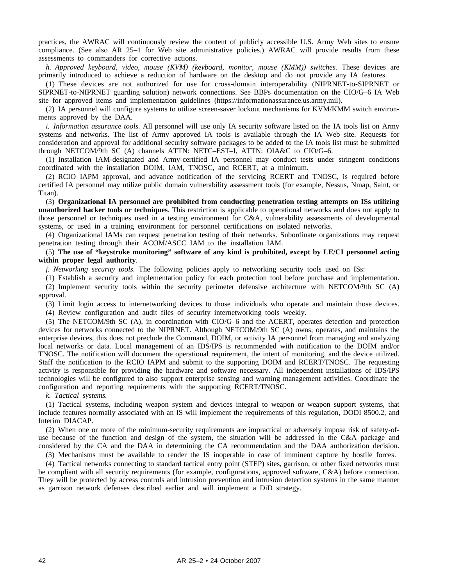practices, the AWRAC will continuously review the content of publicly accessible U.S. Army Web sites to ensure compliance. (See also AR 25–1 for Web site administrative policies.) AWRAC will provide results from these assessments to commanders for corrective actions.

*h. Approved keyboard, video, mouse (KVM) (keyboard, monitor, mouse (KMM)) switches. These devices are* primarily introduced to achieve a reduction of hardware on the desktop and do not provide any IA features.

(1) These devices are not authorized for use for cross-domain interoperability (NIPRNET-to-SIPRNET or SIPRNET-to-NIPRNET guarding solution) network connections. See BBPs documentation on the CIO/G–6 IA Web site for approved items and implementation guidelines (https://informationassurance.us.army.mil).

(2) IA personnel will configure systems to utilize screen-saver lockout mechanisms for KVM/KMM switch environments approved by the DAA.

*i. Information assurance tools.* All personnel will use only IA security software listed on the IA tools list on Army systems and networks. The list of Army approved IA tools is available through the IA Web site. Requests for consideration and approval for additional security software packages to be added to the IA tools list must be submitted through NETCOM/9th SC (A) channels ATTN: NETC–EST–I, ATTN: OIA&C to CIO/G–6.

(1) Installation IAM-designated and Army-certified IA personnel may conduct tests under stringent conditions coordinated with the installation DOIM, IAM, TNOSC, and RCERT, at a minimum.

(2) RCIO IAPM approval, and advance notification of the servicing RCERT and TNOSC, is required before certified IA personnel may utilize public domain vulnerability assessment tools (for example, Nessus, Nmap, Saint, or Titan).

(3) **Organizational IA personnel are prohibited from conducting penetration testing attempts on ISs utilizing unauthorized hacker tools or techniques**. This restriction is applicable to operational networks and does not apply to those personnel or techniques used in a testing environment for C&A, vulnerability assessments of developmental systems, or used in a training environment for personnel certifications on isolated networks.

(4) Organizational IAMs can request penetration testing of their networks. Subordinate organizations may request penetration testing through their ACOM/ASCC IAM to the installation IAM.

## (5) **The use of "keystroke monitoring" software of any kind is prohibited, except by LE/CI personnel acting within proper legal authority**.

*j. Networking security tools.* The following policies apply to networking security tools used on ISs:

(1) Establish a security and implementation policy for each protection tool before purchase and implementation. (2) Implement security tools within the security perimeter defensive architecture with NETCOM/9th SC (A) approval.

(3) Limit login access to internetworking devices to those individuals who operate and maintain those devices.

(4) Review configuration and audit files of security internetworking tools weekly.

(5) The NETCOM/9th SC (A), in coordination with CIO/G–6 and the ACERT, operates detection and protection devices for networks connected to the NIPRNET. Although NETCOM/9th SC (A) owns, operates, and maintains the enterprise devices, this does not preclude the Command, DOIM, or activity IA personnel from managing and analyzing local networks or data. Local management of an IDS/IPS is recommended with notification to the DOIM and/or TNOSC. The notification will document the operational requirement, the intent of monitoring, and the device utilized. Staff the notification to the RCIO IAPM and submit to the supporting DOIM and RCERT/TNOSC. The requesting activity is responsible for providing the hardware and software necessary. All independent installations of IDS/IPS technologies will be configured to also support enterprise sensing and warning management activities. Coordinate the configuration and reporting requirements with the supporting RCERT/TNOSC.

*k. Tactical systems.*

(1) Tactical systems, including weapon system and devices integral to weapon or weapon support systems, that include features normally associated with an IS will implement the requirements of this regulation, DODI 8500.2, and Interim DIACAP.

(2) When one or more of the minimum-security requirements are impractical or adversely impose risk of safety-ofuse because of the function and design of the system, the situation will be addressed in the C&A package and considered by the CA and the DAA in determining the CA recommendation and the DAA authorization decision.

(3) Mechanisms must be available to render the IS inoperable in case of imminent capture by hostile forces.

(4) Tactical networks connecting to standard tactical entry point (STEP) sites, garrison, or other fixed networks must be compliant with all security requirements (for example, configurations, approved software, C&A) before connection. They will be protected by access controls and intrusion prevention and intrusion detection systems in the same manner as garrison network defenses described earlier and will implement a DiD strategy.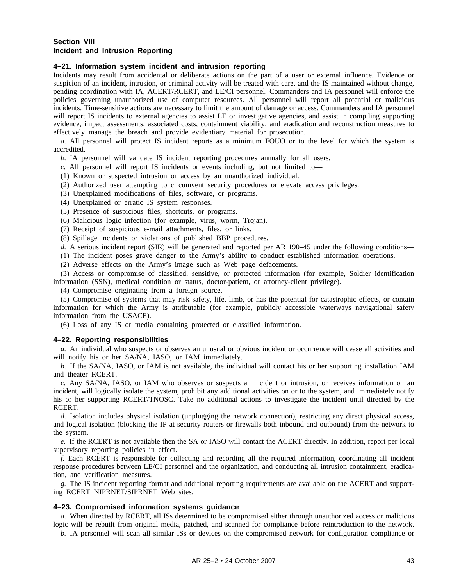## **Section VIII Incident and Intrusion Reporting**

## **4–21. Information system incident and intrusion reporting**

Incidents may result from accidental or deliberate actions on the part of a user or external influence. Evidence or suspicion of an incident, intrusion, or criminal activity will be treated with care, and the IS maintained without change, pending coordination with IA, ACERT/RCERT, and LE/CI personnel. Commanders and IA personnel will enforce the policies governing unauthorized use of computer resources. All personnel will report all potential or malicious incidents. Time-sensitive actions are necessary to limit the amount of damage or access. Commanders and IA personnel will report IS incidents to external agencies to assist LE or investigative agencies, and assist in compiling supporting evidence, impact assessments, associated costs, containment viability, and eradication and reconstruction measures to effectively manage the breach and provide evidentiary material for prosecution.

*a.* All personnel will protect IS incident reports as a minimum FOUO or to the level for which the system is accredited.

*b.* IA personnel will validate IS incident reporting procedures annually for all users*.*

*c.* All personnel will report IS incidents or events including, but not limited to—

(1) Known or suspected intrusion or access by an unauthorized individual.

(2) Authorized user attempting to circumvent security procedures or elevate access privileges.

(3) Unexplained modifications of files, software, or programs.

(4) Unexplained or erratic IS system responses.

(5) Presence of suspicious files, shortcuts, or programs.

(6) Malicious logic infection (for example, virus, worm, Trojan).

(7) Receipt of suspicious e-mail attachments, files, or links.

(8) Spillage incidents or violations of published BBP procedures.

*d.* A serious incident report (SIR) will be generated and reported per AR 190–45 under the following conditions—

(1) The incident poses grave danger to the Army's ability to conduct established information operations.

(2) Adverse effects on the Army's image such as Web page defacements.

(3) Access or compromise of classified, sensitive, or protected information (for example, Soldier identification information (SSN), medical condition or status, doctor-patient, or attorney-client privilege).

(4) Compromise originating from a foreign source.

(5) Compromise of systems that may risk safety, life, limb, or has the potential for catastrophic effects, or contain information for which the Army is attributable (for example, publicly accessible waterways navigational safety information from the USACE).

(6) Loss of any IS or media containing protected or classified information.

#### **4–22. Reporting responsibilities**

*a.* An individual who suspects or observes an unusual or obvious incident or occurrence will cease all activities and will notify his or her SA/NA, IASO, or IAM immediately.

*b.* If the SA/NA, IASO, or IAM is not available, the individual will contact his or her supporting installation IAM and theater RCERT.

*c.* Any SA/NA, IASO, or IAM who observes or suspects an incident or intrusion, or receives information on an incident, will logically isolate the system, prohibit any additional activities on or to the system, and immediately notify his or her supporting RCERT/TNOSC. Take no additional actions to investigate the incident until directed by the RCERT.

*d.* Isolation includes physical isolation (unplugging the network connection), restricting any direct physical access, and logical isolation (blocking the IP at security routers or firewalls both inbound and outbound) from the network to the system.

*e.* If the RCERT is not available then the SA or IASO will contact the ACERT directly. In addition, report per local supervisory reporting policies in effect.

*f.* Each RCERT is responsible for collecting and recording all the required information, coordinating all incident response procedures between LE/CI personnel and the organization, and conducting all intrusion containment, eradication, and verification measures.

*g.* The IS incident reporting format and additional reporting requirements are available on the ACERT and supporting RCERT NIPRNET/SIPRNET Web sites.

#### **4–23. Compromised information systems guidance**

*a.* When directed by RCERT, all ISs determined to be compromised either through unauthorized access or malicious logic will be rebuilt from original media, patched, and scanned for compliance before reintroduction to the network. *b.* IA personnel will scan all similar ISs or devices on the compromised network for configuration compliance or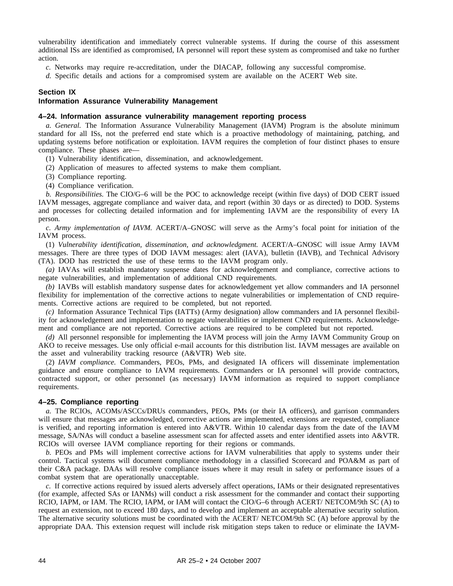vulnerability identification and immediately correct vulnerable systems. If during the course of this assessment additional ISs are identified as compromised, IA personnel will report these system as compromised and take no further action.

- *c.* Networks may require re-accreditation, under the DIACAP, following any successful compromise.
- *d.* Specific details and actions for a compromised system are available on the ACERT Web site.

#### **Section IX**

## **Information Assurance Vulnerability Management**

#### **4–24. Information assurance vulnerability management reporting process**

*a. General.* The Information Assurance Vulnerability Management (IAVM) Program is the absolute minimum standard for all ISs, not the preferred end state which is a proactive methodology of maintaining, patching, and updating systems before notification or exploitation. IAVM requires the completion of four distinct phases to ensure compliance. These phases are—

- (1) Vulnerability identification, dissemination, and acknowledgement.
- (2) Application of measures to affected systems to make them compliant.
- (3) Compliance reporting.
- (4) Compliance verification.

*b. Responsibilities.* The CIO/G–6 will be the POC to acknowledge receipt (within five days) of DOD CERT issued IAVM messages, aggregate compliance and waiver data, and report (within 30 days or as directed) to DOD. Systems and processes for collecting detailed information and for implementing IAVM are the responsibility of every IA person.

*c. Army implementation of IAVM.* ACERT/A–GNOSC will serve as the Army's focal point for initiation of the IAVM process.

(1) *Vulnerability identification, dissemination, and acknowledgment.* ACERT/A–GNOSC will issue Army IAVM messages. There are three types of DOD IAVM messages: alert (IAVA), bulletin (IAVB), and Technical Advisory (TA). DOD has restricted the use of these terms to the IAVM program only.

*(a)* IAVAs will establish mandatory suspense dates for acknowledgement and compliance, corrective actions to negate vulnerabilities, and implementation of additional CND requirements.

*(b)* IAVBs will establish mandatory suspense dates for acknowledgement yet allow commanders and IA personnel flexibility for implementation of the corrective actions to negate vulnerabilities or implementation of CND requirements. Corrective actions are required to be completed, but not reported.

*(c)* Information Assurance Technical Tips (IATTs) (Army designation) allow commanders and IA personnel flexibility for acknowledgement and implementation to negate vulnerabilities or implement CND requirements. Acknowledgement and compliance are not reported. Corrective actions are required to be completed but not reported.

*(d)* All personnel responsible for implementing the IAVM process will join the Army IAVM Community Group on AKO to receive messages. Use only official e-mail accounts for this distribution list. IAVM messages are available on the asset and vulnerability tracking resource (A&VTR) Web site.

(2) *IAVM compliance.* Commanders, PEOs, PMs, and designated IA officers will disseminate implementation guidance and ensure compliance to IAVM requirements. Commanders or IA personnel will provide contractors, contracted support, or other personnel (as necessary) IAVM information as required to support compliance requirements.

## **4–25. Compliance reporting**

*a.* The RCIOs, ACOMs/ASCCs/DRUs commanders, PEOs, PMs (or their IA officers), and garrison commanders will ensure that messages are acknowledged, corrective actions are implemented, extensions are requested, compliance is verified, and reporting information is entered into A&VTR. Within 10 calendar days from the date of the IAVM message, SA/NAs will conduct a baseline assessment scan for affected assets and enter identified assets into A&VTR. RCIOs will oversee IAVM compliance reporting for their regions or commands.

*b.* PEOs and PMs will implement corrective actions for IAVM vulnerabilities that apply to systems under their control. Tactical systems will document compliance methodology in a classified Scorecard and POA&M as part of their C&A package. DAAs will resolve compliance issues where it may result in safety or performance issues of a combat system that are operationally unacceptable.

*c.* If corrective actions required by issued alerts adversely affect operations, IAMs or their designated representatives (for example, affected SAs or IANMs) will conduct a risk assessment for the commander and contact their supporting RCIO, IAPM, or IAM. The RCIO, IAPM, or IAM will contact the CIO/G–6 through ACERT/ NETCOM/9th SC (A) to request an extension, not to exceed 180 days, and to develop and implement an acceptable alternative security solution. The alternative security solutions must be coordinated with the ACERT/ NETCOM/9th SC (A) before approval by the appropriate DAA. This extension request will include risk mitigation steps taken to reduce or eliminate the IAVM-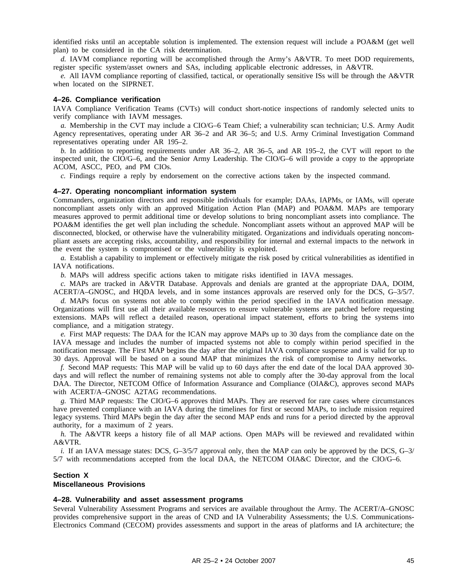identified risks until an acceptable solution is implemented. The extension request will include a POA&M (get well plan) to be considered in the CA risk determination.

*d.* IAVM compliance reporting will be accomplished through the Army's A&VTR. To meet DOD requirements, register specific system/asset owners and SAs, including applicable electronic addresses, in A&VTR.

*e.* All IAVM compliance reporting of classified, tactical, or operationally sensitive ISs will be through the A&VTR when located on the SIPRNET.

#### **4–26. Compliance verification**

IAVA Compliance Verification Teams (CVTs) will conduct short-notice inspections of randomly selected units to verify compliance with IAVM messages.

*a.* Membership in the CVT may include a CIO/G–6 Team Chief; a vulnerability scan technician; U.S. Army Audit Agency representatives, operating under AR 36–2 and AR 36–5; and U.S. Army Criminal Investigation Command representatives operating under AR 195–2.

*b.* In addition to reporting requirements under AR 36–2, AR 36–5, and AR 195–2, the CVT will report to the inspected unit, the CIO/G–6, and the Senior Army Leadership. The CIO/G–6 will provide a copy to the appropriate ACOM, ASCC, PEO, and PM CIOs.

*c.* Findings require a reply by endorsement on the corrective actions taken by the inspected command.

#### **4–27. Operating noncompliant information system**

Commanders, organization directors and responsible individuals for example; DAAs, IAPMs, or IAMs, will operate noncompliant assets only with an approved Mitigation Action Plan (MAP) and POA&M. MAPs are temporary measures approved to permit additional time or develop solutions to bring noncompliant assets into compliance. The POA&M identifies the get well plan including the schedule. Noncompliant assets without an approved MAP will be disconnected, blocked, or otherwise have the vulnerability mitigated. Organizations and individuals operating noncompliant assets are accepting risks, accountability, and responsibility for internal and external impacts to the network in the event the system is compromised or the vulnerability is exploited.

*a.* Establish a capability to implement or effectively mitigate the risk posed by critical vulnerabilities as identified in IAVA notifications.

*b.* MAPs will address specific actions taken to mitigate risks identified in IAVA messages.

*c.* MAPs are tracked in A&VTR Database. Approvals and denials are granted at the appropriate DAA, DOIM, ACERT/A–GNOSC, and HQDA levels, and in some instances approvals are reserved only for the DCS, G–3/5/7.

*d.* MAPs focus on systems not able to comply within the period specified in the IAVA notification message. Organizations will first use all their available resources to ensure vulnerable systems are patched before requesting extensions. MAPs will reflect a detailed reason, operational impact statement, efforts to bring the systems into compliance, and a mitigation strategy.

*e.* First MAP requests: The DAA for the ICAN may approve MAPs up to 30 days from the compliance date on the IAVA message and includes the number of impacted systems not able to comply within period specified in the notification message. The First MAP begins the day after the original IAVA compliance suspense and is valid for up to 30 days. Approval will be based on a sound MAP that minimizes the risk of compromise to Army networks.

*f.* Second MAP requests: This MAP will be valid up to 60 days after the end date of the local DAA approved 30 days and will reflect the number of remaining systems not able to comply after the 30-day approval from the local DAA. The Director, NETCOM Office of Information Assurance and Compliance (OIA&C), approves second MAPs with ACERT/A–GNOSC A2TAG recommendations.

*g.* Third MAP requests: The CIO/G–6 approves third MAPs. They are reserved for rare cases where circumstances have prevented compliance with an IAVA during the timelines for first or second MAPs, to include mission required legacy systems. Third MAPs begin the day after the second MAP ends and runs for a period directed by the approval authority, for a maximum of 2 years.

*h.* The A&VTR keeps a history file of all MAP actions. Open MAPs will be reviewed and revalidated within A&VTR.

*i.* If an IAVA message states: DCS, G–3/5/7 approval only, then the MAP can only be approved by the DCS, G–3/ 5/7 with recommendations accepted from the local DAA, the NETCOM OIA&C Director, and the CIO/G–6.

## **Section X Miscellaneous Provisions**

#### **4–28. Vulnerability and asset assessment programs**

Several Vulnerability Assessment Programs and services are available throughout the Army. The ACERT/A–GNOSC provides comprehensive support in the areas of CND and IA Vulnerability Assessments; the U.S. Communications-Electronics Command (CECOM) provides assessments and support in the areas of platforms and IA architecture; the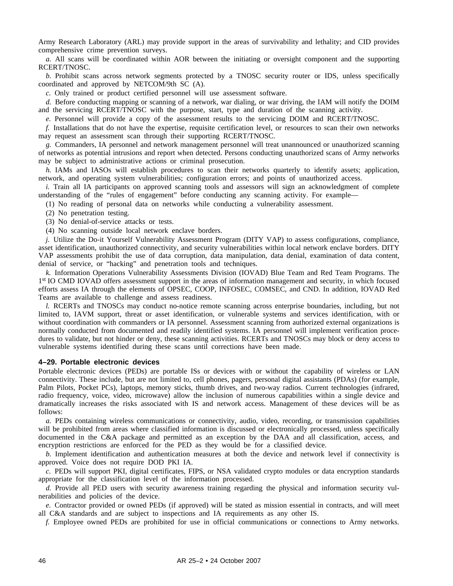Army Research Laboratory (ARL) may provide support in the areas of survivability and lethality; and CID provides comprehensive crime prevention surveys.

*a.* All scans will be coordinated within AOR between the initiating or oversight component and the supporting RCERT/TNOSC.

*b.* Prohibit scans across network segments protected by a TNOSC security router or IDS, unless specifically coordinated and approved by NETCOM/9th SC (A).

*c.* Only trained or product certified personnel will use assessment software.

*d.* Before conducting mapping or scanning of a network, war dialing, or war driving, the IAM will notify the DOIM and the servicing RCERT/TNOSC with the purpose, start, type and duration of the scanning activity.

*e.* Personnel will provide a copy of the assessment results to the servicing DOIM and RCERT/TNOSC.

*f.* Installations that do not have the expertise, requisite certification level, or resources to scan their own networks may request an assessment scan through their supporting RCERT/TNOSC.

*g.* Commanders, IA personnel and network management personnel will treat unannounced or unauthorized scanning of networks as potential intrusions and report when detected. Persons conducting unauthorized scans of Army networks may be subject to administrative actions or criminal prosecution.

*h.* IAMs and IASOs will establish procedures to scan their networks quarterly to identify assets; application, network, and operating system vulnerabilities; configuration errors; and points of unauthorized access.

*i.* Train all IA participants on approved scanning tools and assessors will sign an acknowledgment of complete understanding of the "rules of engagement" before conducting any scanning activity. For example—

(1) No reading of personal data on networks while conducting a vulnerability assessment.

- (2) No penetration testing.
- (3) No denial-of-service attacks or tests.

(4) No scanning outside local network enclave borders.

*j.* Utilize the Do-it Yourself Vulnerability Assessment Program (DITY VAP) to assess configurations, compliance, asset identification, unauthorized connectivity, and security vulnerabilities within local network enclave borders. DITY VAP assessments prohibit the use of data corruption, data manipulation, data denial, examination of data content, denial of service, or "hacking" and penetration tools and techniques.

*k.* Information Operations Vulnerability Assessments Division (IOVAD) Blue Team and Red Team Programs. The 1st IO CMD IOVAD offers assessment support in the areas of information management and security, in which focused efforts assess IA through the elements of OPSEC, COOP, INFOSEC, COMSEC, and CND. In addition, IOVAD Red Teams are available to challenge and assess readiness.

*l.* RCERTs and TNOSCs may conduct no-notice remote scanning across enterprise boundaries, including, but not limited to, IAVM support, threat or asset identification, or vulnerable systems and services identification, with or without coordination with commanders or IA personnel. Assessment scanning from authorized external organizations is normally conducted from documented and readily identified systems. IA personnel will implement verification procedures to validate, but not hinder or deny, these scanning activities. RCERTs and TNOSCs may block or deny access to vulnerable systems identified during these scans until corrections have been made.

## **4–29. Portable electronic devices**

Portable electronic devices (PEDs) are portable ISs or devices with or without the capability of wireless or LAN connectivity. These include, but are not limited to, cell phones, pagers, personal digital assistants (PDAs) (for example, Palm Pilots, Pocket PCs), laptops, memory sticks, thumb drives, and two-way radios. Current technologies (infrared, radio frequency, voice, video, microwave) allow the inclusion of numerous capabilities within a single device and dramatically increases the risks associated with IS and network access. Management of these devices will be as follows:

*a.* PEDs containing wireless communications or connectivity, audio, video, recording, or transmission capabilities will be prohibited from areas where classified information is discussed or electronically processed, unless specifically documented in the C&A package and permitted as an exception by the DAA and all classification, access, and encryption restrictions are enforced for the PED as they would be for a classified device.

*b.* Implement identification and authentication measures at both the device and network level if connectivity is approved. Voice does not require DOD PKI IA.

*c.* PEDs will support PKI, digital certificates, FIPS, or NSA validated crypto modules or data encryption standards appropriate for the classification level of the information processed.

*d.* Provide all PED users with security awareness training regarding the physical and information security vulnerabilities and policies of the device.

*e.* Contractor provided or owned PEDs (if approved) will be stated as mission essential in contracts, and will meet all C&A standards and are subject to inspections and IA requirements as any other IS.

*f.* Employee owned PEDs are prohibited for use in official communications or connections to Army networks.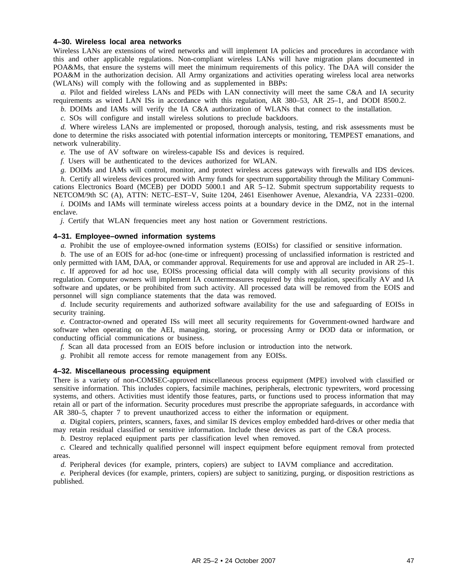## **4–30. Wireless local area networks**

Wireless LANs are extensions of wired networks and will implement IA policies and procedures in accordance with this and other applicable regulations. Non-compliant wireless LANs will have migration plans documented in POA&Ms, that ensure the systems will meet the minimum requirements of this policy. The DAA will consider the POA&M in the authorization decision. All Army organizations and activities operating wireless local area networks (WLANs) will comply with the following and as supplemented in BBPs:

*a.* Pilot and fielded wireless LANs and PEDs with LAN connectivity will meet the same C&A and IA security requirements as wired LAN ISs in accordance with this regulation, AR 380–53, AR 25–1, and DODI 8500.2.

*b.* DOIMs and IAMs will verify the IA C&A authorization of WLANs that connect to the installation.

*c.* SOs will configure and install wireless solutions to preclude backdoors.

*d.* Where wireless LANs are implemented or proposed, thorough analysis, testing, and risk assessments must be done to determine the risks associated with potential information intercepts or monitoring, TEMPEST emanations, and network vulnerability.

*e.* The use of AV software on wireless-capable ISs and devices is required.

*f.* Users will be authenticated to the devices authorized for WLAN.

*g.* DOIMs and IAMs will control, monitor, and protect wireless access gateways with firewalls and IDS devices. *h.* Certify all wireless devices procured with Army funds for spectrum supportability through the Military Communi-

cations Electronics Board (MCEB) per DODD 5000.1 and AR 5–12. Submit spectrum supportability requests to NETCOM/9th SC (A), ATTN: NETC–EST–V, Suite 1204, 2461 Eisenhower Avenue, Alexandria, VA 22331–0200.

*i.* DOIMs and IAMs will terminate wireless access points at a boundary device in the DMZ, not in the internal enclave.

*j.* Certify that WLAN frequencies meet any host nation or Government restrictions.

#### **4–31. Employee–owned information systems**

*a.* Prohibit the use of employee-owned information systems (EOISs) for classified or sensitive information.

*b.* The use of an EOIS for ad-hoc (one-time or infrequent) processing of unclassified information is restricted and only permitted with IAM, DAA, or commander approval. Requirements for use and approval are included in AR 25–1.

*c.* If approved for ad hoc use, EOISs processing official data will comply with all security provisions of this regulation. Computer owners will implement IA countermeasures required by this regulation, specifically AV and IA software and updates, or be prohibited from such activity. All processed data will be removed from the EOIS and personnel will sign compliance statements that the data was removed.

*d.* Include security requirements and authorized software availability for the use and safeguarding of EOISs in security training.

*e.* Contractor-owned and operated ISs will meet all security requirements for Government-owned hardware and software when operating on the AEI, managing, storing, or processing Army or DOD data or information, or conducting official communications or business.

*f.* Scan all data processed from an EOIS before inclusion or introduction into the network.

*g.* Prohibit all remote access for remote management from any EOISs.

## **4–32. Miscellaneous processing equipment**

There is a variety of non-COMSEC-approved miscellaneous process equipment (MPE) involved with classified or sensitive information. This includes copiers, facsimile machines, peripherals, electronic typewriters, word processing systems, and others. Activities must identify those features, parts, or functions used to process information that may retain all or part of the information. Security procedures must prescribe the appropriate safeguards, in accordance with AR 380–5, chapter 7 to prevent unauthorized access to either the information or equipment.

*a.* Digital copiers, printers, scanners, faxes, and similar IS devices employ embedded hard-drives or other media that may retain residual classified or sensitive information. Include these devices as part of the C&A process.

*b.* Destroy replaced equipment parts per classification level when removed.

*c.* Cleared and technically qualified personnel will inspect equipment before equipment removal from protected areas.

*d.* Peripheral devices (for example, printers, copiers) are subject to IAVM compliance and accreditation.

*e.* Peripheral devices (for example, printers, copiers) are subject to sanitizing, purging, or disposition restrictions as published.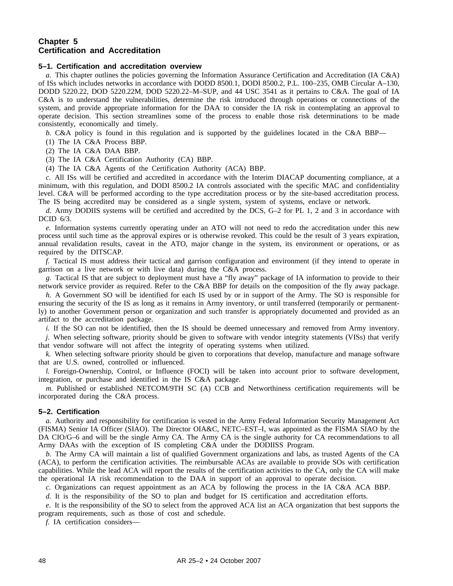## **Chapter 5 Certification and Accreditation**

#### **5–1. Certification and accreditation overview**

*a.* This chapter outlines the policies governing the Information Assurance Certification and Accreditation (IA C&A) of ISs which includes networks in accordance with DODD 8500.1, DODI 8500.2, P.L. 100–235, OMB Circular A–130, DODD 5220.22, DOD 5220.22M, DOD 5220.22–M–SUP, and 44 USC 3541 as it pertains to C&A. The goal of IA C&A is to understand the vulnerabilities, determine the risk introduced through operations or connections of the system, and provide appropriate information for the DAA to consider the IA risk in contemplating an approval to operate decision. This section streamlines some of the process to enable those risk determinations to be made consistently, economically and timely.

*b.* C&A policy is found in this regulation and is supported by the guidelines located in the C&A BBP—

(1) The IA C&A Process BBP.

(2) The IA C&A DAA BBP.

(3) The IA C&A Certification Authority (CA) BBP.

(4) The IA C&A Agents of the Certification Authority (ACA) BBP.

*c.* All ISs will be certified and accredited in accordance with the Interim DIACAP documenting compliance, at a minimum, with this regulation, and DODI 8500.2 IA controls associated with the specific MAC and confidentiality level. C&A will be performed according to the type accreditation process or by the site-based accreditation process. The IS being accredited may be considered as a single system, system of systems, enclave or network.

*d.* Army DODIIS systems will be certified and accredited by the DCS, G–2 for PL 1, 2 and 3 in accordance with DCID 6/3.

*e.* Information systems currently operating under an ATO will not need to redo the accreditation under this new process until such time as the approval expires or is otherwise revoked. This could be the result of 3 years expiration, annual revalidation results, caveat in the ATO, major change in the system, its environment or operations, or as required by the DITSCAP.

*f.* Tactical IS must address their tactical and garrison configuration and environment (if they intend to operate in garrison on a live network or with live data) during the C&A process.

*g.* Tactical IS that are subject to deployment must have a "fly away" package of IA information to provide to their network service provider as required. Refer to the C&A BBP for details on the composition of the fly away package.

*h.* A Government SO will be identified for each IS used by or in support of the Army. The SO is responsible for ensuring the security of the IS as long as it remains in Army inventory, or until transferred (temporarily or permanently) to another Government person or organization and such transfer is appropriately documented and provided as an artifact to the accreditation package.

*i.* If the SO can not be identified, then the IS should be deemed unnecessary and removed from Army inventory.

*j.* When selecting software, priority should be given to software with vendor integrity statements (VISs) that verify that vendor software will not affect the integrity of operating systems when utilized.

*k.* When selecting software priority should be given to corporations that develop, manufacture and manage software that are U.S. owned, controlled or influenced.

*l.* Foreign-Ownership, Control, or Influence (FOCI) will be taken into account prior to software development, integration, or purchase and identified in the IS C&A package.

*m.* Published or established NETCOM/9TH SC (A) CCB and Networthiness certification requirements will be incorporated during the C&A process.

#### **5–2. Certification**

*a.* Authority and responsibility for certification is vested in the Army Federal Information Security Management Act (FISMA) Senior IA Officer (SIAO). The Director OIA&C, NETC–EST–I, was appointed as the FISMA SIAO by the DA CIO/G–6 and will be the single Army CA. The Army CA is the single authority for CA recommendations to all Army DAAs with the exception of IS completing C&A under the DODIISS Program.

*b.* The Army CA will maintain a list of qualified Government organizations and labs, as trusted Agents of the CA (ACA), to perform the certification activities. The reimbursable ACAs are available to provide SOs with certification capabilities. While the lead ACA will report the results of the certification activities to the CA, only the CA will make the operational IA risk recommendation to the DAA in support of an approval to operate decision.

*c.* Organizations can request appointment as an ACA by following the process in the IA C&A ACA BBP.

*d.* It is the responsibility of the SO to plan and budget for IS certification and accreditation efforts.

*e.* It is the responsibility of the SO to select from the approved ACA list an ACA organization that best supports the program requirements, such as those of cost and schedule.

*f.* IA certification considers—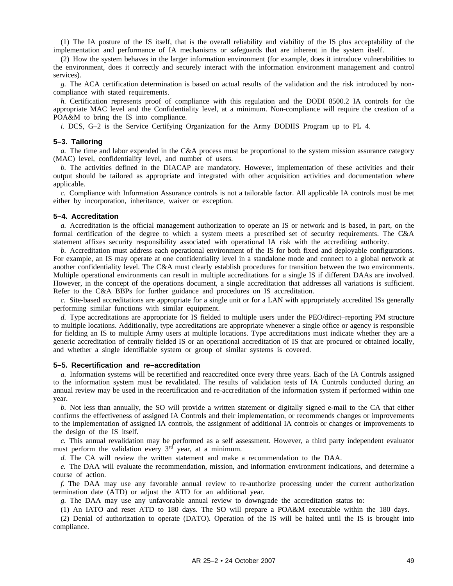(1) The IA posture of the IS itself, that is the overall reliability and viability of the IS plus acceptability of the implementation and performance of IA mechanisms or safeguards that are inherent in the system itself.

(2) How the system behaves in the larger information environment (for example, does it introduce vulnerabilities to the environment, does it correctly and securely interact with the information environment management and control services).

*g.* The ACA certification determination is based on actual results of the validation and the risk introduced by noncompliance with stated requirements.

*h.* Certification represents proof of compliance with this regulation and the DODI 8500.2 IA controls for the appropriate MAC level and the Confidentiality level, at a minimum. Non-compliance will require the creation of a POA&M to bring the IS into compliance.

*i.* DCS, G–2 is the Service Certifying Organization for the Army DODIIS Program up to PL 4.

#### **5–3. Tailoring**

*a.* The time and labor expended in the C&A process must be proportional to the system mission assurance category (MAC) level, confidentiality level, and number of users.

*b.* The activities defined in the DIACAP are mandatory. However, implementation of these activities and their output should be tailored as appropriate and integrated with other acquisition activities and documentation where applicable.

*c.* Compliance with Information Assurance controls is not a tailorable factor. All applicable IA controls must be met either by incorporation, inheritance, waiver or exception.

#### **5–4. Accreditation**

*a.* Accreditation is the official management authorization to operate an IS or network and is based, in part, on the formal certification of the degree to which a system meets a prescribed set of security requirements. The C&A statement affixes security responsibility associated with operational IA risk with the accrediting authority.

*b.* Accreditation must address each operational environment of the IS for both fixed and deployable configurations. For example, an IS may operate at one confidentiality level in a standalone mode and connect to a global network at another confidentiality level. The C&A must clearly establish procedures for transition between the two environments. Multiple operational environments can result in multiple accreditations for a single IS if different DAAs are involved. However, in the concept of the operations document, a single accreditation that addresses all variations is sufficient. Refer to the C&A BBPs for further guidance and procedures on IS accreditation.

*c.* Site-based accreditations are appropriate for a single unit or for a LAN with appropriately accredited ISs generally performing similar functions with similar equipment.

*d.* Type accreditations are appropriate for IS fielded to multiple users under the PEO/direct–reporting PM structure to multiple locations. Additionally, type accreditations are appropriate whenever a single office or agency is responsible for fielding an IS to multiple Army users at multiple locations. Type accreditations must indicate whether they are a generic accreditation of centrally fielded IS or an operational accreditation of IS that are procured or obtained locally, and whether a single identifiable system or group of similar systems is covered.

#### **5–5. Recertification and re–accreditation**

*a.* Information systems will be recertified and reaccredited once every three years. Each of the IA Controls assigned to the information system must be revalidated. The results of validation tests of IA Controls conducted during an annual review may be used in the recertification and re-accreditation of the information system if performed within one year.

*b.* Not less than annually, the SO will provide a written statement or digitally signed e-mail to the CA that either confirms the effectiveness of assigned IA Controls and their implementation, or recommends changes or improvements to the implementation of assigned IA controls, the assignment of additional IA controls or changes or improvements to the design of the IS itself.

*c.* This annual revalidation may be performed as a self assessment. However, a third party independent evaluator must perform the validation every  $3<sup>rd</sup>$  year, at a minimum.

*d.* The CA will review the written statement and make a recommendation to the DAA.

*e.* The DAA will evaluate the recommendation, mission, and information environment indications, and determine a course of action.

*f.* The DAA may use any favorable annual review to re-authorize processing under the current authorization termination date (ATD) or adjust the ATD for an additional year.

*g.* The DAA may use any unfavorable annual review to downgrade the accreditation status to:

(1) An IATO and reset ATD to 180 days. The SO will prepare a POA&M executable within the 180 days.

(2) Denial of authorization to operate (DATO). Operation of the IS will be halted until the IS is brought into compliance.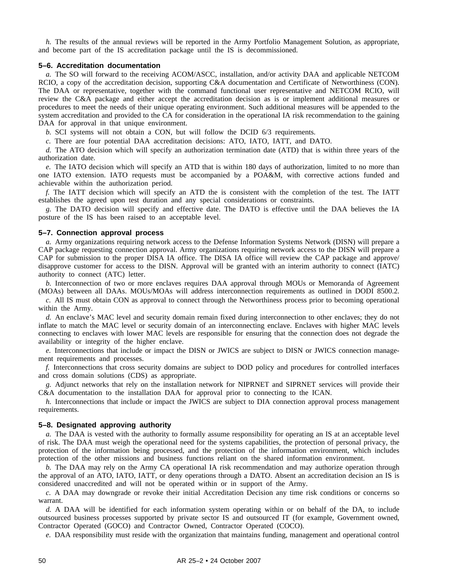*h.* The results of the annual reviews will be reported in the Army Portfolio Management Solution, as appropriate, and become part of the IS accreditation package until the IS is decommissioned.

#### **5–6. Accreditation documentation**

*a.* The SO will forward to the receiving ACOM/ASCC, installation, and/or activity DAA and applicable NETCOM RCIO, a copy of the accreditation decision, supporting C&A documentation and Certificate of Networthiness (CON). The DAA or representative, together with the command functional user representative and NETCOM RCIO, will review the C&A package and either accept the accreditation decision as is or implement additional measures or procedures to meet the needs of their unique operating environment. Such additional measures will be appended to the system accreditation and provided to the CA for consideration in the operational IA risk recommendation to the gaining DAA for approval in that unique environment.

*b.* SCI systems will not obtain a CON, but will follow the DCID 6/3 requirements.

*c.* There are four potential DAA accreditation decisions: ATO, IATO, IATT, and DATO.

*d.* The ATO decision which will specify an authorization termination date (ATD) that is within three years of the authorization date.

*e.* The IATO decision which will specify an ATD that is within 180 days of authorization, limited to no more than one IATO extension. IATO requests must be accompanied by a POA&M, with corrective actions funded and achievable within the authorization period.

*f.* The IATT decision which will specify an ATD the is consistent with the completion of the test. The IATT establishes the agreed upon test duration and any special considerations or constraints.

*g.* The DATO decision will specify and effective date. The DATO is effective until the DAA believes the IA posture of the IS has been raised to an acceptable level.

## **5–7. Connection approval process**

*a.* Army organizations requiring network access to the Defense Information Systems Network (DISN) will prepare a CAP package requesting connection approval. Army organizations requiring network access to the DISN will prepare a CAP for submission to the proper DISA IA office. The DISA IA office will review the CAP package and approve/ disapprove customer for access to the DISN. Approval will be granted with an interim authority to connect (IATC) authority to connect (ATC) letter.

*b.* Interconnection of two or more enclaves requires DAA approval through MOUs or Memoranda of Agreement (MOAs) between all DAAs. MOUs/MOAs will address interconnection requirements as outlined in DODI 8500.2.

*c.* All IS must obtain CON as approval to connect through the Networthiness process prior to becoming operational within the Army.

*d.* An enclave's MAC level and security domain remain fixed during interconnection to other enclaves; they do not inflate to match the MAC level or security domain of an interconnecting enclave. Enclaves with higher MAC levels connecting to enclaves with lower MAC levels are responsible for ensuring that the connection does not degrade the availability or integrity of the higher enclave.

*e.* Interconnections that include or impact the DISN or JWICS are subject to DISN or JWICS connection management requirements and processes.

*f.* Interconnections that cross security domains are subject to DOD policy and procedures for controlled interfaces and cross domain solutions (CDS) as appropriate.

*g.* Adjunct networks that rely on the installation network for NIPRNET and SIPRNET services will provide their C&A documentation to the installation DAA for approval prior to connecting to the ICAN.

*h.* Interconnections that include or impact the JWICS are subject to DIA connection approval process management requirements.

## **5–8. Designated approving authority**

*a.* The DAA is vested with the authority to formally assume responsibility for operating an IS at an acceptable level of risk. The DAA must weigh the operational need for the systems capabilities, the protection of personal privacy, the protection of the information being processed, and the protection of the information environment, which includes protection of the other missions and business functions reliant on the shared information environment.

*b.* The DAA may rely on the Army CA operational IA risk recommendation and may authorize operation through the approval of an ATO, IATO, IATT, or deny operations through a DATO. Absent an accreditation decision an IS is considered unaccredited and will not be operated within or in support of the Army.

*c.* A DAA may downgrade or revoke their initial Accreditation Decision any time risk conditions or concerns so warrant.

*d.* A DAA will be identified for each information system operating within or on behalf of the DA, to include outsourced business processes supported by private sector IS and outsourced IT (for example, Government owned, Contractor Operated (GOCO) and Contractor Owned, Contractor Operated (COCO).

*e.* DAA responsibility must reside with the organization that maintains funding, management and operational control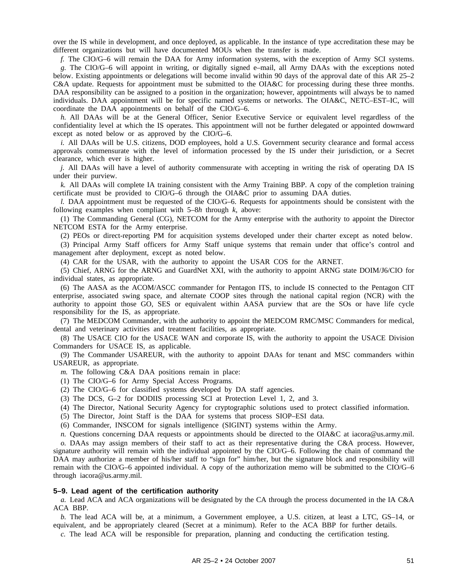over the IS while in development, and once deployed, as applicable. In the instance of type accreditation these may be different organizations but will have documented MOUs when the transfer is made.

*f.* The CIO/G–6 will remain the DAA for Army information systems, with the exception of Army SCI systems.

*g.* The CIO/G–6 will appoint in writing, or digitally signed e–mail, all Army DAAs with the exceptions noted below. Existing appointments or delegations will become invalid within 90 days of the approval date of this AR 25–2 C&A update. Requests for appointment must be submitted to the OIA&C for processing during these three months. DAA responsibility can be assigned to a position in the organization; however, appointments will always be to named individuals. DAA appointment will be for specific named systems or networks. The OIA&C, NETC–EST–IC, will coordinate the DAA appointments on behalf of the CIO/G–6.

*h.* All DAAs will be at the General Officer, Senior Executive Service or equivalent level regardless of the confidentiality level at which the IS operates. This appointment will not be further delegated or appointed downward except as noted below or as approved by the CIO/G–6.

*i.* All DAAs will be U.S. citizens, DOD employees, hold a U.S. Government security clearance and formal access approvals commensurate with the level of information processed by the IS under their jurisdiction, or a Secret clearance, which ever is higher.

*j.* All DAAs will have a level of authority commensurate with accepting in writing the risk of operating DA IS under their purview.

*k.* All DAAs will complete IA training consistent with the Army Training BBP. A copy of the completion training certificate must be provided to CIO/G–6 through the OIA&C prior to assuming DAA duties.

*l.* DAA appointment must be requested of the CIO/G–6. Requests for appointments should be consistent with the following examples when compliant with 5–8*h* through *k*, above:

(1) The Commanding General (CG), NETCOM for the Army enterprise with the authority to appoint the Director NETCOM ESTA for the Army enterprise.

(2) PEOs or direct-reporting PM for acquisition systems developed under their charter except as noted below.

(3) Principal Army Staff officers for Army Staff unique systems that remain under that office's control and management after deployment, except as noted below.

(4) CAR for the USAR, with the authority to appoint the USAR COS for the ARNET.

(5) Chief, ARNG for the ARNG and GuardNet XXI, with the authority to appoint ARNG state DOIM/J6/CIO for individual states, as appropriate.

(6) The AASA as the ACOM/ASCC commander for Pentagon ITS, to include IS connected to the Pentagon CIT enterprise, associated swing space, and alternate COOP sites through the national capital region (NCR) with the authority to appoint those GO, SES or equivalent within AASA purview that are the SOs or have life cycle responsibility for the IS, as appropriate.

(7) The MEDCOM Commander, with the authority to appoint the MEDCOM RMC/MSC Commanders for medical, dental and veterinary activities and treatment facilities, as appropriate.

(8) The USACE CIO for the USACE WAN and corporate IS, with the authority to appoint the USACE Division Commanders for USACE IS, as applicable.

(9) The Commander USAREUR, with the authority to appoint DAAs for tenant and MSC commanders within USAREUR, as appropriate.

*m*. The following C&A DAA positions remain in place:

- (1) The CIO/G–6 for Army Special Access Programs.
- (2) The CIO/G–6 for classified systems developed by DA staff agencies.
- (3) The DCS, G–2 for DODIIS processing SCI at Protection Level 1, 2, and 3.
- (4) The Director, National Security Agency for cryptographic solutions used to protect classified information.
- (5) The Director, Joint Staff is the DAA for systems that process SIOP–ESI data.
- (6) Commander, INSCOM for signals intelligence (SIGINT) systems within the Army.

*n.* Questions concerning DAA requests or appointments should be directed to the OIA&C at iacora@us.army.mil. *o.* DAAs may assign members of their staff to act as their representative during the C&A process. However, signature authority will remain with the individual appointed by the CIO/G–6. Following the chain of command the DAA may authorize a member of his/her staff to "sign for" him/her, but the signature block and responsibility will remain with the CIO/G–6 appointed individual. A copy of the authorization memo will be submitted to the CIO/G–6 through iacora@us.army.mil.

## **5–9. Lead agent of the certification authority**

*a.* Lead ACA and ACA organizations will be designated by the CA through the process documented in the IA C&A ACA BBP.

*b.* The lead ACA will be, at a minimum, a Government employee, a U.S. citizen, at least a LTC, GS–14, or equivalent, and be appropriately cleared (Secret at a minimum). Refer to the ACA BBP for further details.

*c.* The lead ACA will be responsible for preparation, planning and conducting the certification testing.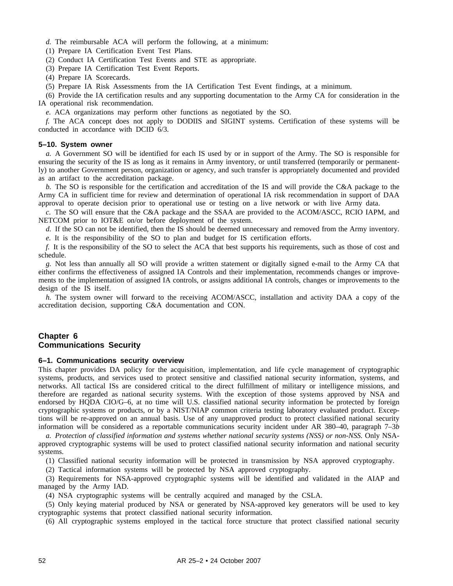*d.* The reimbursable ACA will perform the following, at a minimum:

(1) Prepare IA Certification Event Test Plans.

(2) Conduct IA Certification Test Events and STE as appropriate.

(3) Prepare IA Certification Test Event Reports.

(4) Prepare IA Scorecards.

(5) Prepare IA Risk Assessments from the IA Certification Test Event findings, at a minimum.

(6) Provide the IA certification results and any supporting documentation to the Army CA for consideration in the IA operational risk recommendation.

*e.* ACA organizations may perform other functions as negotiated by the SO.

*f.* The ACA concept does not apply to DODIIS and SIGINT systems. Certification of these systems will be conducted in accordance with DCID 6/3.

#### **5–10. System owner**

*a.* A Government SO will be identified for each IS used by or in support of the Army. The SO is responsible for ensuring the security of the IS as long as it remains in Army inventory, or until transferred (temporarily or permanently) to another Government person, organization or agency, and such transfer is appropriately documented and provided as an artifact to the accreditation package.

*b.* The SO is responsible for the certification and accreditation of the IS and will provide the C&A package to the Army CA in sufficient time for review and determination of operational IA risk recommendation in support of DAA approval to operate decision prior to operational use or testing on a live network or with live Army data.

*c.* The SO will ensure that the C&A package and the SSAA are provided to the ACOM/ASCC, RCIO IAPM, and NETCOM prior to IOT&E on/or before deployment of the system.

*d.* If the SO can not be identified, then the IS should be deemed unnecessary and removed from the Army inventory.

*e.* It is the responsibility of the SO to plan and budget for IS certification efforts.

*f.* It is the responsibility of the SO to select the ACA that best supports his requirements, such as those of cost and schedule.

*g.* Not less than annually all SO will provide a written statement or digitally signed e-mail to the Army CA that either confirms the effectiveness of assigned IA Controls and their implementation, recommends changes or improvements to the implementation of assigned IA controls, or assigns additional IA controls, changes or improvements to the design of the IS itself.

*h.* The system owner will forward to the receiving ACOM/ASCC, installation and activity DAA a copy of the accreditation decision, supporting C&A documentation and CON.

## **Chapter 6 Communications Security**

#### **6–1. Communications security overview**

This chapter provides DA policy for the acquisition, implementation, and life cycle management of cryptographic systems, products, and services used to protect sensitive and classified national security information, systems, and networks. All tactical ISs are considered critical to the direct fulfillment of military or intelligence missions, and therefore are regarded as national security systems. With the exception of those systems approved by NSA and endorsed by HQDA CIO/G–6, at no time will U.S. classified national security information be protected by foreign cryptographic systems or products, or by a NIST/NIAP common criteria testing laboratory evaluated product. Exceptions will be re-approved on an annual basis. Use of any unapproved product to protect classified national security information will be considered as a reportable communications security incident under AR 380–40, paragraph 7–3*b*

*a. Protection of classified information and systems whether national security systems (NSS) or non-NSS.* Only NSAapproved cryptographic systems will be used to protect classified national security information and national security systems.

(1) Classified national security information will be protected in transmission by NSA approved cryptography.

(2) Tactical information systems will be protected by NSA approved cryptography.

(3) Requirements for NSA-approved cryptographic systems will be identified and validated in the AIAP and managed by the Army IAD.

(4) NSA cryptographic systems will be centrally acquired and managed by the CSLA.

(5) Only keying material produced by NSA or generated by NSA-approved key generators will be used to key cryptographic systems that protect classified national security information.

(6) All cryptographic systems employed in the tactical force structure that protect classified national security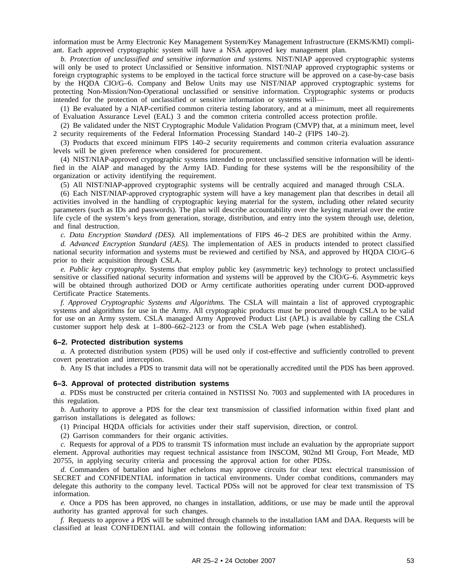information must be Army Electronic Key Management System/Key Management Infrastructure (EKMS/KMI) compliant. Each approved cryptographic system will have a NSA approved key management plan.

*b. Protection of unclassified and sensitive information and systems.* NIST/NIAP approved cryptographic systems will only be used to protect Unclassified or Sensitive information. NIST/NIAP approved cryptographic systems or foreign cryptographic systems to be employed in the tactical force structure will be approved on a case-by-case basis by the HQDA CIO/G–6. Company and Below Units may use NIST/NIAP approved cryptographic systems for protecting Non-Mission/Non-Operational unclassified or sensitive information. Cryptographic systems or products intended for the protection of unclassified or sensitive information or systems will—

(1) Be evaluated by a NIAP-certified common criteria testing laboratory, and at a minimum, meet all requirements of Evaluation Assurance Level (EAL) 3 and the common criteria controlled access protection profile.

(2) Be validated under the NIST Cryptographic Module Validation Program (CMVP) that, at a minimum meet, level 2 security requirements of the Federal Information Processing Standard 140–2 (FIPS 140–2).

(3) Products that exceed minimum FIPS 140–2 security requirements and common criteria evaluation assurance levels will be given preference when considered for procurement.

(4) NIST/NIAP-approved cryptographic systems intended to protect unclassified sensitive information will be identified in the AIAP and managed by the Army IAD. Funding for these systems will be the responsibility of the organization or activity identifying the requirement.

(5) All NIST/NIAP-approved cryptographic systems will be centrally acquired and managed through CSLA.

(6) Each NIST/NIAP-approved cryptographic system will have a key management plan that describes in detail all activities involved in the handling of cryptographic keying material for the system, including other related security parameters (such as IDs and passwords). The plan will describe accountability over the keying material over the entire life cycle of the system's keys from generation, storage, distribution, and entry into the system through use, deletion, and final destruction.

*c. Data Encryption Standard (DES).* All implementations of FIPS 46–2 DES are prohibited within the Army.

*d. Advanced Encryption Standard (AES).* The implementation of AES in products intended to protect classified national security information and systems must be reviewed and certified by NSA, and approved by HQDA CIO/G–6 prior to their acquisition through CSLA.

*e. Public key cryptography.* Systems that employ public key (asymmetric key) technology to protect unclassified sensitive or classified national security information and systems will be approved by the CIO/G–6. Asymmetric keys will be obtained through authorized DOD or Army certificate authorities operating under current DOD-approved Certificate Practice Statements.

*f. Approved Cryptographic Systems and Algorithms.* The CSLA will maintain a list of approved cryptographic systems and algorithms for use in the Army. All cryptographic products must be procured through CSLA to be valid for use on an Army system. CSLA managed Army Approved Product List (APL) is available by calling the CSLA customer support help desk at 1–800–662–2123 or from the CSLA Web page (when established).

## **6–2. Protected distribution systems**

*a.* A protected distribution system (PDS) will be used only if cost-effective and sufficiently controlled to prevent covert penetration and interception.

*b.* Any IS that includes a PDS to transmit data will not be operationally accredited until the PDS has been approved.

#### **6–3. Approval of protected distribution systems**

*a.* PDSs must be constructed per criteria contained in NSTISSI No. 7003 and supplemented with IA procedures in this regulation.

*b.* Authority to approve a PDS for the clear text transmission of classified information within fixed plant and garrison installations is delegated as follows:

(1) Principal HQDA officials for activities under their staff supervision, direction, or control.

(2) Garrison commanders for their organic activities.

*c.* Requests for approval of a PDS to transmit TS information must include an evaluation by the appropriate support element. Approval authorities may request technical assistance from INSCOM, 902nd MI Group, Fort Meade, MD 20755, in applying security criteria and processing the approval action for other PDSs.

*d.* Commanders of battalion and higher echelons may approve circuits for clear text electrical transmission of SECRET and CONFIDENTIAL information in tactical environments. Under combat conditions, commanders may delegate this authority to the company level. Tactical PDSs will not be approved for clear text transmission of TS information.

*e.* Once a PDS has been approved, no changes in installation, additions, or use may be made until the approval authority has granted approval for such changes.

*f.* Requests to approve a PDS will be submitted through channels to the installation IAM and DAA. Requests will be classified at least CONFIDENTIAL and will contain the following information: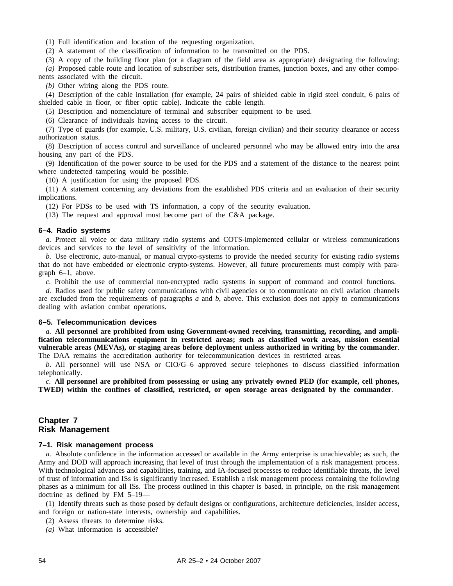(1) Full identification and location of the requesting organization.

(2) A statement of the classification of information to be transmitted on the PDS.

(3) A copy of the building floor plan (or a diagram of the field area as appropriate) designating the following: *(a)* Proposed cable route and location of subscriber sets, distribution frames, junction boxes, and any other compo-

nents associated with the circuit.

*(b)* Other wiring along the PDS route.

(4) Description of the cable installation (for example, 24 pairs of shielded cable in rigid steel conduit, 6 pairs of shielded cable in floor, or fiber optic cable). Indicate the cable length.

(5) Description and nomenclature of terminal and subscriber equipment to be used.

(6) Clearance of individuals having access to the circuit.

(7) Type of guards (for example, U.S. military, U.S. civilian, foreign civilian) and their security clearance or access authorization status.

(8) Description of access control and surveillance of uncleared personnel who may be allowed entry into the area housing any part of the PDS.

(9) Identification of the power source to be used for the PDS and a statement of the distance to the nearest point where undetected tampering would be possible.

(10) A justification for using the proposed PDS.

(11) A statement concerning any deviations from the established PDS criteria and an evaluation of their security implications.

(12) For PDSs to be used with TS information, a copy of the security evaluation.

(13) The request and approval must become part of the C&A package.

#### **6–4. Radio systems**

*a.* Protect all voice or data military radio systems and COTS-implemented cellular or wireless communications devices and services to the level of sensitivity of the information.

*b.* Use electronic, auto-manual, or manual crypto-systems to provide the needed security for existing radio systems that do not have embedded or electronic crypto-systems. However, all future procurements must comply with paragraph 6–1, above.

*c.* Prohibit the use of commercial non-encrypted radio systems in support of command and control functions.

*d.* Radios used for public safety communications with civil agencies or to communicate on civil aviation channels are excluded from the requirements of paragraphs *a* and *b*, above. This exclusion does not apply to communications dealing with aviation combat operations.

## **6–5. Telecommunication devices**

*a.* **All personnel are prohibited from using Government-owned receiving, transmitting, recording, and amplification telecommunications equipment in restricted areas; such as classified work areas, mission essential vulnerable areas (MEVAs), or staging areas before deployment unless authorized in writing by the commander**. The DAA remains the accreditation authority for telecommunication devices in restricted areas.

*b*. All personnel will use NSA or CIO/G–6 approved secure telephones to discuss classified information telephonically.

*c.* **All personnel are prohibited from possessing or using any privately owned PED (for example, cell phones, TWED) within the confines of classified, restricted, or open storage areas designated by the commander**.

## **Chapter 7 Risk Management**

#### **7–1. Risk management process**

*a.* Absolute confidence in the information accessed or available in the Army enterprise is unachievable; as such, the Army and DOD will approach increasing that level of trust through the implementation of a risk management process. With technological advances and capabilities, training, and IA-focused processes to reduce identifiable threats, the level of trust of information and ISs is significantly increased. Establish a risk management process containing the following phases as a minimum for all ISs. The process outlined in this chapter is based, in principle, on the risk management doctrine as defined by FM 5–19—

(1) Identify threats such as those posed by default designs or configurations, architecture deficiencies, insider access, and foreign or nation-state interests, ownership and capabilities.

- (2) Assess threats to determine risks.
- *(a)* What information is accessible?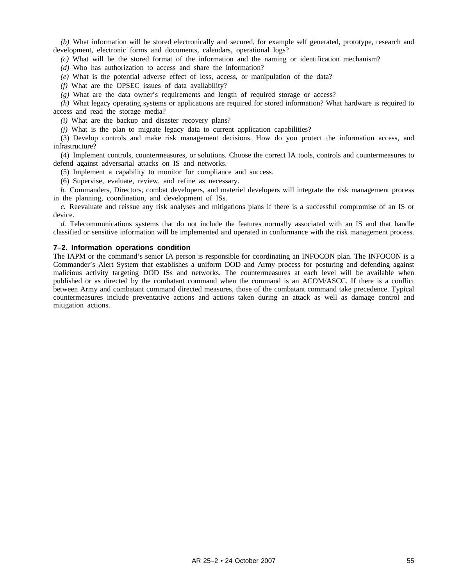*(b)* What information will be stored electronically and secured, for example self generated, prototype, research and development, electronic forms and documents, calendars, operational logs?

*(c)* What will be the stored format of the information and the naming or identification mechanism?

*(d)* Who has authorization to access and share the information?

*(e)* What is the potential adverse effect of loss, access, or manipulation of the data?

*(f)* What are the OPSEC issues of data availability?

*(g)* What are the data owner's requirements and length of required storage or access?

*(h)* What legacy operating systems or applications are required for stored information? What hardware is required to access and read the storage media?

*(i)* What are the backup and disaster recovery plans?

*(j)* What is the plan to migrate legacy data to current application capabilities?

(3) Develop controls and make risk management decisions. How do you protect the information access, and infrastructure?

(4) Implement controls, countermeasures, or solutions. Choose the correct IA tools, controls and countermeasures to defend against adversarial attacks on IS and networks.

(5) Implement a capability to monitor for compliance and success.

(6) Supervise, evaluate, review, and refine as necessary.

*b.* Commanders, Directors, combat developers, and materiel developers will integrate the risk management process in the planning, coordination, and development of ISs.

*c.* Reevaluate and reissue any risk analyses and mitigations plans if there is a successful compromise of an IS or device.

*d.* Telecommunications systems that do not include the features normally associated with an IS and that handle classified or sensitive information will be implemented and operated in conformance with the risk management process.

## **7–2. Information operations condition**

The IAPM or the command's senior IA person is responsible for coordinating an INFOCON plan. The INFOCON is a Commander's Alert System that establishes a uniform DOD and Army process for posturing and defending against malicious activity targeting DOD ISs and networks. The countermeasures at each level will be available when published or as directed by the combatant command when the command is an ACOM/ASCC. If there is a conflict between Army and combatant command directed measures, those of the combatant command take precedence. Typical countermeasures include preventative actions and actions taken during an attack as well as damage control and mitigation actions.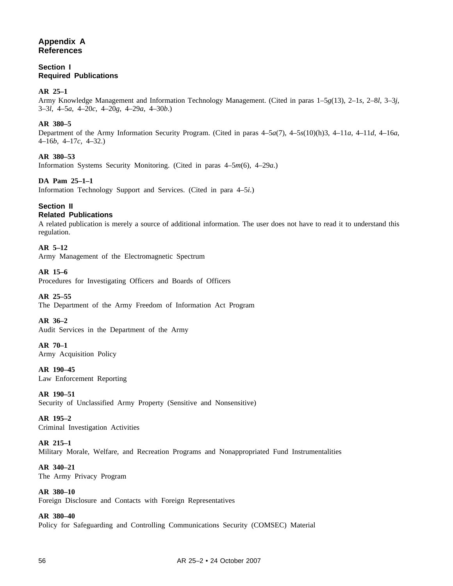# **Appendix A References**

## **Section I Required Publications**

# **AR 25–1**

Army Knowledge Management and Information Technology Management. (Cited in paras 1–5*g*(13), 2–1*s*, 2–8*l*, 3–3*j*, 3–3*l*, 4–5*a*, 4–20*c*, 4–20*g*, 4–29*a*, 4–30*b*.)

## **AR 380–5**

Department of the Army Information Security Program. (Cited in paras 4–5*a*(7), 4–5*s*(10)(h)3, 4–11*a*, 4–11*d*, 4–16*a*, 4–16*b*, 4–17*c*, 4–32.)

**AR 380–53**

Information Systems Security Monitoring. (Cited in paras 4–5*m*(6), 4–29*a*.)

**DA Pam 25–1–1**

Information Technology Support and Services. (Cited in para 4–5*i*.)

# **Section II**

## **Related Publications**

A related publication is merely a source of additional information. The user does not have to read it to understand this regulation.

## **AR 5–12**

Army Management of the Electromagnetic Spectrum

## **AR 15–6**

Procedures for Investigating Officers and Boards of Officers

**AR 25–55**

The Department of the Army Freedom of Information Act Program

## **AR 36–2**

Audit Services in the Department of the Army

# **AR 70–1**

Army Acquisition Policy

**AR 190–45** Law Enforcement Reporting

**AR 190–51** Security of Unclassified Army Property (Sensitive and Nonsensitive)

# **AR 195–2**

Criminal Investigation Activities

## **AR 215–1**

Military Morale, Welfare, and Recreation Programs and Nonappropriated Fund Instrumentalities

## **AR 340–21** The Army Privacy Program

**AR 380–10** Foreign Disclosure and Contacts with Foreign Representatives

## **AR 380–40**

Policy for Safeguarding and Controlling Communications Security (COMSEC) Material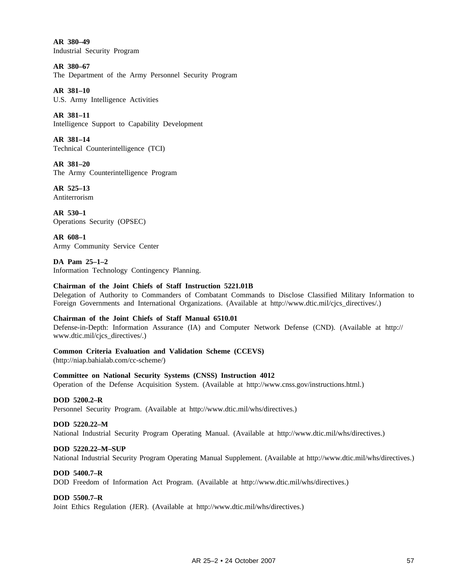**AR 380–49** Industrial Security Program

**AR 380–67** The Department of the Army Personnel Security Program

**AR 381–10** U.S. Army Intelligence Activities

**AR 381–11** Intelligence Support to Capability Development

**AR 381–14** Technical Counterintelligence (TCI)

**AR 381–20** The Army Counterintelligence Program

**AR 525–13** Antiterrorism

**AR 530–1** Operations Security (OPSEC)

**AR 608–1** Army Community Service Center

**DA Pam 25–1–2** Information Technology Contingency Planning.

## **Chairman of the Joint Chiefs of Staff Instruction 5221.01B**

Delegation of Authority to Commanders of Combatant Commands to Disclose Classified Military Information to Foreign Governments and International Organizations. (Available at http://www.dtic.mil/cjcs\_directives/.)

## **Chairman of the Joint Chiefs of Staff Manual 6510.01**

Defense-in-Depth: Information Assurance (IA) and Computer Network Defense (CND). (Available at http:// www.dtic.mil/cjcs\_directives/.)

**Common Criteria Evaluation and Validation Scheme (CCEVS)**

(http://niap.bahialab.com/cc-scheme/)

## **Committee on National Security Systems (CNSS) Instruction 4012**

Operation of the Defense Acquisition System. (Available at http://www.cnss.gov/instructions.html.)

## **DOD 5200.2–R**

Personnel Security Program. (Available at http://www.dtic.mil/whs/directives.)

## **DOD 5220.22–M**

National Industrial Security Program Operating Manual. (Available at http://www.dtic.mil/whs/directives.)

## **DOD 5220.22–M–SUP**

National Industrial Security Program Operating Manual Supplement. (Available at http://www.dtic.mil/whs/directives.)

## **DOD 5400.7–R**

DOD Freedom of Information Act Program. (Available at http://www.dtic.mil/whs/directives.)

## **DOD 5500.7–R**

Joint Ethics Regulation (JER). (Available at http://www.dtic.mil/whs/directives.)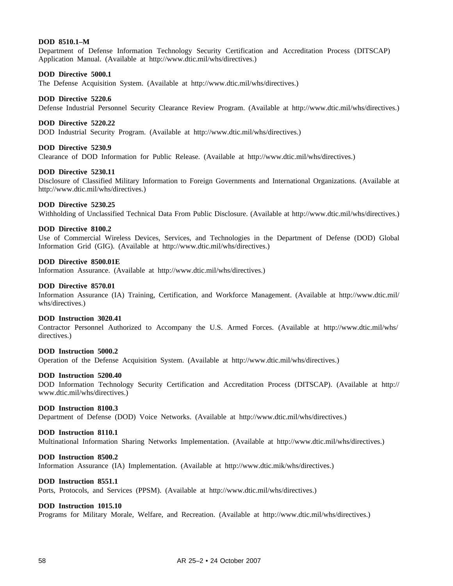## **DOD 8510.1–M**

Department of Defense Information Technology Security Certification and Accreditation Process (DITSCAP) Application Manual. (Available at http://www.dtic.mil/whs/directives.)

#### **DOD Directive 5000.1**

The Defense Acquisition System. (Available at http://www.dtic.mil/whs/directives.)

#### **DOD Directive 5220.6**

Defense Industrial Personnel Security Clearance Review Program. (Available at http://www.dtic.mil/whs/directives.)

#### **DOD Directive 5220.22**

DOD Industrial Security Program. (Available at http://www.dtic.mil/whs/directives.)

## **DOD Directive 5230.9**

Clearance of DOD Information for Public Release. (Available at http://www.dtic.mil/whs/directives.)

#### **DOD Directive 5230.11**

Disclosure of Classified Military Information to Foreign Governments and International Organizations. (Available at http://www.dtic.mil/whs/directives.)

#### **DOD Directive 5230.25**

Withholding of Unclassified Technical Data From Public Disclosure. (Available at http://www.dtic.mil/whs/directives.)

#### **DOD Directive 8100.2**

Use of Commercial Wireless Devices, Services, and Technologies in the Department of Defense (DOD) Global Information Grid (GIG). (Available at http://www.dtic.mil/whs/directives.)

#### **DOD Directive 8500.01E**

Information Assurance. (Available at http://www.dtic.mil/whs/directives.)

#### **DOD Directive 8570.01**

Information Assurance (IA) Training, Certification, and Workforce Management. (Available at http://www.dtic.mil/ whs/directives.)

## **DOD Instruction 3020.41**

Contractor Personnel Authorized to Accompany the U.S. Armed Forces. (Available at http://www.dtic.mil/whs/ directives.)

## **DOD Instruction 5000.2**

Operation of the Defense Acquisition System. (Available at http://www.dtic.mil/whs/directives.)

#### **DOD Instruction 5200.40**

DOD Information Technology Security Certification and Accreditation Process (DITSCAP). (Available at http:// www.dtic.mil/whs/directives.)

#### **DOD Instruction 8100.3**

Department of Defense (DOD) Voice Networks. (Available at http://www.dtic.mil/whs/directives.)

## **DOD Instruction 8110.1**

Multinational Information Sharing Networks Implementation. (Available at http://www.dtic.mil/whs/directives.)

#### **DOD Instruction 8500.2**

Information Assurance (IA) Implementation. (Available at http://www.dtic.mik/whs/directives.)

#### **DOD Instruction 8551.1**

Ports, Protocols, and Services (PPSM). (Available at http://www.dtic.mil/whs/directives.)

#### **DOD Instruction 1015.10**

Programs for Military Morale, Welfare, and Recreation. (Available at http://www.dtic.mil/whs/directives.)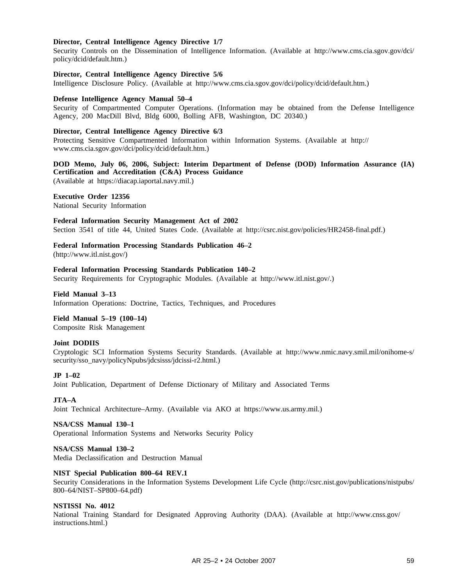## **Director, Central Intelligence Agency Directive 1/7**

Security Controls on the Dissemination of Intelligence Information. (Available at http://www.cms.cia.sgov.gov/dci/ policy/dcid/default.htm.)

## **Director, Central Intelligence Agency Directive 5/6**

Intelligence Disclosure Policy. (Available at http://www.cms.cia.sgov.gov/dci/policy/dcid/default.htm.)

#### **Defense Intelligence Agency Manual 50–4**

Security of Compartmented Computer Operations. (Information may be obtained from the Defense Intelligence Agency, 200 MacDill Blvd, Bldg 6000, Bolling AFB, Washington, DC 20340.)

## **Director, Central Intelligence Agency Directive 6/3**

Protecting Sensitive Compartmented Information within Information Systems. (Available at http:// www.cms.cia.sgov.gov/dci/policy/dcid/default.htm.)

#### **DOD Memo, July 06, 2006, Subject: Interim Department of Defense (DOD) Information Assurance (IA) Certification and Accreditation (C&A) Process Guidance**

(Available at https://diacap.iaportal.navy.mil.)

#### **Executive Order 12356**

National Security Information

## **Federal Information Security Management Act of 2002**

Section 3541 of title 44, United States Code. (Available at http://csrc.nist.gov/policies/HR2458-final.pdf.)

## **Federal Information Processing Standards Publication 46–2**

(http://www.itl.nist.gov/)

## **Federal Information Processing Standards Publication 140–2** Security Requirements for Cryptographic Modules. (Available at http://www.itl.nist.gov/.)

**Field Manual 3–13** Information Operations: Doctrine, Tactics, Techniques, and Procedures

# **Field Manual 5–19 (100–14)**

Composite Risk Management

## **Joint DODIIS**

Cryptologic SCI Information Systems Security Standards. (Available at http://www.nmic.navy.smil.mil/onihome-s/ security/sso\_navy/policyNpubs/jdcsisss/jdcissi-r2.html.)

#### **JP 1–02**

Joint Publication, Department of Defense Dictionary of Military and Associated Terms

#### **JTA–A**

Joint Technical Architecture–Army. (Available via AKO at https://www.us.army.mil.)

## **NSA/CSS Manual 130–1**

Operational Information Systems and Networks Security Policy

## **NSA/CSS Manual 130–2**

Media Declassification and Destruction Manual

#### **NIST Special Publication 800–64 REV.1**

Security Considerations in the Information Systems Development Life Cycle (http://csrc.nist.gov/publications/nistpubs/ 800–64/NIST–SP800–64.pdf)

## **NSTISSI No. 4012**

National Training Standard for Designated Approving Authority (DAA). (Available at http://www.cnss.gov/ instructions.html.)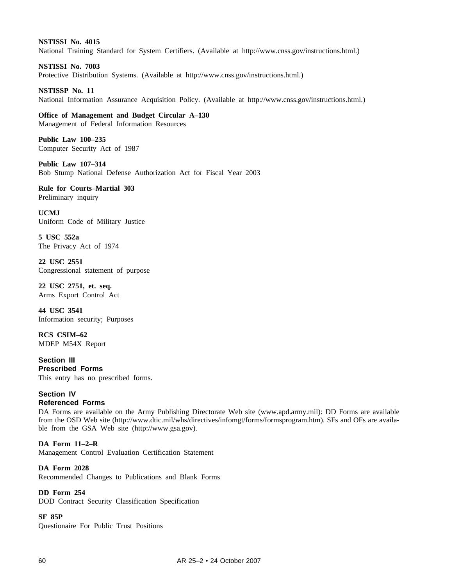## **NSTISSI No. 4015**

National Training Standard for System Certifiers. (Available at http://www.cnss.gov/instructions.html.)

**NSTISSI No. 7003** Protective Distribution Systems. (Available at http://www.cnss.gov/instructions.html.)

**NSTISSP No. 11** National Information Assurance Acquisition Policy. (Available at http://www.cnss.gov/instructions.html.)

**Office of Management and Budget Circular A–130** Management of Federal Information Resources

**Public Law 100–235** Computer Security Act of 1987

**Public Law 107–314** Bob Stump National Defense Authorization Act for Fiscal Year 2003

**Rule for Courts–Martial 303** Preliminary inquiry

**UCMJ** Uniform Code of Military Justice

**5 USC 552a** The Privacy Act of 1974

**22 USC 2551** Congressional statement of purpose

**22 USC 2751, et. seq.** Arms Export Control Act

**44 USC 3541** Information security; Purposes

**RCS CSIM–62** MDEP M54X Report

**Section III Prescribed Forms** This entry has no prescribed forms.

# **Section IV**

**Referenced Forms**

DA Forms are available on the Army Publishing Directorate Web site (www.apd.army.mil): DD Forms are available from the OSD Web site (http://www.dtic.mil/whs/directives/infomgt/forms/formsprogram.htm). SFs and OFs are available from the GSA Web site (http://www.gsa.gov).

**DA Form 11–2–R** Management Control Evaluation Certification Statement

**DA Form 2028** Recommended Changes to Publications and Blank Forms

**DD Form 254** DOD Contract Security Classification Specification

**SF 85P** Questionaire For Public Trust Positions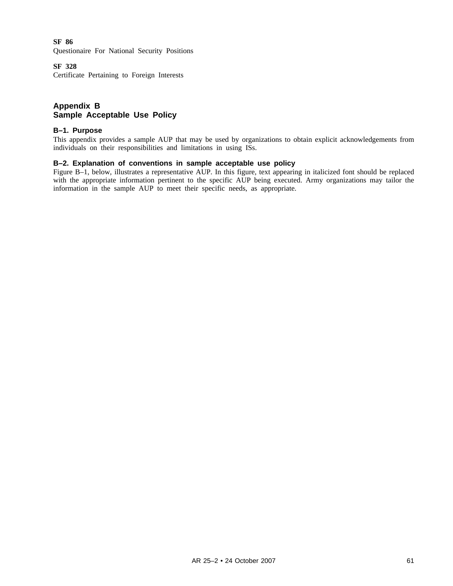**SF 86** Questionaire For National Security Positions

## **SF 328**

Certificate Pertaining to Foreign Interests

## **Appendix B Sample Acceptable Use Policy**

## **B–1. Purpose**

This appendix provides a sample AUP that may be used by organizations to obtain explicit acknowledgements from individuals on their responsibilities and limitations in using ISs.

## **B–2. Explanation of conventions in sample acceptable use policy**

Figure B–1, below, illustrates a representative AUP. In this figure, text appearing in italicized font should be replaced with the appropriate information pertinent to the specific AUP being executed. Army organizations may tailor the information in the sample AUP to meet their specific needs, as appropriate.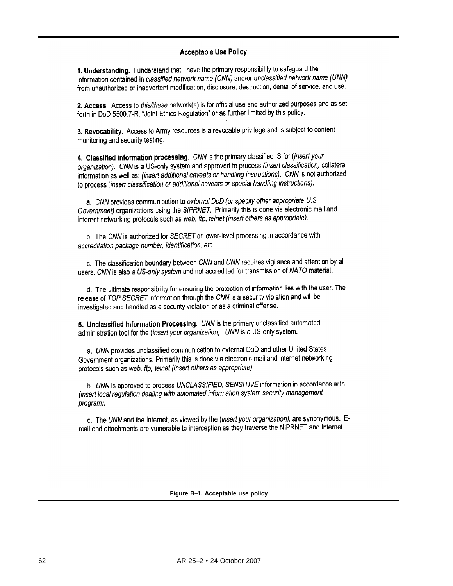## **Acceptable Use Policy**

1. Understanding. I understand that I have the primary responsibility to safeguard the information contained in classified network name (CNN) and/or unclassified network name (UNN) from unauthorized or inadvertent modification, disclosure, destruction, denial of service, and use.

2. Access. Access to this/these network(s) is for official use and authorized purposes and as set forth in DoD 5500.7-R, "Joint Ethics Regulation" or as further limited by this policy.

3. Revocability. Access to Army resources is a revocable privilege and is subject to content monitoring and security testing.

4. Classified information processing. CNN is the primary classified IS for (insert your organization). CNN is a US-only system and approved to process (insert classification) collateral information as well as: (insert additional caveats or handling instructions). CNN is not authorized to process (insert classification or additional caveats or special handling instructions).

a. CNN provides communication to external DoD (or specify other appropriate U.S. Government) organizations using the SIPRNET. Primarily this is done via electronic mail and internet networking protocols such as web, ftp, telnet (insert others as appropriate).

b. The CNN is authorized for SECRET or lower-level processing in accordance with accreditation package number, identification, etc.

c. The classification boundary between CNN and UNN requires vigilance and attention by all users. CNN is also a US-only system and not accredited for transmission of NATO material.

d. The ultimate responsibility for ensuring the protection of information lies with the user. The release of TOP SECRET information through the CNN is a security violation and will be investigated and handled as a security violation or as a criminal offense.

5. Unclassified Information Processing. UNN is the primary unclassified automated administration tool for the (insert your organization). UNN is a US-only system.

a. UNN provides unclassified communication to external DoD and other United States Government organizations. Primarily this is done via electronic mail and internet networking protocols such as web, flp, telnet (insert others as appropriate).

b. UNN is approved to process UNCLASSIFIED, SENSITIVE information in accordance with (insert local regulation dealing with automated information system security management program).

c. The UNN and the Internet, as viewed by the (insert your organization), are synonymous. Email and attachments are vulnerable to interception as they traverse the NIPRNET and Internet.

**Figure B–1. Acceptable use policy**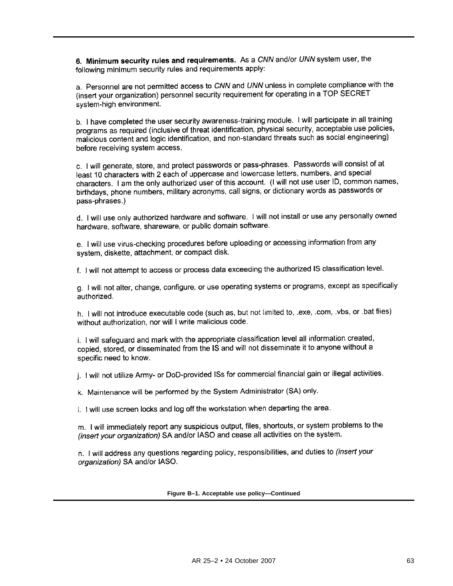6. Minimum security rules and requirements. As a CNN and/or UNN system user, the following minimum security rules and requirements apply:

a. Personnel are not permitted access to CNN and UNN unless in complete compliance with the (insert your organization) personnel security requirement for operating in a TOP SECRET system-high environment.

b. I have completed the user security awareness-training module. I will participate in all training programs as required (inclusive of threat identification, physical security, acceptable use policies, malicious content and logic identification, and non-standard threats such as social engineering) before receiving system access.

c. I will generate, store, and protect passwords or pass-phrases. Passwords will consist of at least 10 characters with 2 each of uppercase and lowercase letters, numbers, and special characters. I am the only authorized user of this account. (I will not use user ID, common names, birthdays, phone numbers, military acronyms, call signs, or dictionary words as passwords or pass-phrases.)

d. I will use only authorized hardware and software. I will not install or use any personally owned hardware, software, shareware, or public domain software.

e. I will use virus-checking procedures before uploading or accessing information from any system, diskette, attachment, or compact disk.

f. I will not attempt to access or process data exceeding the authorized IS classification level.

g. I will not alter, change, configure, or use operating systems or programs, except as specifically authorized.

h. I will not introduce executable code (such as, but not limited to, .exe, .com, .vbs, or .bat files) without authorization, nor will I write malicious code.

i. I will safeguard and mark with the appropriate classification level all information created, copied, stored, or disseminated from the IS and will not disseminate it to anyone without a specific need to know.

j. I will not utilize Army- or DoD-provided ISs for commercial financial gain or illegal activities.

k. Maintenance will be performed by the System Administrator (SA) only.

I. I will use screen locks and log off the workstation when departing the area.

m. I will immediately report any suspicious output, files, shortcuts, or system problems to the (insert your organization) SA and/or IASO and cease all activities on the system.

n. I will address any questions regarding policy, responsibilities, and duties to (insert your organization) SA and/or IASO.

**Figure B–1. Acceptable use policy—Continued**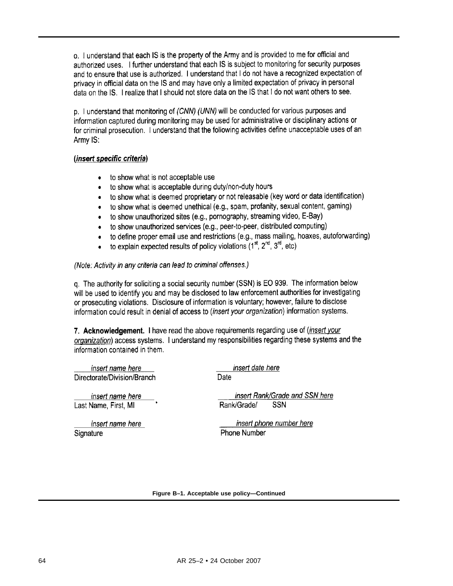o. I understand that each IS is the property of the Army and is provided to me for official and authorized uses. I further understand that each IS is subject to monitoring for security purposes and to ensure that use is authorized. I understand that I do not have a recognized expectation of privacy in official data on the IS and may have only a limited expectation of privacy in personal data on the IS. I realize that I should not store data on the IS that I do not want others to see.

p. I understand that monitoring of (CNN) (UNN) will be conducted for various purposes and information captured during monitoring may be used for administrative or disciplinary actions or for criminal prosecution. I understand that the following activities define unacceptable uses of an Army IS:

# (insert specific criteria)

- to show what is not acceptable use  $\bullet$
- to show what is acceptable during duty/non-duty hours
- to show what is deemed proprietary or not releasable (key word or data identification)
- to show what is deemed unethical (e.g., spam, profanity, sexual content, gaming)
- to show unauthorized sites (e.g., pornography, streaming video, E-Bay)
- to show unauthorized services (e.g., peer-to-peer, distributed computing)
- to define proper email use and restrictions (e.g., mass mailing, hoaxes, autoforwarding)
- to explain expected results of policy violations  $(1<sup>st</sup>, 2<sup>nd</sup>, 3<sup>rd</sup>, etc)$

# (Note: Activity in any criteria can lead to criminal offenses.)

q. The authority for soliciting a social security number (SSN) is EO 939. The information below will be used to identify you and may be disclosed to law enforcement authorities for investigating or prosecuting violations. Disclosure of information is voluntary; however, failure to disclose information could result in denial of access to (insert your organization) information systems.

7. Acknowledgement. I have read the above requirements regarding use of (*insert your* organization) access systems. I understand my responsibilities regarding these systems and the information contained in them.

insert name here Directorate/Division/Branch

insert name here Last Name, First, MI

insert name here Signature

insert date here

Date

insert Rank/Grade and SSN here Rank/Grade/ SSN

insert phone number here **Phone Number** 

**Figure B–1. Acceptable use policy—Continued**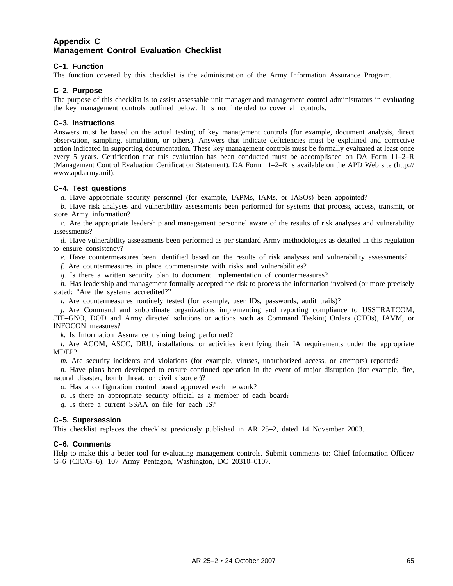## **Appendix C Management Control Evaluation Checklist**

## **C–1. Function**

The function covered by this checklist is the administration of the Army Information Assurance Program.

## **C–2. Purpose**

The purpose of this checklist is to assist assessable unit manager and management control administrators in evaluating the key management controls outlined below. It is not intended to cover all controls.

## **C–3. Instructions**

Answers must be based on the actual testing of key management controls (for example, document analysis, direct observation, sampling, simulation, or others). Answers that indicate deficiencies must be explained and corrective action indicated in supporting documentation. These key management controls must be formally evaluated at least once every 5 years. Certification that this evaluation has been conducted must be accomplished on DA Form 11–2–R (Management Control Evaluation Certification Statement). DA Form 11–2–R is available on the APD Web site (http:// www.apd.army.mil).

## **C–4. Test questions**

*a.* Have appropriate security personnel (for example, IAPMs, IAMs, or IASOs) been appointed?

*b.* Have risk analyses and vulnerability assessments been performed for systems that process, access, transmit, or store Army information?

*c.* Are the appropriate leadership and management personnel aware of the results of risk analyses and vulnerability assessments?

*d.* Have vulnerability assessments been performed as per standard Army methodologies as detailed in this regulation to ensure consistency?

*e.* Have countermeasures been identified based on the results of risk analyses and vulnerability assessments?

*f.* Are countermeasures in place commensurate with risks and vulnerabilities?

*g.* Is there a written security plan to document implementation of countermeasures?

*h.* Has leadership and management formally accepted the risk to process the information involved (or more precisely stated: "Are the systems accredited?"

*i.* Are countermeasures routinely tested (for example, user IDs, passwords, audit trails)?

*j.* Are Command and subordinate organizations implementing and reporting compliance to USSTRATCOM, JTF–GNO, DOD and Army directed solutions or actions such as Command Tasking Orders (CTOs), IAVM, or INFOCON measures?

*k.* Is Information Assurance training being performed?

*l.* Are ACOM, ASCC, DRU, installations, or activities identifying their IA requirements under the appropriate MDEP?

*m.* Are security incidents and violations (for example, viruses, unauthorized access, or attempts) reported?

*n.* Have plans been developed to ensure continued operation in the event of major disruption (for example, fire, natural disaster, bomb threat, or civil disorder)?

*o.* Has a configuration control board approved each network?

*p.* Is there an appropriate security official as a member of each board?

*q.* Is there a current SSAA on file for each IS?

## **C–5. Supersession**

This checklist replaces the checklist previously published in AR 25–2, dated 14 November 2003.

## **C–6. Comments**

Help to make this a better tool for evaluating management controls. Submit comments to: Chief Information Officer/ G–6 (CIO/G–6), 107 Army Pentagon, Washington, DC 20310–0107.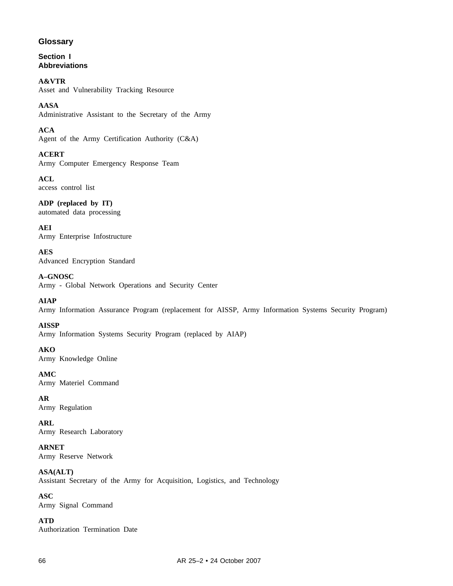# **Glossary**

# **Section I Abbreviations**

**A&VTR** Asset and Vulnerability Tracking Resource

**AASA** Administrative Assistant to the Secretary of the Army

**ACA** Agent of the Army Certification Authority (C&A)

**ACERT** Army Computer Emergency Response Team

**ACL** access control list

**ADP (replaced by IT)** automated data processing

**AEI** Army Enterprise Infostructure

**AES** Advanced Encryption Standard

# **A–GNOSC**

Army - Global Network Operations and Security Center

## **AIAP**

Army Information Assurance Program (replacement for AISSP, Army Information Systems Security Program)

## **AISSP**

Army Information Systems Security Program (replaced by AIAP)

## **AKO**

Army Knowledge Online

## **AMC**

Army Materiel Command

## **AR**

Army Regulation

## **ARL**

Army Research Laboratory

**ARNET** Army Reserve Network

## **ASA(ALT)**

Assistant Secretary of the Army for Acquisition, Logistics, and Technology

**ASC** Army Signal Command

# **ATD**

Authorization Termination Date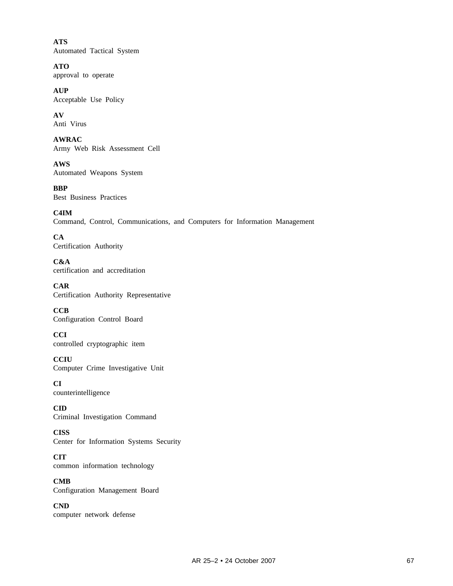**ATS** Automated Tactical System

**ATO** approval to operate

**AUP** Acceptable Use Policy

**AV** Anti Virus

**AWRAC** Army Web Risk Assessment Cell

**AWS** Automated Weapons System

**BBP** Best Business Practices

**C4IM** Command, Control, Communications, and Computers for Information Management

**CA** Certification Authority

**C&A** certification and accreditation

**CAR** Certification Authority Representative

**CCB** Configuration Control Board

**CCI** controlled cryptographic item

**CCIU** Computer Crime Investigative Unit

**CI** counterintelligence

**CID** Criminal Investigation Command

**CISS** Center for Information Systems Security

**CIT** common information technology

**CMB** Configuration Management Board

**CND** computer network defense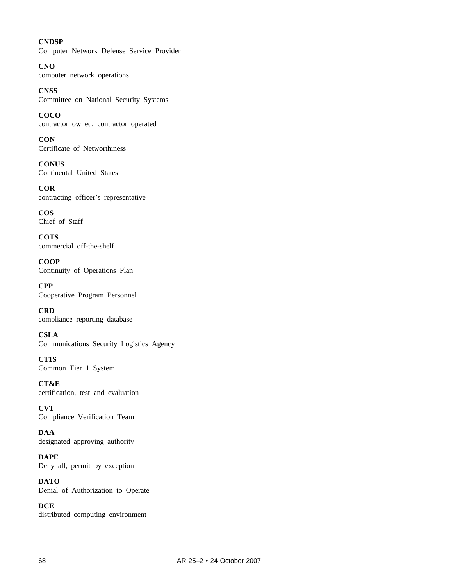# **CNDSP** Computer Network Defense Service Provider

**CNO** computer network operations

**CNSS** Committee on National Security Systems

**COCO** contractor owned, contractor operated

**CON** Certificate of Networthiness

**CONUS** Continental United States

**COR** contracting officer's representative

**COS** Chief of Staff

**COTS** commercial off-the-shelf

**COOP** Continuity of Operations Plan

**CPP** Cooperative Program Personnel

**CRD** compliance reporting database

**CSLA** Communications Security Logistics Agency

**CT1S** Common Tier 1 System

**CT&E** certification, test and evaluation

**CVT** Compliance Verification Team

**DAA** designated approving authority

**DAPE** Deny all, permit by exception

**DATO** Denial of Authorization to Operate

**DCE** distributed computing environment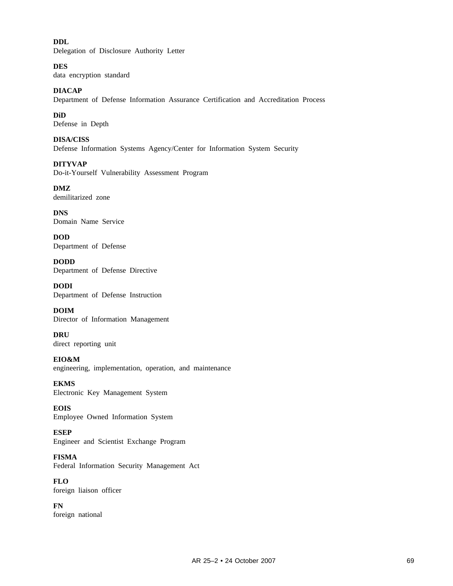**DDL** Delegation of Disclosure Authority Letter

**DES** data encryption standard

**DIACAP** Department of Defense Information Assurance Certification and Accreditation Process

**DiD** Defense in Depth

**DISA/CISS** Defense Information Systems Agency/Center for Information System Security

**DITYVAP** Do-it-Yourself Vulnerability Assessment Program

**DMZ** demilitarized zone

**DNS** Domain Name Service

**DOD** Department of Defense

**DODD** Department of Defense Directive

**DODI** Department of Defense Instruction

**DOIM** Director of Information Management

**DRU** direct reporting unit

**EIO&M** engineering, implementation, operation, and maintenance

**EKMS** Electronic Key Management System

**EOIS** Employee Owned Information System

**ESEP** Engineer and Scientist Exchange Program

**FISMA** Federal Information Security Management Act

**FLO** foreign liaison officer

**FN** foreign national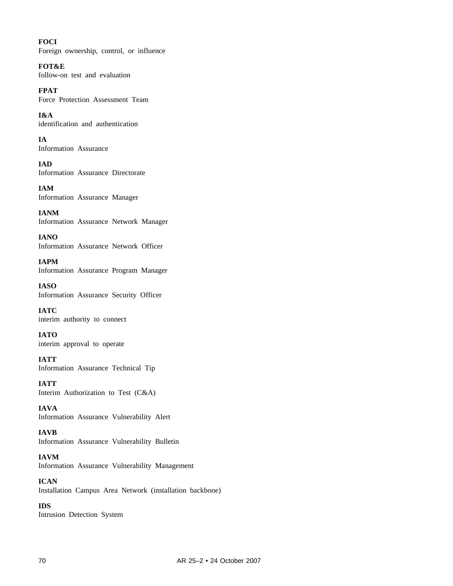# **FOCI** Foreign ownership, control, or influence

**FOT&E** follow-on test and evaluation

**FPAT** Force Protection Assessment Team

**I&A** identification and authentication

**IA** Information Assurance

**IAD** Information Assurance Directorate

**IAM** Information Assurance Manager

**IANM** Information Assurance Network Manager

**IANO** Information Assurance Network Officer

**IAPM** Information Assurance Program Manager

**IASO** Information Assurance Security Officer

**IATC** interim authority to connect

**IATO** interim approval to operate

**IATT** Information Assurance Technical Tip

**IATT** Interim Authorization to Test (C&A)

**IAVA** Information Assurance Vulnerability Alert

**IAVB** Information Assurance Vulnerability Bulletin

**IAVM** Information Assurance Vulnerability Management

**ICAN** Installation Campus Area Network (installation backbone)

**IDS** Intrusion Detection System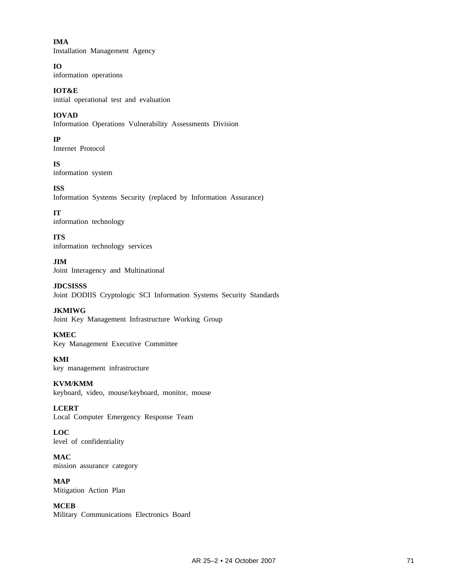**IMA** Installation Management Agency

**IO** information operations

**IOT&E** initial operational test and evaluation

**IOVAD** Information Operations Vulnerability Assessments Division

**IP** Internet Protocol

**IS** information system

**ISS** Information Systems Security (replaced by Information Assurance)

**IT** information technology

**ITS** information technology services

**JIM** Joint Interagency and Multinational

**JDCSISSS** Joint DODIIS Cryptologic SCI Information Systems Security Standards

**JKMIWG** Joint Key Management Infrastructure Working Group

**KMEC** Key Management Executive Committee

**KMI** key management infrastructure

**KVM/KMM** keyboard, video, mouse/keyboard, monitor, mouse

**LCERT** Local Computer Emergency Response Team

**LOC** level of confidentiality

**MAC** mission assurance category

**MAP** Mitigation Action Plan

**MCEB** Military Communications Electronics Board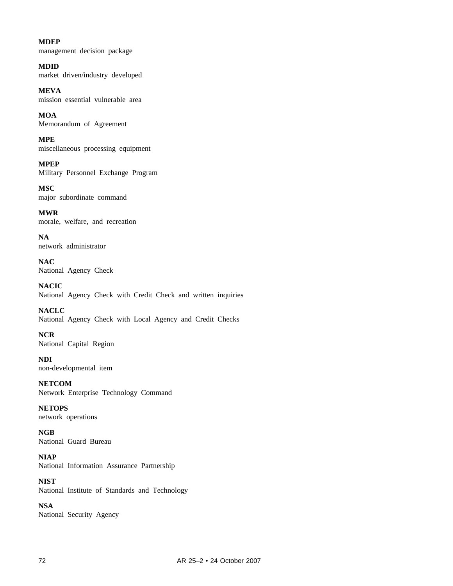# **MDEP** management decision package

**MDID** market driven/industry developed

**MEVA** mission essential vulnerable area

**MOA** Memorandum of Agreement

**MPE** miscellaneous processing equipment

**MPEP** Military Personnel Exchange Program

**MSC** major subordinate command

**MWR** morale, welfare, and recreation

**NA** network administrator

**NAC** National Agency Check

**NACIC** National Agency Check with Credit Check and written inquiries

**NACLC** National Agency Check with Local Agency and Credit Checks

**NCR** National Capital Region

**NDI** non-developmental item

**NETCOM** Network Enterprise Technology Command

**NETOPS** network operations

**NGB** National Guard Bureau

**NIAP** National Information Assurance Partnership

**NIST** National Institute of Standards and Technology

**NSA** National Security Agency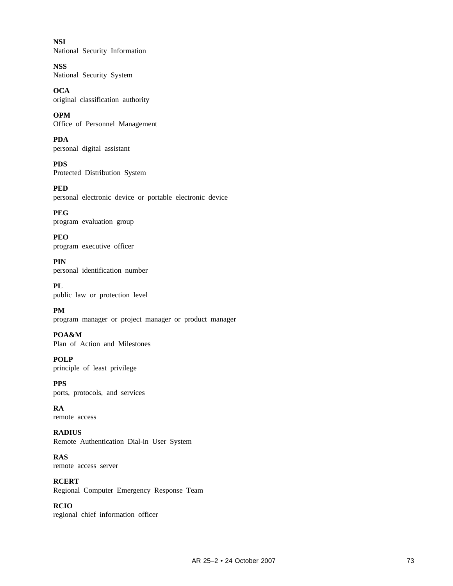**NSI** National Security Information

**NSS** National Security System

**OCA** original classification authority

**OPM** Office of Personnel Management

**PDA** personal digital assistant

**PDS** Protected Distribution System

**PED** personal electronic device or portable electronic device

**PEG** program evaluation group

**PEO** program executive officer

**PIN** personal identification number

**PL** public law or protection level

**PM** program manager or project manager or product manager

**POA&M** Plan of Action and Milestones

**POLP** principle of least privilege

**PPS** ports, protocols, and services

**RA** remote access

**RADIUS** Remote Authentication Dial-in User System

**RAS** remote access server

**RCERT** Regional Computer Emergency Response Team

**RCIO** regional chief information officer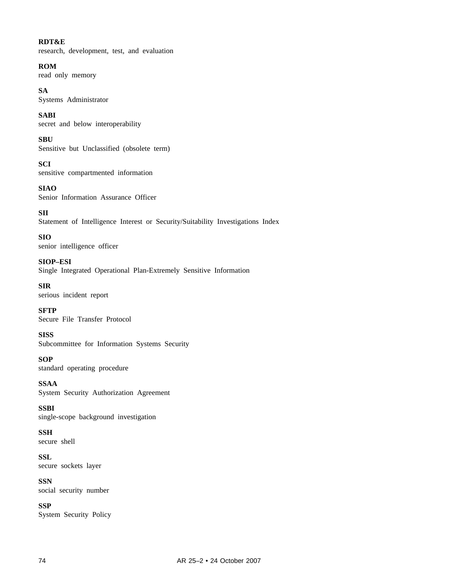# **RDT&E**

research, development, test, and evaluation

#### **ROM**

read only memory

# **SA**

Systems Administrator

**SABI** secret and below interoperability

#### **SBU**

Sensitive but Unclassified (obsolete term)

# **SCI** sensitive compartmented information

**SIAO** Senior Information Assurance Officer

# **SII**

Statement of Intelligence Interest or Security/Suitability Investigations Index

# **SIO**

senior intelligence officer

# **SIOP–ESI**

Single Integrated Operational Plan-Extremely Sensitive Information

# **SIR**

serious incident report

#### **SFTP** Secure File Transfer Protocol

**SISS**

# Subcommittee for Information Systems Security

**SOP** standard operating procedure

# **SSAA** System Security Authorization Agreement

**SSBI** single-scope background investigation

# **SSH**

secure shell

#### **SSL** secure sockets layer

**SSN** social security number

# **SSP** System Security Policy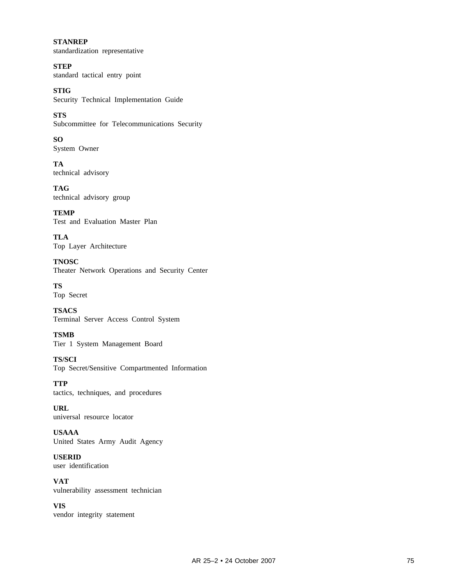**STANREP** standardization representative

**STEP** standard tactical entry point

**STIG** Security Technical Implementation Guide

**STS** Subcommittee for Telecommunications Security

**SO** System Owner

**TA** technical advisory

**TAG** technical advisory group

**TEMP** Test and Evaluation Master Plan

**TLA** Top Layer Architecture

**TNOSC** Theater Network Operations and Security Center

**TS** Top Secret

**TSACS** Terminal Server Access Control System

**TSMB** Tier 1 System Management Board

**TS/SCI** Top Secret/Sensitive Compartmented Information

**TTP** tactics, techniques, and procedures

**URL** universal resource locator

**USAAA** United States Army Audit Agency

**USERID** user identification

**VAT** vulnerability assessment technician

**VIS** vendor integrity statement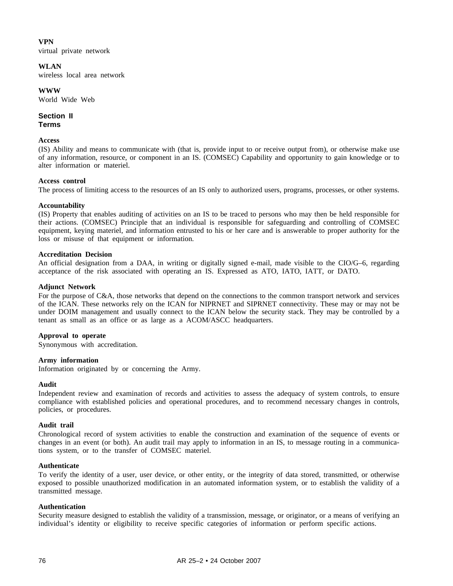# **VPN**

virtual private network

# **WLAN**

wireless local area network

# **WWW**

World Wide Web

#### **Section II Terms**

#### **Access**

(IS) Ability and means to communicate with (that is, provide input to or receive output from), or otherwise make use of any information, resource, or component in an IS. (COMSEC) Capability and opportunity to gain knowledge or to alter information or materiel.

#### **Access control**

The process of limiting access to the resources of an IS only to authorized users, programs, processes, or other systems.

#### **Accountability**

(IS) Property that enables auditing of activities on an IS to be traced to persons who may then be held responsible for their actions. (COMSEC) Principle that an individual is responsible for safeguarding and controlling of COMSEC equipment, keying materiel, and information entrusted to his or her care and is answerable to proper authority for the loss or misuse of that equipment or information.

#### **Accreditation Decision**

An official designation from a DAA, in writing or digitally signed e-mail, made visible to the CIO/G–6, regarding acceptance of the risk associated with operating an IS. Expressed as ATO, IATO, IATT, or DATO.

#### **Adjunct Network**

For the purpose of C&A, those networks that depend on the connections to the common transport network and services of the ICAN. These networks rely on the ICAN for NIPRNET and SIPRNET connectivity. These may or may not be under DOIM management and usually connect to the ICAN below the security stack. They may be controlled by a tenant as small as an office or as large as a ACOM/ASCC headquarters.

#### **Approval to operate**

Synonymous with accreditation.

#### **Army information**

Information originated by or concerning the Army.

#### **Audit**

Independent review and examination of records and activities to assess the adequacy of system controls, to ensure compliance with established policies and operational procedures, and to recommend necessary changes in controls, policies, or procedures.

#### **Audit trail**

Chronological record of system activities to enable the construction and examination of the sequence of events or changes in an event (or both). An audit trail may apply to information in an IS, to message routing in a communications system, or to the transfer of COMSEC materiel.

#### **Authenticate**

To verify the identity of a user, user device, or other entity, or the integrity of data stored, transmitted, or otherwise exposed to possible unauthorized modification in an automated information system, or to establish the validity of a transmitted message.

# **Authentication**

Security measure designed to establish the validity of a transmission, message, or originator, or a means of verifying an individual's identity or eligibility to receive specific categories of information or perform specific actions.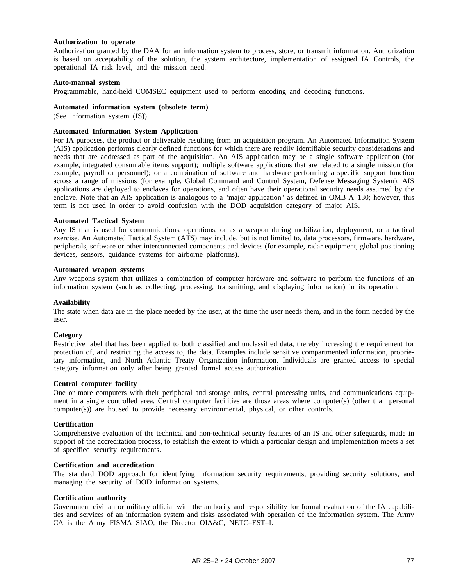#### **Authorization to operate**

Authorization granted by the DAA for an information system to process, store, or transmit information. Authorization is based on acceptability of the solution, the system architecture, implementation of assigned IA Controls, the operational IA risk level, and the mission need.

#### **Auto-manual system**

Programmable, hand-held COMSEC equipment used to perform encoding and decoding functions.

#### **Automated information system (obsolete term)**

(See information system (IS))

#### **Automated Information System Application**

For IA purposes, the product or deliverable resulting from an acquisition program. An Automated Information System (AIS) application performs clearly defined functions for which there are readily identifiable security considerations and needs that are addressed as part of the acquisition. An AIS application may be a single software application (for example, integrated consumable items support); multiple software applications that are related to a single mission (for example, payroll or personnel); or a combination of software and hardware performing a specific support function across a range of missions (for example, Global Command and Control System, Defense Messaging System). AIS applications are deployed to enclaves for operations, and often have their operational security needs assumed by the enclave. Note that an AIS application is analogous to a "major application" as defined in OMB A–130; however, this term is not used in order to avoid confusion with the DOD acquisition category of major AIS.

#### **Automated Tactical System**

Any IS that is used for communications, operations, or as a weapon during mobilization, deployment, or a tactical exercise. An Automated Tactical System (ATS) may include, but is not limited to, data processors, firmware, hardware, peripherals, software or other interconnected components and devices (for example, radar equipment, global positioning devices, sensors, guidance systems for airborne platforms).

#### **Automated weapon systems**

Any weapons system that utilizes a combination of computer hardware and software to perform the functions of an information system (such as collecting, processing, transmitting, and displaying information) in its operation.

#### **Availability**

The state when data are in the place needed by the user, at the time the user needs them, and in the form needed by the user.

#### **Category**

Restrictive label that has been applied to both classified and unclassified data, thereby increasing the requirement for protection of, and restricting the access to, the data. Examples include sensitive compartmented information, proprietary information, and North Atlantic Treaty Organization information. Individuals are granted access to special category information only after being granted formal access authorization.

#### **Central computer facility**

One or more computers with their peripheral and storage units, central processing units, and communications equipment in a single controlled area. Central computer facilities are those areas where computer(s) (other than personal computer(s)) are housed to provide necessary environmental, physical, or other controls.

#### **Certification**

Comprehensive evaluation of the technical and non-technical security features of an IS and other safeguards, made in support of the accreditation process, to establish the extent to which a particular design and implementation meets a set of specified security requirements.

#### **Certification and accreditation**

The standard DOD approach for identifying information security requirements, providing security solutions, and managing the security of DOD information systems.

#### **Certification authority**

Government civilian or military official with the authority and responsibility for formal evaluation of the IA capabilities and services of an information system and risks associated with operation of the information system. The Army CA is the Army FISMA SIAO, the Director OIA&C, NETC–EST–I.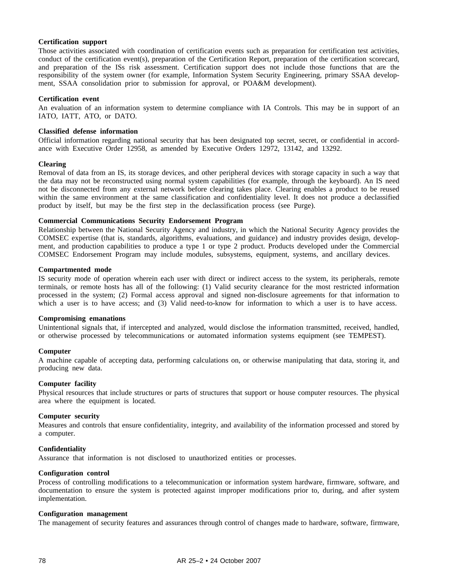#### **Certification support**

Those activities associated with coordination of certification events such as preparation for certification test activities, conduct of the certification event(s), preparation of the Certification Report, preparation of the certification scorecard, and preparation of the ISs risk assessment. Certification support does not include those functions that are the responsibility of the system owner (for example, Information System Security Engineering, primary SSAA development, SSAA consolidation prior to submission for approval, or POA&M development).

#### **Certification event**

An evaluation of an information system to determine compliance with IA Controls. This may be in support of an IATO, IATT, ATO, or DATO.

#### **Classified defense information**

Official information regarding national security that has been designated top secret, secret, or confidential in accordance with Executive Order 12958, as amended by Executive Orders 12972, 13142, and 13292.

#### **Clearing**

Removal of data from an IS, its storage devices, and other peripheral devices with storage capacity in such a way that the data may not be reconstructed using normal system capabilities (for example, through the keyboard). An IS need not be disconnected from any external network before clearing takes place. Clearing enables a product to be reused within the same environment at the same classification and confidentiality level. It does not produce a declassified product by itself, but may be the first step in the declassification process (see Purge).

#### **Commercial Communications Security Endorsement Program**

Relationship between the National Security Agency and industry, in which the National Security Agency provides the COMSEC expertise (that is, standards, algorithms, evaluations, and guidance) and industry provides design, development, and production capabilities to produce a type 1 or type 2 product. Products developed under the Commercial COMSEC Endorsement Program may include modules, subsystems, equipment, systems, and ancillary devices.

#### **Compartmented mode**

IS security mode of operation wherein each user with direct or indirect access to the system, its peripherals, remote terminals, or remote hosts has all of the following: (1) Valid security clearance for the most restricted information processed in the system; (2) Formal access approval and signed non-disclosure agreements for that information to which a user is to have access; and (3) Valid need-to-know for information to which a user is to have access.

#### **Compromising emanations**

Unintentional signals that, if intercepted and analyzed, would disclose the information transmitted, received, handled, or otherwise processed by telecommunications or automated information systems equipment (see TEMPEST).

#### **Computer**

A machine capable of accepting data, performing calculations on, or otherwise manipulating that data, storing it, and producing new data.

#### **Computer facility**

Physical resources that include structures or parts of structures that support or house computer resources. The physical area where the equipment is located.

#### **Computer security**

Measures and controls that ensure confidentiality, integrity, and availability of the information processed and stored by a computer.

#### **Confidentiality**

Assurance that information is not disclosed to unauthorized entities or processes.

#### **Configuration control**

Process of controlling modifications to a telecommunication or information system hardware, firmware, software, and documentation to ensure the system is protected against improper modifications prior to, during, and after system implementation.

#### **Configuration management**

The management of security features and assurances through control of changes made to hardware, software, firmware,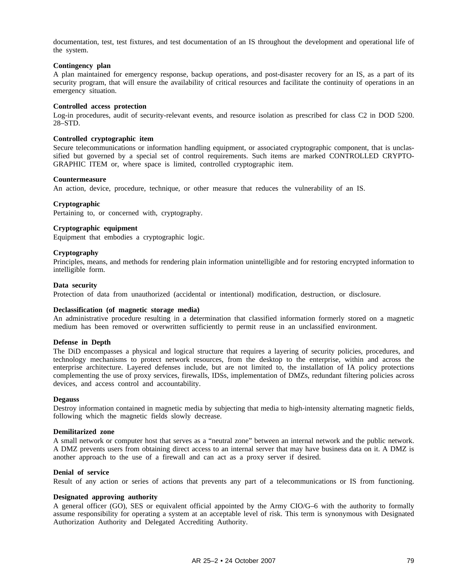documentation, test, test fixtures, and test documentation of an IS throughout the development and operational life of the system.

#### **Contingency plan**

A plan maintained for emergency response, backup operations, and post-disaster recovery for an IS, as a part of its security program, that will ensure the availability of critical resources and facilitate the continuity of operations in an emergency situation.

#### **Controlled access protection**

Log-in procedures, audit of security-relevant events, and resource isolation as prescribed for class C2 in DOD 5200. 28–STD.

#### **Controlled cryptographic item**

Secure telecommunications or information handling equipment, or associated cryptographic component, that is unclassified but governed by a special set of control requirements. Such items are marked CONTROLLED CRYPTO-GRAPHIC ITEM or, where space is limited, controlled cryptographic item.

#### **Countermeasure**

An action, device, procedure, technique, or other measure that reduces the vulnerability of an IS.

#### **Cryptographic**

Pertaining to, or concerned with, cryptography.

#### **Cryptographic equipment**

Equipment that embodies a cryptographic logic.

#### **Cryptography**

Principles, means, and methods for rendering plain information unintelligible and for restoring encrypted information to intelligible form.

#### **Data security**

Protection of data from unauthorized (accidental or intentional) modification, destruction, or disclosure.

#### **Declassification (of magnetic storage media)**

An administrative procedure resulting in a determination that classified information formerly stored on a magnetic medium has been removed or overwritten sufficiently to permit reuse in an unclassified environment.

#### **Defense in Depth**

The DiD encompasses a physical and logical structure that requires a layering of security policies, procedures, and technology mechanisms to protect network resources, from the desktop to the enterprise, within and across the enterprise architecture. Layered defenses include, but are not limited to, the installation of IA policy protections complementing the use of proxy services, firewalls, IDSs, implementation of DMZs, redundant filtering policies across devices, and access control and accountability.

#### **Degauss**

Destroy information contained in magnetic media by subjecting that media to high-intensity alternating magnetic fields, following which the magnetic fields slowly decrease.

#### **Demilitarized zone**

A small network or computer host that serves as a "neutral zone" between an internal network and the public network. A DMZ prevents users from obtaining direct access to an internal server that may have business data on it. A DMZ is another approach to the use of a firewall and can act as a proxy server if desired.

#### **Denial of service**

Result of any action or series of actions that prevents any part of a telecommunications or IS from functioning.

#### **Designated approving authority**

A general officer (GO), SES or equivalent official appointed by the Army CIO/G–6 with the authority to formally assume responsibility for operating a system at an acceptable level of risk. This term is synonymous with Designated Authorization Authority and Delegated Accrediting Authority.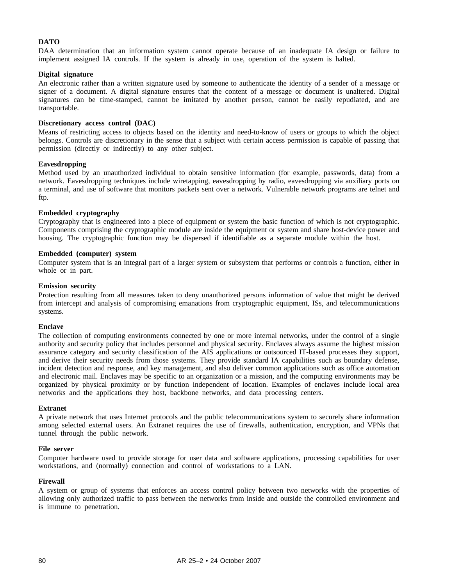#### **DATO**

DAA determination that an information system cannot operate because of an inadequate IA design or failure to implement assigned IA controls. If the system is already in use, operation of the system is halted.

#### **Digital signature**

An electronic rather than a written signature used by someone to authenticate the identity of a sender of a message or signer of a document. A digital signature ensures that the content of a message or document is unaltered. Digital signatures can be time-stamped, cannot be imitated by another person, cannot be easily repudiated, and are transportable.

#### **Discretionary access control (DAC)**

Means of restricting access to objects based on the identity and need-to-know of users or groups to which the object belongs. Controls are discretionary in the sense that a subject with certain access permission is capable of passing that permission (directly or indirectly) to any other subject.

#### **Eavesdropping**

Method used by an unauthorized individual to obtain sensitive information (for example, passwords, data) from a network. Eavesdropping techniques include wiretapping, eavesdropping by radio, eavesdropping via auxiliary ports on a terminal, and use of software that monitors packets sent over a network. Vulnerable network programs are telnet and ftp.

#### **Embedded cryptography**

Cryptography that is engineered into a piece of equipment or system the basic function of which is not cryptographic. Components comprising the cryptographic module are inside the equipment or system and share host-device power and housing. The cryptographic function may be dispersed if identifiable as a separate module within the host.

#### **Embedded (computer) system**

Computer system that is an integral part of a larger system or subsystem that performs or controls a function, either in whole or in part.

#### **Emission security**

Protection resulting from all measures taken to deny unauthorized persons information of value that might be derived from intercept and analysis of compromising emanations from cryptographic equipment, ISs, and telecommunications systems.

#### **Enclave**

The collection of computing environments connected by one or more internal networks, under the control of a single authority and security policy that includes personnel and physical security. Enclaves always assume the highest mission assurance category and security classification of the AIS applications or outsourced IT-based processes they support, and derive their security needs from those systems. They provide standard IA capabilities such as boundary defense, incident detection and response, and key management, and also deliver common applications such as office automation and electronic mail. Enclaves may be specific to an organization or a mission, and the computing environments may be organized by physical proximity or by function independent of location. Examples of enclaves include local area networks and the applications they host, backbone networks, and data processing centers.

#### **Extranet**

A private network that uses Internet protocols and the public telecommunications system to securely share information among selected external users. An Extranet requires the use of firewalls, authentication, encryption, and VPNs that tunnel through the public network.

#### **File server**

Computer hardware used to provide storage for user data and software applications, processing capabilities for user workstations, and (normally) connection and control of workstations to a LAN.

#### **Firewall**

A system or group of systems that enforces an access control policy between two networks with the properties of allowing only authorized traffic to pass between the networks from inside and outside the controlled environment and is immune to penetration.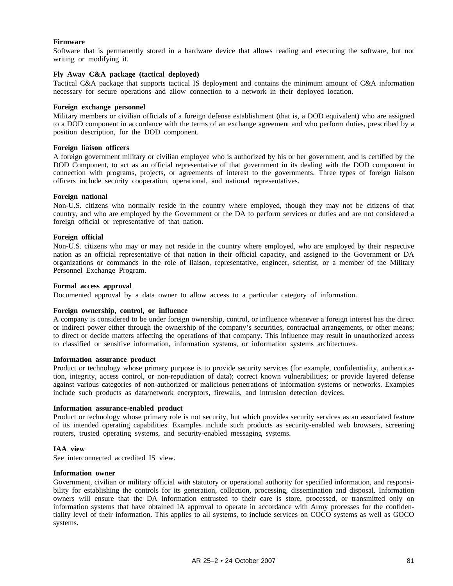#### **Firmware**

Software that is permanently stored in a hardware device that allows reading and executing the software, but not writing or modifying it.

#### **Fly Away C&A package (tactical deployed)**

Tactical C&A package that supports tactical IS deployment and contains the minimum amount of C&A information necessary for secure operations and allow connection to a network in their deployed location.

#### **Foreign exchange personnel**

Military members or civilian officials of a foreign defense establishment (that is, a DOD equivalent) who are assigned to a DOD component in accordance with the terms of an exchange agreement and who perform duties, prescribed by a position description, for the DOD component.

#### **Foreign liaison officers**

A foreign government military or civilian employee who is authorized by his or her government, and is certified by the DOD Component, to act as an official representative of that government in its dealing with the DOD component in connection with programs, projects, or agreements of interest to the governments. Three types of foreign liaison officers include security cooperation, operational, and national representatives.

#### **Foreign national**

Non-U.S. citizens who normally reside in the country where employed, though they may not be citizens of that country, and who are employed by the Government or the DA to perform services or duties and are not considered a foreign official or representative of that nation.

#### **Foreign official**

Non-U.S. citizens who may or may not reside in the country where employed, who are employed by their respective nation as an official representative of that nation in their official capacity, and assigned to the Government or DA organizations or commands in the role of liaison, representative, engineer, scientist, or a member of the Military Personnel Exchange Program.

#### **Formal access approval**

Documented approval by a data owner to allow access to a particular category of information.

#### **Foreign ownership, control, or influence**

A company is considered to be under foreign ownership, control, or influence whenever a foreign interest has the direct or indirect power either through the ownership of the company's securities, contractual arrangements, or other means; to direct or decide matters affecting the operations of that company. This influence may result in unauthorized access to classified or sensitive information, information systems, or information systems architectures.

#### **Information assurance product**

Product or technology whose primary purpose is to provide security services (for example, confidentiality, authentication, integrity, access control, or non-repudiation of data); correct known vulnerabilities; or provide layered defense against various categories of non-authorized or malicious penetrations of information systems or networks. Examples include such products as data/network encryptors, firewalls, and intrusion detection devices.

#### **Information assurance-enabled product**

Product or technology whose primary role is not security, but which provides security services as an associated feature of its intended operating capabilities. Examples include such products as security-enabled web browsers, screening routers, trusted operating systems, and security-enabled messaging systems.

#### **IAA view**

See interconnected accredited IS view.

#### **Information owner**

Government, civilian or military official with statutory or operational authority for specified information, and responsibility for establishing the controls for its generation, collection, processing, dissemination and disposal. Information owners will ensure that the DA information entrusted to their care is store, processed, or transmitted only on information systems that have obtained IA approval to operate in accordance with Army processes for the confidentiality level of their information. This applies to all systems, to include services on COCO systems as well as GOCO systems.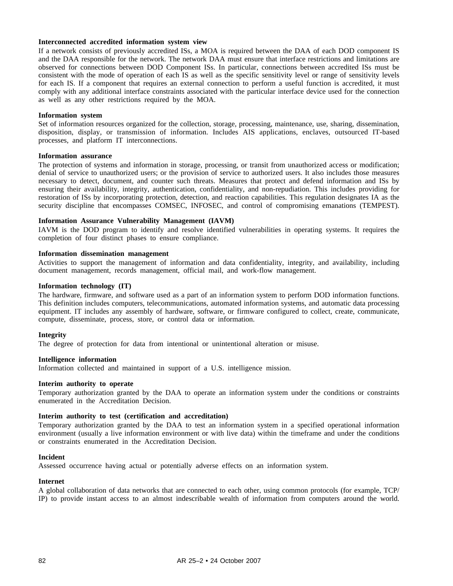#### **Interconnected accredited information system view**

If a network consists of previously accredited ISs, a MOA is required between the DAA of each DOD component IS and the DAA responsible for the network. The network DAA must ensure that interface restrictions and limitations are observed for connections between DOD Component ISs. In particular, connections between accredited ISs must be consistent with the mode of operation of each IS as well as the specific sensitivity level or range of sensitivity levels for each IS. If a component that requires an external connection to perform a useful function is accredited, it must comply with any additional interface constraints associated with the particular interface device used for the connection as well as any other restrictions required by the MOA.

#### **Information system**

Set of information resources organized for the collection, storage, processing, maintenance, use, sharing, dissemination, disposition, display, or transmission of information. Includes AIS applications, enclaves, outsourced IT-based processes, and platform IT interconnections.

#### **Information assurance**

The protection of systems and information in storage, processing, or transit from unauthorized access or modification; denial of service to unauthorized users; or the provision of service to authorized users. It also includes those measures necessary to detect, document, and counter such threats. Measures that protect and defend information and ISs by ensuring their availability, integrity, authentication, confidentiality, and non-repudiation. This includes providing for restoration of ISs by incorporating protection, detection, and reaction capabilities. This regulation designates IA as the security discipline that encompasses COMSEC, INFOSEC, and control of compromising emanations (TEMPEST).

#### **Information Assurance Vulnerability Management (IAVM)**

IAVM is the DOD program to identify and resolve identified vulnerabilities in operating systems. It requires the completion of four distinct phases to ensure compliance.

#### **Information dissemination management**

Activities to support the management of information and data confidentiality, integrity, and availability, including document management, records management, official mail, and work-flow management.

#### **Information technology (IT)**

The hardware, firmware, and software used as a part of an information system to perform DOD information functions. This definition includes computers, telecommunications, automated information systems, and automatic data processing equipment. IT includes any assembly of hardware, software, or firmware configured to collect, create, communicate, compute, disseminate, process, store, or control data or information.

#### **Integrity**

The degree of protection for data from intentional or unintentional alteration or misuse.

#### **Intelligence information**

Information collected and maintained in support of a U.S. intelligence mission.

#### **Interim authority to operate**

Temporary authorization granted by the DAA to operate an information system under the conditions or constraints enumerated in the Accreditation Decision.

#### **Interim authority to test (certification and accreditation)**

Temporary authorization granted by the DAA to test an information system in a specified operational information environment (usually a live information environment or with live data) within the timeframe and under the conditions or constraints enumerated in the Accreditation Decision.

#### **Incident**

Assessed occurrence having actual or potentially adverse effects on an information system.

#### **Internet**

A global collaboration of data networks that are connected to each other, using common protocols (for example, TCP/ IP) to provide instant access to an almost indescribable wealth of information from computers around the world.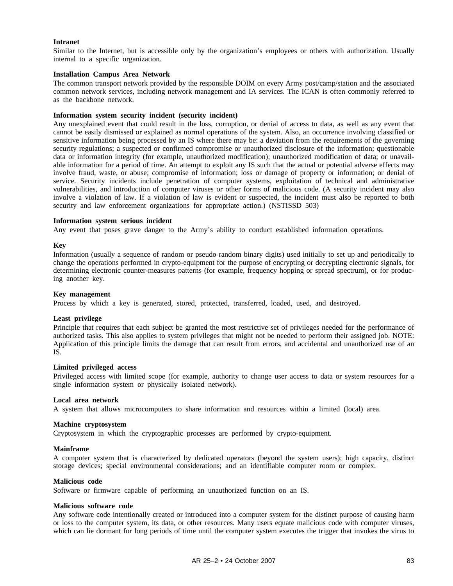#### **Intranet**

Similar to the Internet, but is accessible only by the organization's employees or others with authorization. Usually internal to a specific organization.

#### **Installation Campus Area Network**

The common transport network provided by the responsible DOIM on every Army post/camp/station and the associated common network services, including network management and IA services. The ICAN is often commonly referred to as the backbone network.

#### **Information system security incident (security incident)**

Any unexplained event that could result in the loss, corruption, or denial of access to data, as well as any event that cannot be easily dismissed or explained as normal operations of the system. Also, an occurrence involving classified or sensitive information being processed by an IS where there may be: a deviation from the requirements of the governing security regulations; a suspected or confirmed compromise or unauthorized disclosure of the information; questionable data or information integrity (for example, unauthorized modification); unauthorized modification of data; or unavailable information for a period of time. An attempt to exploit any IS such that the actual or potential adverse effects may involve fraud, waste, or abuse; compromise of information; loss or damage of property or information; or denial of service. Security incidents include penetration of computer systems, exploitation of technical and administrative vulnerabilities, and introduction of computer viruses or other forms of malicious code. (A security incident may also involve a violation of law. If a violation of law is evident or suspected, the incident must also be reported to both security and law enforcement organizations for appropriate action.) (NSTISSD 503)

#### **Information system serious incident**

Any event that poses grave danger to the Army's ability to conduct established information operations.

#### **Key**

Information (usually a sequence of random or pseudo-random binary digits) used initially to set up and periodically to change the operations performed in crypto-equipment for the purpose of encrypting or decrypting electronic signals, for determining electronic counter-measures patterns (for example, frequency hopping or spread spectrum), or for producing another key.

#### **Key management**

Process by which a key is generated, stored, protected, transferred, loaded, used, and destroyed.

#### **Least privilege**

Principle that requires that each subject be granted the most restrictive set of privileges needed for the performance of authorized tasks. This also applies to system privileges that might not be needed to perform their assigned job. NOTE: Application of this principle limits the damage that can result from errors, and accidental and unauthorized use of an IS.

#### **Limited privileged access**

Privileged access with limited scope (for example, authority to change user access to data or system resources for a single information system or physically isolated network).

#### **Local area network**

A system that allows microcomputers to share information and resources within a limited (local) area.

#### **Machine cryptosystem**

Cryptosystem in which the cryptographic processes are performed by crypto-equipment.

#### **Mainframe**

A computer system that is characterized by dedicated operators (beyond the system users); high capacity, distinct storage devices; special environmental considerations; and an identifiable computer room or complex.

#### **Malicious code**

Software or firmware capable of performing an unauthorized function on an IS.

#### **Malicious software code**

Any software code intentionally created or introduced into a computer system for the distinct purpose of causing harm or loss to the computer system, its data, or other resources. Many users equate malicious code with computer viruses, which can lie dormant for long periods of time until the computer system executes the trigger that invokes the virus to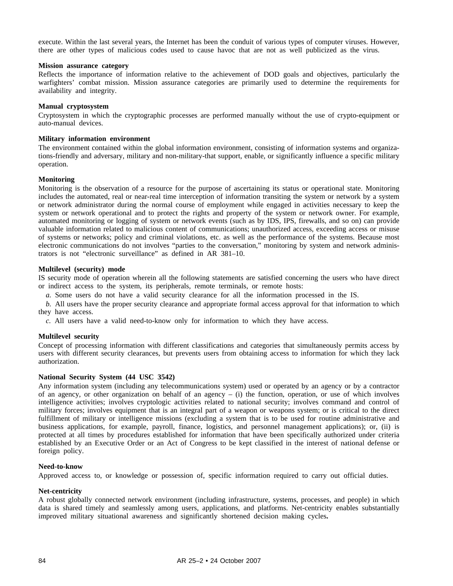execute. Within the last several years, the Internet has been the conduit of various types of computer viruses. However, there are other types of malicious codes used to cause havoc that are not as well publicized as the virus.

#### **Mission assurance category**

Reflects the importance of information relative to the achievement of DOD goals and objectives, particularly the warfighters' combat mission. Mission assurance categories are primarily used to determine the requirements for availability and integrity.

#### **Manual cryptosystem**

Cryptosystem in which the cryptographic processes are performed manually without the use of crypto-equipment or auto-manual devices.

#### **Military information environment**

The environment contained within the global information environment, consisting of information systems and organizations-friendly and adversary, military and non-military-that support, enable, or significantly influence a specific military operation.

#### **Monitoring**

Monitoring is the observation of a resource for the purpose of ascertaining its status or operational state. Monitoring includes the automated, real or near-real time interception of information transiting the system or network by a system or network administrator during the normal course of employment while engaged in activities necessary to keep the system or network operational and to protect the rights and property of the system or network owner. For example, automated monitoring or logging of system or network events (such as by IDS, IPS, firewalls, and so on) can provide valuable information related to malicious content of communications; unauthorized access, exceeding access or misuse of systems or networks; policy and criminal violations, etc. as well as the performance of the systems. Because most electronic communications do not involves "parties to the conversation," monitoring by system and network administrators is not "electronic surveillance" as defined in AR 381–10.

#### **Multilevel (security) mode**

IS security mode of operation wherein all the following statements are satisfied concerning the users who have direct or indirect access to the system, its peripherals, remote terminals, or remote hosts:

*a.* Some users do not have a valid security clearance for all the information processed in the IS.

*b.* All users have the proper security clearance and appropriate formal access approval for that information to which they have access.

*c.* All users have a valid need-to-know only for information to which they have access.

#### **Multilevel security**

Concept of processing information with different classifications and categories that simultaneously permits access by users with different security clearances, but prevents users from obtaining access to information for which they lack authorization.

#### **National Security System (44 USC 3542)**

Any information system (including any telecommunications system) used or operated by an agency or by a contractor of an agency, or other organization on behalf of an agency – (i) the function, operation, or use of which involves intelligence activities; involves cryptologic activities related to national security; involves command and control of military forces; involves equipment that is an integral part of a weapon or weapons system; or is critical to the direct fulfillment of military or intelligence missions (excluding a system that is to be used for routine administrative and business applications, for example, payroll, finance, logistics, and personnel management applications); or, (ii) is protected at all times by procedures established for information that have been specifically authorized under criteria established by an Executive Order or an Act of Congress to be kept classified in the interest of national defense or foreign policy.

#### **Need-to-know**

Approved access to, or knowledge or possession of, specific information required to carry out official duties.

#### **Net-centricity**

A robust globally connected network environment (including infrastructure, systems, processes, and people) in which data is shared timely and seamlessly among users, applications, and platforms. Net-centricity enables substantially improved military situational awareness and significantly shortened decision making cycles**.**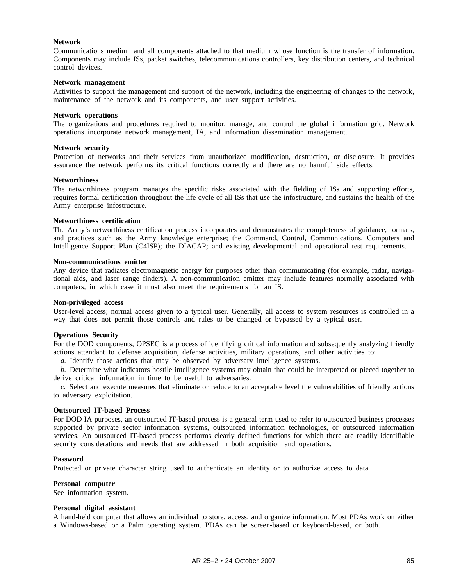#### **Network**

Communications medium and all components attached to that medium whose function is the transfer of information. Components may include ISs, packet switches, telecommunications controllers, key distribution centers, and technical control devices.

#### **Network management**

Activities to support the management and support of the network, including the engineering of changes to the network, maintenance of the network and its components, and user support activities.

#### **Network operations**

The organizations and procedures required to monitor, manage, and control the global information grid. Network operations incorporate network management, IA, and information dissemination management.

#### **Network security**

Protection of networks and their services from unauthorized modification, destruction, or disclosure. It provides assurance the network performs its critical functions correctly and there are no harmful side effects.

#### **Networthiness**

The networthiness program manages the specific risks associated with the fielding of ISs and supporting efforts, requires formal certification throughout the life cycle of all ISs that use the infostructure, and sustains the health of the Army enterprise infostructure.

#### **Networthiness certification**

The Army's networthiness certification process incorporates and demonstrates the completeness of guidance, formats, and practices such as the Army knowledge enterprise; the Command, Control, Communications, Computers and Intelligence Support Plan (C4ISP); the DIACAP; and existing developmental and operational test requirements.

#### **Non-communications emitter**

Any device that radiates electromagnetic energy for purposes other than communicating (for example, radar, navigational aids, and laser range finders). A non-communication emitter may include features normally associated with computers, in which case it must also meet the requirements for an IS.

#### **Non-privileged access**

User-level access; normal access given to a typical user. Generally, all access to system resources is controlled in a way that does not permit those controls and rules to be changed or bypassed by a typical user.

#### **Operations Security**

For the DOD components, OPSEC is a process of identifying critical information and subsequently analyzing friendly actions attendant to defense acquisition, defense activities, military operations, and other activities to:

*a.* Identify those actions that may be observed by adversary intelligence systems.

*b.* Determine what indicators hostile intelligence systems may obtain that could be interpreted or pieced together to derive critical information in time to be useful to adversaries.

*c.* Select and execute measures that eliminate or reduce to an acceptable level the vulnerabilities of friendly actions to adversary exploitation.

#### **Outsourced IT-based Process**

For DOD IA purposes, an outsourced IT-based process is a general term used to refer to outsourced business processes supported by private sector information systems, outsourced information technologies, or outsourced information services. An outsourced IT-based process performs clearly defined functions for which there are readily identifiable security considerations and needs that are addressed in both acquisition and operations.

#### **Password**

Protected or private character string used to authenticate an identity or to authorize access to data.

#### **Personal computer**

See information system.

#### **Personal digital assistant**

A hand-held computer that allows an individual to store, access, and organize information. Most PDAs work on either a Windows-based or a Palm operating system. PDAs can be screen-based or keyboard-based, or both.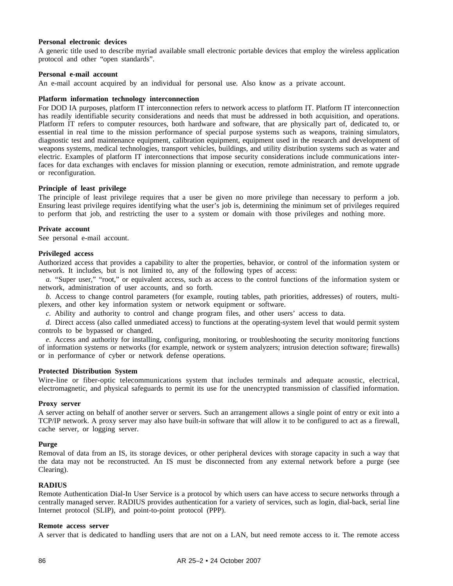#### **Personal electronic devices**

A generic title used to describe myriad available small electronic portable devices that employ the wireless application protocol and other "open standards".

#### **Personal e-mail account**

An e-mail account acquired by an individual for personal use. Also know as a private account.

#### **Platform information technology interconnection**

For DOD IA purposes, platform IT interconnection refers to network access to platform IT. Platform IT interconnection has readily identifiable security considerations and needs that must be addressed in both acquisition, and operations. Platform IT refers to computer resources, both hardware and software, that are physically part of, dedicated to, or essential in real time to the mission performance of special purpose systems such as weapons, training simulators, diagnostic test and maintenance equipment, calibration equipment, equipment used in the research and development of weapons systems, medical technologies, transport vehicles, buildings, and utility distribution systems such as water and electric. Examples of platform IT interconnections that impose security considerations include communications interfaces for data exchanges with enclaves for mission planning or execution, remote administration, and remote upgrade or reconfiguration.

#### **Principle of least privilege**

The principle of least privilege requires that a user be given no more privilege than necessary to perform a job. Ensuring least privilege requires identifying what the user's job is, determining the minimum set of privileges required to perform that job, and restricting the user to a system or domain with those privileges and nothing more.

#### **Private account**

See personal e-mail account.

#### **Privileged access**

Authorized access that provides a capability to alter the properties, behavior, or control of the information system or network. It includes, but is not limited to, any of the following types of access:

*a.* "Super user," "root," or equivalent access, such as access to the control functions of the information system or network, administration of user accounts, and so forth.

*b.* Access to change control parameters (for example, routing tables, path priorities, addresses) of routers, multiplexers, and other key information system or network equipment or software.

*c.* Ability and authority to control and change program files, and other users' access to data.

*d.* Direct access (also called unmediated access) to functions at the operating-system level that would permit system controls to be bypassed or changed.

*e.* Access and authority for installing, configuring, monitoring, or troubleshooting the security monitoring functions of information systems or networks (for example, network or system analyzers; intrusion detection software; firewalls) or in performance of cyber or network defense operations.

#### **Protected Distribution System**

Wire-line or fiber-optic telecommunications system that includes terminals and adequate acoustic, electrical, electromagnetic, and physical safeguards to permit its use for the unencrypted transmission of classified information.

#### **Proxy server**

A server acting on behalf of another server or servers. Such an arrangement allows a single point of entry or exit into a TCP/IP network. A proxy server may also have built-in software that will allow it to be configured to act as a firewall, cache server, or logging server.

#### **Purge**

Removal of data from an IS, its storage devices, or other peripheral devices with storage capacity in such a way that the data may not be reconstructed. An IS must be disconnected from any external network before a purge (see Clearing).

#### **RADIUS**

Remote Authentication Dial-In User Service is a protocol by which users can have access to secure networks through a centrally managed server. RADIUS provides authentication for a variety of services, such as login, dial-back, serial line Internet protocol (SLIP), and point-to-point protocol (PPP).

#### **Remote access server**

A server that is dedicated to handling users that are not on a LAN, but need remote access to it. The remote access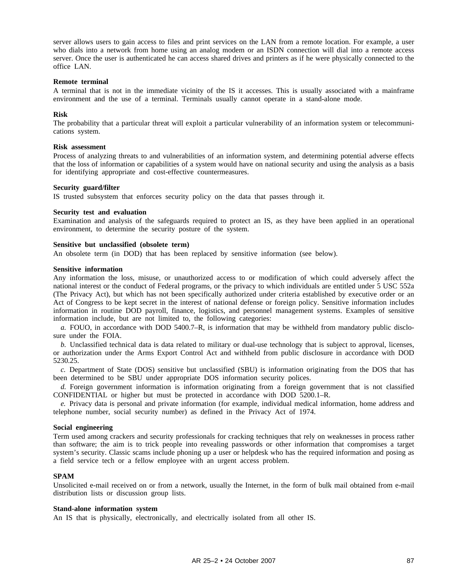server allows users to gain access to files and print services on the LAN from a remote location. For example, a user who dials into a network from home using an analog modem or an ISDN connection will dial into a remote access server. Once the user is authenticated he can access shared drives and printers as if he were physically connected to the office LAN.

#### **Remote terminal**

A terminal that is not in the immediate vicinity of the IS it accesses. This is usually associated with a mainframe environment and the use of a terminal. Terminals usually cannot operate in a stand-alone mode.

#### **Risk**

The probability that a particular threat will exploit a particular vulnerability of an information system or telecommunications system.

#### **Risk assessment**

Process of analyzing threats to and vulnerabilities of an information system, and determining potential adverse effects that the loss of information or capabilities of a system would have on national security and using the analysis as a basis for identifying appropriate and cost-effective countermeasures.

#### **Security guard/filter**

IS trusted subsystem that enforces security policy on the data that passes through it.

#### **Security test and evaluation**

Examination and analysis of the safeguards required to protect an IS, as they have been applied in an operational environment, to determine the security posture of the system.

#### **Sensitive but unclassified (obsolete term)**

An obsolete term (in DOD) that has been replaced by sensitive information (see below).

#### **Sensitive information**

Any information the loss, misuse, or unauthorized access to or modification of which could adversely affect the national interest or the conduct of Federal programs, or the privacy to which individuals are entitled under 5 USC 552a (The Privacy Act), but which has not been specifically authorized under criteria established by executive order or an Act of Congress to be kept secret in the interest of national defense or foreign policy. Sensitive information includes information in routine DOD payroll, finance, logistics, and personnel management systems. Examples of sensitive information include, but are not limited to, the following categories:

*a.* FOUO, in accordance with DOD 5400.7–R, is information that may be withheld from mandatory public disclosure under the FOIA.

*b.* Unclassified technical data is data related to military or dual-use technology that is subject to approval, licenses, or authorization under the Arms Export Control Act and withheld from public disclosure in accordance with DOD 5230.25.

*c.* Department of State (DOS) sensitive but unclassified (SBU) is information originating from the DOS that has been determined to be SBU under appropriate DOS information security polices.

*d.* Foreign government information is information originating from a foreign government that is not classified CONFIDENTIAL or higher but must be protected in accordance with DOD 5200.1–R.

*e.* Privacy data is personal and private information (for example, individual medical information, home address and telephone number, social security number) as defined in the Privacy Act of 1974.

#### **Social engineering**

Term used among crackers and security professionals for cracking techniques that rely on weaknesses in process rather than software; the aim is to trick people into revealing passwords or other information that compromises a target system's security. Classic scams include phoning up a user or helpdesk who has the required information and posing as a field service tech or a fellow employee with an urgent access problem.

#### **SPAM**

Unsolicited e-mail received on or from a network, usually the Internet, in the form of bulk mail obtained from e-mail distribution lists or discussion group lists.

#### **Stand-alone information system**

An IS that is physically, electronically, and electrically isolated from all other IS.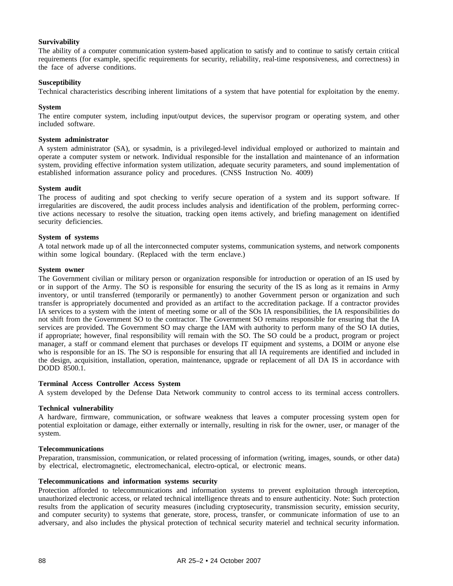#### **Survivability**

The ability of a computer communication system-based application to satisfy and to continue to satisfy certain critical requirements (for example, specific requirements for security, reliability, real-time responsiveness, and correctness) in the face of adverse conditions.

#### **Susceptibility**

Technical characteristics describing inherent limitations of a system that have potential for exploitation by the enemy.

#### **System**

The entire computer system, including input/output devices, the supervisor program or operating system, and other included software.

#### **System administrator**

A system administrator (SA), or sysadmin, is a privileged-level individual employed or authorized to maintain and operate a computer system or network. Individual responsible for the installation and maintenance of an information system, providing effective information system utilization, adequate security parameters, and sound implementation of established information assurance policy and procedures. (CNSS Instruction No. 4009)

#### **System audit**

The process of auditing and spot checking to verify secure operation of a system and its support software. If irregularities are discovered, the audit process includes analysis and identification of the problem, performing corrective actions necessary to resolve the situation, tracking open items actively, and briefing management on identified security deficiencies.

#### **System of systems**

A total network made up of all the interconnected computer systems, communication systems, and network components within some logical boundary. (Replaced with the term enclave.)

#### **System owner**

The Government civilian or military person or organization responsible for introduction or operation of an IS used by or in support of the Army. The SO is responsible for ensuring the security of the IS as long as it remains in Army inventory, or until transferred (temporarily or permanently) to another Government person or organization and such transfer is appropriately documented and provided as an artifact to the accreditation package. If a contractor provides IA services to a system with the intent of meeting some or all of the SOs IA responsibilities, the IA responsibilities do not shift from the Government SO to the contractor. The Government SO remains responsible for ensuring that the IA services are provided. The Government SO may charge the IAM with authority to perform many of the SO IA duties, if appropriate; however, final responsibility will remain with the SO. The SO could be a product, program or project manager, a staff or command element that purchases or develops IT equipment and systems, a DOIM or anyone else who is responsible for an IS. The SO is responsible for ensuring that all IA requirements are identified and included in the design, acquisition, installation, operation, maintenance, upgrade or replacement of all DA IS in accordance with DODD 8500.1.

#### **Terminal Access Controller Access System**

A system developed by the Defense Data Network community to control access to its terminal access controllers.

#### **Technical vulnerability**

A hardware, firmware, communication, or software weakness that leaves a computer processing system open for potential exploitation or damage, either externally or internally, resulting in risk for the owner, user, or manager of the system.

#### **Telecommunications**

Preparation, transmission, communication, or related processing of information (writing, images, sounds, or other data) by electrical, electromagnetic, electromechanical, electro-optical, or electronic means.

#### **Telecommunications and information systems security**

Protection afforded to telecommunications and information systems to prevent exploitation through interception, unauthorized electronic access, or related technical intelligence threats and to ensure authenticity. Note: Such protection results from the application of security measures (including cryptosecurity, transmission security, emission security, and computer security) to systems that generate, store, process, transfer, or communicate information of use to an adversary, and also includes the physical protection of technical security materiel and technical security information.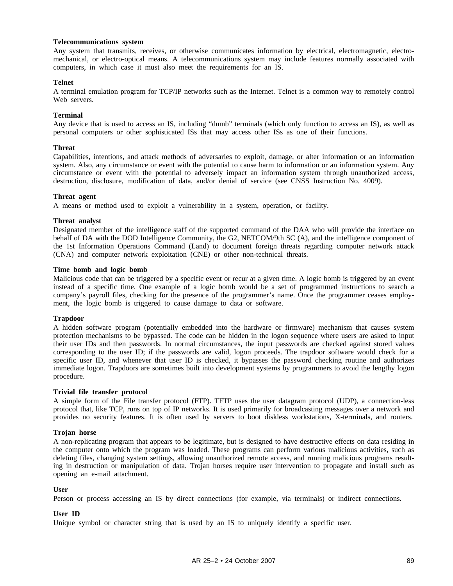#### **Telecommunications system**

Any system that transmits, receives, or otherwise communicates information by electrical, electromagnetic, electromechanical, or electro-optical means. A telecommunications system may include features normally associated with computers, in which case it must also meet the requirements for an IS.

#### **Telnet**

A terminal emulation program for TCP/IP networks such as the Internet. Telnet is a common way to remotely control Web servers.

#### **Terminal**

Any device that is used to access an IS, including "dumb" terminals (which only function to access an IS), as well as personal computers or other sophisticated ISs that may access other ISs as one of their functions.

#### **Threat**

Capabilities, intentions, and attack methods of adversaries to exploit, damage, or alter information or an information system. Also, any circumstance or event with the potential to cause harm to information or an information system. Any circumstance or event with the potential to adversely impact an information system through unauthorized access, destruction, disclosure, modification of data, and/or denial of service (see CNSS Instruction No. 4009).

#### **Threat agent**

A means or method used to exploit a vulnerability in a system, operation, or facility.

#### **Threat analyst**

Designated member of the intelligence staff of the supported command of the DAA who will provide the interface on behalf of DA with the DOD Intelligence Community, the G2, NETCOM/9th SC (A), and the intelligence component of the 1st Information Operations Command (Land) to document foreign threats regarding computer network attack (CNA) and computer network exploitation (CNE) or other non-technical threats.

#### **Time bomb and logic bomb**

Malicious code that can be triggered by a specific event or recur at a given time. A logic bomb is triggered by an event instead of a specific time. One example of a logic bomb would be a set of programmed instructions to search a company's payroll files, checking for the presence of the programmer's name. Once the programmer ceases employment, the logic bomb is triggered to cause damage to data or software.

#### **Trapdoor**

A hidden software program (potentially embedded into the hardware or firmware) mechanism that causes system protection mechanisms to be bypassed. The code can be hidden in the logon sequence where users are asked to input their user IDs and then passwords. In normal circumstances, the input passwords are checked against stored values corresponding to the user ID; if the passwords are valid, logon proceeds. The trapdoor software would check for a specific user ID, and whenever that user ID is checked, it bypasses the password checking routine and authorizes immediate logon. Trapdoors are sometimes built into development systems by programmers to avoid the lengthy logon procedure.

#### **Trivial file transfer protocol**

A simple form of the File transfer protocol (FTP). TFTP uses the user datagram protocol (UDP), a connection-less protocol that, like TCP, runs on top of IP networks. It is used primarily for broadcasting messages over a network and provides no security features. It is often used by servers to boot diskless workstations, X-terminals, and routers.

#### **Trojan horse**

A non-replicating program that appears to be legitimate, but is designed to have destructive effects on data residing in the computer onto which the program was loaded. These programs can perform various malicious activities, such as deleting files, changing system settings, allowing unauthorized remote access, and running malicious programs resulting in destruction or manipulation of data. Trojan horses require user intervention to propagate and install such as opening an e-mail attachment.

#### **User**

Person or process accessing an IS by direct connections (for example, via terminals) or indirect connections.

#### **User ID**

Unique symbol or character string that is used by an IS to uniquely identify a specific user.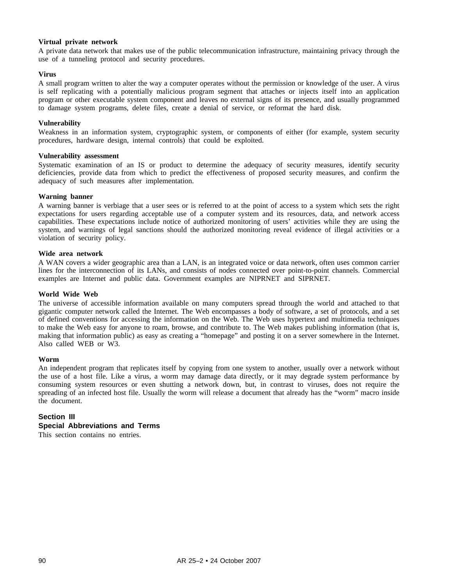#### **Virtual private network**

A private data network that makes use of the public telecommunication infrastructure, maintaining privacy through the use of a tunneling protocol and security procedures.

#### **Virus**

A small program written to alter the way a computer operates without the permission or knowledge of the user. A virus is self replicating with a potentially malicious program segment that attaches or injects itself into an application program or other executable system component and leaves no external signs of its presence, and usually programmed to damage system programs, delete files, create a denial of service, or reformat the hard disk.

#### **Vulnerability**

Weakness in an information system, cryptographic system, or components of either (for example, system security procedures, hardware design, internal controls) that could be exploited.

#### **Vulnerability assessment**

Systematic examination of an IS or product to determine the adequacy of security measures, identify security deficiencies, provide data from which to predict the effectiveness of proposed security measures, and confirm the adequacy of such measures after implementation.

#### **Warning banner**

A warning banner is verbiage that a user sees or is referred to at the point of access to a system which sets the right expectations for users regarding acceptable use of a computer system and its resources, data, and network access capabilities. These expectations include notice of authorized monitoring of users' activities while they are using the system, and warnings of legal sanctions should the authorized monitoring reveal evidence of illegal activities or a violation of security policy.

#### **Wide area network**

A WAN covers a wider geographic area than a LAN, is an integrated voice or data network, often uses common carrier lines for the interconnection of its LANs, and consists of nodes connected over point-to-point channels. Commercial examples are Internet and public data. Government examples are NIPRNET and SIPRNET.

#### **World Wide Web**

The universe of accessible information available on many computers spread through the world and attached to that gigantic computer network called the Internet. The Web encompasses a body of software, a set of protocols, and a set of defined conventions for accessing the information on the Web. The Web uses hypertext and multimedia techniques to make the Web easy for anyone to roam, browse, and contribute to. The Web makes publishing information (that is, making that information public) as easy as creating a "homepage" and posting it on a server somewhere in the Internet. Also called WEB or W3.

#### **Worm**

An independent program that replicates itself by copying from one system to another, usually over a network without the use of a host file. Like a virus, a worm may damage data directly, or it may degrade system performance by consuming system resources or even shutting a network down, but, in contrast to viruses, does not require the spreading of an infected host file. Usually the worm will release a document that already has the "worm" macro inside the document.

# **Section III Special Abbreviations and Terms**

This section contains no entries.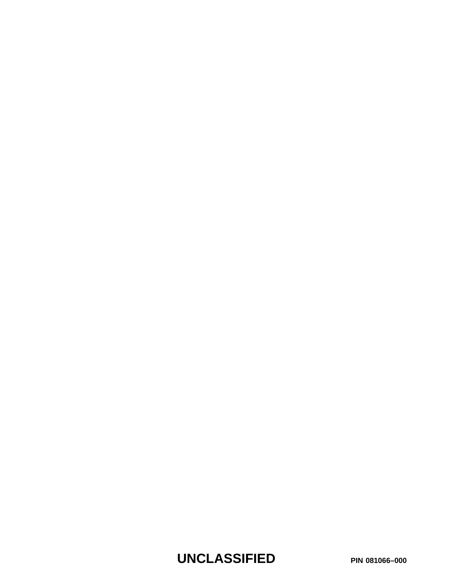**UNCLASSIFIED PIN 081066–000**